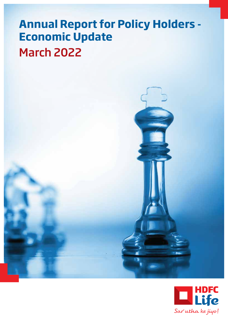# **Annual Report for Policy Holders - Economic Update** March 2022



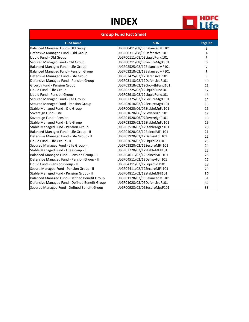# **INDEX**



## **Group Fund Fact Sheet**

| <b>Fund Name</b>                               | <b>SFIN</b>                  | Page No        |
|------------------------------------------------|------------------------------|----------------|
| Balanced Managed Fund - Old Group              | ULGF00411/08/03BalancedMF101 | 3              |
| Defensive Managed Fund - Old Group             | ULGF00311/08/03DefensiveF101 | 4              |
| Liquid Fund - Old Group                        | ULGF00111/08/03LiquidFund101 | 5              |
| Secured Managed Fund - Old Group               | ULGF00211/08/03SecureMgtF101 | 6              |
| Balanced Managed Fund - Life Group             | ULGF02525/02/12BalancedMF101 | $\overline{7}$ |
| Balanced Managed Fund - Pension Group          | ULGF03218/02/12BalancedMF101 | 8              |
| Defensive Managed Fund - Life Group            | ULGF02425/02/12DefensiveF101 | 9              |
| Defensive Managed Fund - Pension Group         | ULGF03118/02/12DefensiveF101 | 10             |
| Growth Fund - Pension Group                    | ULGF03318/02/12GrowthFund101 | 11             |
| Liquid Fund - Life Group                       | ULGF02225/02/12LiquidFund101 | 12             |
| Liquid Fund - Pension Group                    | ULGF02918/02/12LiquidFund101 | 13             |
| Secured Managed Fund - Life Group              | ULGF02325/02/12SecureMgtF101 | 14             |
| Secured Managed Fund - Pension Group           | ULGF03018/02/12SecureMgtF101 | 15             |
| Stable Managed Fund - Old Group                | ULGF00620/06/07StableMgFd101 | 16             |
| Sovereign Fund - Life                          | ULGF01620/06/07SovereignF101 | 17             |
| Sovereign Fund - Pension                       | ULGF01520/06/07SovereignF101 | 18             |
| Stable Managed Fund - Life Group               | ULGF02825/02/12StableMgFd101 | 19             |
| Stable Managed Fund - Pension Group            | ULGF03518/02/12StableMgFd101 | 20             |
| Balanced Managed Fund - Life Group - II        | ULGF04020/02/12BalncdMFII101 | 21             |
| Defensive Managed Fund - Life Group - II       | ULGF03920/02/12DefnsvFdII101 | 22             |
| Liquid Fund - Life Group - II                  | ULGF03620/02/12LiquidFdlI101 | 23             |
| Secured Managed Fund - Life Group - II         | ULGF03820/02/12SecureMFII101 | 24             |
| Stable Managed Fund - Life Group - II          | ULGF03720/02/12StableMFII101 | 25             |
| Balanced Managed Fund - Pension Group - II     | ULGF04611/02/12BalncdMFII101 | 26             |
| Defensive Managed Fund - Pension Group - II    | ULGF04511/02/12DefnsvFdII101 | 27             |
| Liquid Fund - Pension Group - II               | ULGF04311/02/12LiquidFdlI101 | 28             |
| Secure Managed Fund - Pension Group - II       | ULGF04411/02/12SecureMFII101 | 29             |
| Stable Managed Fund - Pension Group - II       | ULGF04811/02/12StableMFII101 | 30             |
| Balanced Managed Fund - Defined Benefit Group  | ULGF01128/03/05BalancedMF101 | 31             |
| Defensive Managed Fund - Defined Benefit Group | ULGF01028/03/05DefensiveF101 | 32             |
| Secured Managed Fund - Defined Benefit Group   | ULGF00928/03/05SecureMgtF101 | 33             |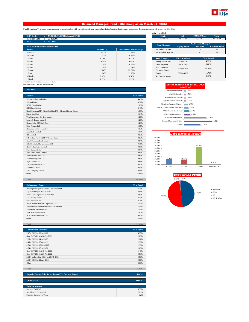

### **Balanced Managed Fund - Old Group as on March 31, 2022**

Fund Objective : To generate long term capital appreciation along with current income from a combined portfolio of equity and debt market instruments. The equity exposure will be between 30%-60%.

| <b>SFIN Code</b>                      | ULGF00411/08/03BalancedMF101 |                 |                               | <b>Equity</b>             | <b>Debt</b>            | <b>MMI &amp; Others</b> | <b>Total</b>         |
|---------------------------------------|------------------------------|-----------------|-------------------------------|---------------------------|------------------------|-------------------------|----------------------|
| <b>Inception Date</b>                 | 23 Jul 2003                  |                 |                               | 39.246.39                 | 43,718.53              | 4.813.82                | 87,778,74            |
| <b>NAV</b>                            | 202.0297                     |                 |                               |                           |                        |                         |                      |
|                                       |                              |                 |                               | <b>Fund Manager</b>       |                        | No. Of Funds Managed    |                      |
| <b>Fund V/s Benchmark Performance</b> |                              |                 |                               |                           | <b>Equity Fund</b>     | <b>Debt Fund</b>        | <b>Balanced Fund</b> |
| <b>Period</b>                         |                              | Returns $(\% )$ | <b>Benchmark Returns (%)#</b> | Mr Kailash Lalwani        | 2                      | 13                      | 25                   |
| Inception                             |                              | 13.15%          | 11.15%                        | Mr Abhishek Agarwal       | $\sim$                 | $\sim$                  | 13                   |
| 10 Years                              |                              | 11.25%          | 10.36%                        |                           |                        |                         |                      |
| 7 Years                               |                              | 9.79%           | 9.27%                         | <b>Asset Category</b>     | <b>F&amp;U</b> Mandate |                         | % of Actual          |
| 5 Years                               |                              | 10.26%          | 9.99%                         | <b>Money Market Insts</b> | 0% to 5%               |                         | 4.32%                |
| 4 Years                               |                              | 11.01%          | 10.60%                        | <b>Public Deposits</b>    | 0% to 15%              |                         | 0.00%                |
| 3 Years                               |                              | 11.48%          | 11.04%                        | Govt. Securities          | 20% to 70%             |                         | 49.81%               |
| 2 Years                               |                              | 22.24%          | 22.68%                        | Corporate Bonds           |                        |                         |                      |
| 1 Year                                |                              | 11.14%          | 11.12%                        | Equity                    | 30% to 60%             |                         | 44.71%               |
| 6 Months                              |                              | 0.07%           | 0.18%                         | Net Current Assets        | $\sim$                 |                         | 1.16%                |
| 1 Month                               |                              | 1.72%           | 1.91%                         |                           |                        |                         |                      |

| <b>Equity</b>             | <b>Debt</b>            | <b>MMI &amp; Others</b>     | <b>Total</b>         |
|---------------------------|------------------------|-----------------------------|----------------------|
| 39.246.39                 | 43.718.53              | 4.813.82                    | 87,778.74            |
|                           |                        |                             |                      |
| <b>Fund Manager</b>       |                        | <b>No. Of Funds Managed</b> |                      |
|                           | <b>Equity Fund</b>     | <b>Debt Fund</b>            | <b>Balanced Fund</b> |
| Mr Kailash Lalwani        | $\mathfrak{D}$         | 13                          | 25                   |
| Mr Abhishek Agarwal       |                        | ۰                           | 13                   |
|                           |                        |                             |                      |
|                           |                        |                             |                      |
| <b>Asset Category</b>     | <b>F&amp;U</b> Mandate |                             | % of Actual          |
| <b>Money Market Insts</b> | 0% to 5%               |                             | 4.32%                |
| <b>Public Deposits</b>    | 0% to 15%              |                             | 0.00%                |
| <b>Govt.</b> Securities   |                        |                             |                      |
| Corporate Bonds           | 20% to 70%             |                             | 49.81%               |
| Equity                    | 30% to 60%             |                             | 44.71%               |

# 45% BSE -100 55% CRISIL Composite Bond Fund Index Note: Returns over 1 year have been annualized.

| <b>Equity</b>                                                  | % to Fund |
|----------------------------------------------------------------|-----------|
| Reliance Industries Limited                                    | 4.49%     |
| <b>Infosys Limited</b>                                         | 3.91%     |
| HDFC Bank Limited                                              | 2.86%     |
| <b>ICICI</b> Bank Limited                                      | 2.43%     |
| Kotak Mahindra MF - Kotak Banking ETF - Dividend Payout Option | 1.98%     |
| Bharti Airtel Ltd                                              | 1.64%     |
| Tata Consultancy Services Limited                              | 1.26%     |
| Larsen & Toubro Limited                                        | 1.26%     |
| Nippon India ETF Bank Bees                                     | 1.23%     |
| Bajaj Finance Ltd                                              | 1.07%     |
| Hindustan Unilever Limited                                     | 1.05%     |
| Axis Bank Limited                                              | 1.04%     |
| <b>ITC</b> Limited                                             | 0.95%     |
| SBI Mutual Fund - SBI ETF Private Bank                         | 0.89%     |
| Kotak Mahindra Bank Limited                                    | 0.84%     |
| <b>ICICI Prudential Private Banks ETF</b>                      | 0.71%     |
| <b>HCL Technologies Limited</b>                                | 0.66%     |
| State Bank of India                                            | 0.64%     |
| <b>UltraTech Cement Limited</b>                                | 0.63%     |
| Maruti Suzuki India Ltd.                                       | 0.63%     |
| Asian Paints (India) Ltd                                       | 0.63%     |
| Bajaj Finserv Ltd                                              | 0.61%     |
| <b>ICICI Prudential IT ETF</b>                                 | 0.57%     |
| <b>Tata Steel Limited</b>                                      | 0.53%     |
| <b>Titan Company Limited</b>                                   | 0.51%     |
| Others                                                         | 11.69%    |

| <b>Debentures / Bonds</b>                     | % to Fund |
|-----------------------------------------------|-----------|
| Housing Development Finance Corporation Ltd   | 4.74%     |
| Export and Import Bank of India               | 3.04%     |
| Power Grid Corporation of India Ltd           | 2.63%     |
| LIC Housing Finance Ltd                       | 2.43%     |
| State Bank of India                           | 2.24%     |
| Indian Railway Finance Corporation Ltd        | 1.52%     |
| Mahindra and Mahindra Financial Services Ltd. | 1.44%     |
| Sikka Ports And Terminals                     | 1.43%     |
| <b>IDFC First Bank Limited</b>                | 1.02%     |
| HDB Financial Services Ltd.                   | 0.87%     |
| Others                                        | 4.51%     |
|                                               |           |
| Total                                         | 25.85%    |

| <b>Government Securities</b>          | % to Fund |
|---------------------------------------|-----------|
| 7.17% GOI Mat 08-Jan-2028             | 4.95%     |
| Gsec C-STRIPS Mat 26-Oct-2022         | 2.23%     |
| 7.26% GOI Mat 14-Jan-2029             | 2.12%     |
| 6.45% GOI Mat 07-Oct-2029             | 1.96%     |
| 6.79% GOI Mat 15-May-2027             | 1.96%     |
| 6.54% GOI Mat 17-Jan-2032             | 1.66%     |
| Gsec C-STRIPS Mat 15-Jun-2022.        | 1.45%     |
| Gsec C-STRIPS Mat 26-Apr-2022         | 0.53%     |
| 8.04% Maharashtra SDL Mat 25-Feb-2025 | 0.50%     |
| 5.63% GOI Mat 12-Apr-2026             | 0.50%     |
| Others                                | 6.08%     |
|                                       |           |
| Total                                 | 23.95%    |

| Deposits, Money Mkt Securities and Net Current Assets. | 5.48%   |
|--------------------------------------------------------|---------|
| <b>Grand Total</b>                                     | 100.00% |
| <b>Debt Parameters</b>                                 |         |
| Portfolio Yield (%)                                    | 5.93%   |
| Avg Maturity (In Months)                               | 52.10   |
| Modified Duration (In Years)                           | 3.38    |

|                                     | Sector Allocation as per NIC 2008<br>% to Fund |
|-------------------------------------|------------------------------------------------|
| Telecommunications                  | 1.69%                                          |
| Civil Engineering                   | 1.74%                                          |
| Mfg of Pharmaceuticals              | 1.96%                                          |
| Mfg of Chemical Products            | 2.42%                                          |
| Electricity, Gas & AC Supply        | 3.95%                                          |
| Mfg of Coke &Refined Petroleum      | 4.75%                                          |
| Other Financial Activities          | 5.52%                                          |
| <b>Computer Programming</b>         | 6.95%                                          |
| <b>Government Securities</b>        | 23.95%                                         |
| <b>Financial Service Activities</b> | 29.56%                                         |
| Others                              | 17.50%                                         |



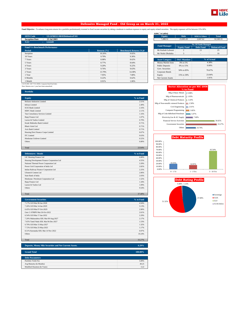

### **Defensive Managed Fund - Old Group as on March 31, 2022**

Fund Objective : To enhance long term returns for a portfolio predominantly invested in fixed income securities by taking a moderate to medium exposure to equity and equity related securities. The equity exposure will be b

|                                       |                              |                 |                               | AUITI III LUNIISI      |                          |                             |                      |
|---------------------------------------|------------------------------|-----------------|-------------------------------|------------------------|--------------------------|-----------------------------|----------------------|
| <b>SFIN Code</b>                      | ULGF00311/08/03DefensiveF101 |                 |                               | Equity                 | <b>Debt</b>              | <b>MMI &amp; Others</b>     | <b>Total</b>         |
| <b>Inception Date</b>                 | 23 Jul 2003                  |                 |                               | 7.498.51               | 23,003.20                | 2.047.62                    | 32,549.33            |
| <b>NAV</b>                            | 124.849                      |                 |                               |                        |                          |                             |                      |
|                                       |                              |                 |                               | <b>Fund Manager</b>    |                          | <b>No. Of Funds Managed</b> |                      |
| <b>Fund V/s Benchmark Performance</b> |                              |                 |                               |                        | <b>Equity Fund</b>       | <b>Debt Fund</b>            | <b>Balanced Fund</b> |
| Period                                |                              | Returns $(\% )$ | <b>Benchmark Returns (%)#</b> | Mr Kailash Lalwani     | $\overline{c}$           | 13                          | 25                   |
| Inception                             |                              | 10.26%          | 9.02%                         | Mr Nishit Dholakia     | 3                        | $\sim$                      | 16                   |
| 10 Years                              |                              | 9.79%           | 9.36%                         |                        |                          |                             |                      |
| 7 Years                               |                              | 8.98%           | 8.62%                         | <b>Asset Category</b>  | <b>F&amp;U</b> Mandate   |                             | % of Actual          |
| 5 Years                               |                              | 8.77%           | 8.64%                         | Money Market Insts     | 0% to 5%                 |                             | 4.38%                |
| 4 Years                               |                              | 9.20%           | 9.22%                         | <b>Public Deposits</b> | 0% to 15%                |                             | 0.00%                |
| 3 Years                               |                              | 9.76%           | 9.63%                         | Govt. Securities       | 50% to 85%               |                             | 70.67%               |
| 2 Years                               |                              | 13.79%          | 14.38%                        | Corporate Bonds        |                          |                             |                      |
| 1 Year                                |                              | 7.95%           | 7.80%                         | Equity                 | 15% to 30%               |                             | 23.04%               |
| 6 Months                              |                              | 0.22%           | 0.62%                         | Net Current Assets     | $\overline{\phantom{a}}$ |                             | 1.91%                |
| 1 Month                               |                              | 0.91%           | 1.06%                         |                        |                          |                             |                      |

# 22.5% BSE -100 77.5% CRISIL Composite Bond Fund Index Note: Returns over 1 year have been annualized.

| <b>Portfolio</b>                   |           |
|------------------------------------|-----------|
|                                    |           |
| <b>Equity</b>                      | % to Fund |
| Reliance Industries Limited        | 2.51%     |
| <b>Infosys Limited</b>             | 2.49%     |
| <b>ICICI Bank Limited</b>          | 2.16%     |
| <b>HDFC Bank Limited</b>           | 2.11%     |
| Tata Consultancy Services Limited  | 1.16%     |
| Bajaj Finance Ltd                  | 1.07%     |
| Larsen & Toubro Limited            | 0.79%     |
| Kotak Mahindra Bank Limited        | 0.71%     |
| <b>Bharti Airtel Ltd</b>           | 0.71%     |
| Axis Bank Limited                  | 0.71%     |
| Housing Devt Finance Corpn Limited | 0.67%     |
| <b>ITC</b> Limited                 | 0.63%     |
| Hindustan Unilever Limited         | 0.52%     |
| Others                             | 6.80%     |
|                                    |           |
| Total                              | 23.04%    |

| <b>Debentures / Bonds</b>                   | % to Fund |
|---------------------------------------------|-----------|
| LIC Housing Finance Ltd                     | 6.80%     |
| Housing Development Finance Corporation Ltd | 4.55%     |
| National Thermal Power Corporation Ltd      | 3.39%     |
| Power Grid Corporation of India Ltd         | 2.82%     |
| Indian Railway Finance Corporation Ltd      | 2.25%     |
| <b>Ultratech Cement Ltd</b>                 | 2.06%     |
| State Bank of India                         | 2.03%     |
| Hindustan Petroleum Corporation Ltd         | 1.52%     |
| Bajaj Finance Ltd                           | 1.34%     |
| Larsen & Toubro Ltd.                        | 1.09%     |
| <b>Others</b>                               | 9.54%     |
|                                             |           |

Total 37.40%

| 7.17% GOI Mat 08-Jan-2028<br>4.94%<br>3.13%<br>7.26% GOI Mat 14-Jan-2029<br>6.45% GOI Mat 07-Oct-2029<br>2.90%<br>Gsec C-STRIPS Mat 26-Oct-2022<br>2.61%<br>2.29%<br>6.54% GOI Mat 17-Jan-2032<br>2.17%<br>7.20% Maharashtra SDL Mat 09-Aug-2027<br>7.65% Tamil Nadu SDL Mat 06-Dec-2027<br>1.53%<br>1.32%<br>6.79% GOI Mat 15-May-2027 |
|-----------------------------------------------------------------------------------------------------------------------------------------------------------------------------------------------------------------------------------------------------------------------------------------------------------------------------------------|
|                                                                                                                                                                                                                                                                                                                                         |
|                                                                                                                                                                                                                                                                                                                                         |
|                                                                                                                                                                                                                                                                                                                                         |
|                                                                                                                                                                                                                                                                                                                                         |
|                                                                                                                                                                                                                                                                                                                                         |
|                                                                                                                                                                                                                                                                                                                                         |
|                                                                                                                                                                                                                                                                                                                                         |
|                                                                                                                                                                                                                                                                                                                                         |
| 1.17%<br>7.72% GOI Mat 25-May-2025                                                                                                                                                                                                                                                                                                      |
| 8.31% Karnataka SDL Mat 14 Nov 2022<br>0.97%                                                                                                                                                                                                                                                                                            |
| <b>Others</b><br>10.24%                                                                                                                                                                                                                                                                                                                 |
|                                                                                                                                                                                                                                                                                                                                         |
| Total<br>33.27%                                                                                                                                                                                                                                                                                                                         |

| Deposits, Money Mkt Securities and Net Current Assets. | $6.29\%$   |
|--------------------------------------------------------|------------|
|                                                        |            |
| <b>Grand Total</b>                                     | $100.00\%$ |
|                                                        |            |

| <b>Debt Parameters</b>       |       |
|------------------------------|-------|
| Portfolio Yield (%)          | 5.89% |
| Avg Maturity (In Months)     | 49.25 |
| Modified Duration (In Years) | 3.22  |

| <b>Equity</b>       | <b>Debt</b>        | <b>MMI &amp; Others</b>     | <b>Total</b>         |
|---------------------|--------------------|-----------------------------|----------------------|
| 7.498.51            | 23,003.20          | 2.047.62                    | 32.549.33            |
|                     |                    | <b>No. Of Funds Managed</b> |                      |
| <b>Fund Manager</b> | <b>Equity Fund</b> | <b>Debt Fund</b>            | <b>Balanced Fund</b> |
|                     |                    |                             |                      |
| Mr Kailash Lalwani  | 2                  | 13                          | 25                   |

| <b>Asset Category</b>     | <b>F&amp;U</b> Mandate   | % of Actual |  |
|---------------------------|--------------------------|-------------|--|
| Money Market Insts        | 0% to 5%                 | 4.38%       |  |
| <b>Public Deposits</b>    | 0% to 15%                | 0.00%       |  |
| Govt. Securities          | 50% to 85%               | 70.67%      |  |
| Corporate Bonds           |                          |             |  |
| Equity                    | 15% to 30%               | 23.04%      |  |
| <b>Net Current Assets</b> | $\overline{\phantom{a}}$ | 1.91%       |  |

|                                      | <b>Sector Allocation as per NIC 2008</b><br>% to Fund |
|--------------------------------------|-------------------------------------------------------|
| Mfg of Basic Metals                  | 0.98%                                                 |
| Mfg of Pharmaceuticals               | 1.03%                                                 |
| Mfg of Chemical Products             | 1.43%                                                 |
| Mfg of Non-metallic mineral Products | 2.58%                                                 |
| Civil Engineering                    | 2.61%                                                 |
| <b>Computer Programming</b>          | 3.82%                                                 |
| Mfg of Coke &Refined Petroleum       | 5.07%                                                 |
| Electricity, Gas & AC Supply         | 7.60%                                                 |
| <b>Financial Service Activities</b>  | 30.82%                                                |
| <b>Government Securities</b>         | 33.27%                                                |
| Others                               | 10.79%                                                |



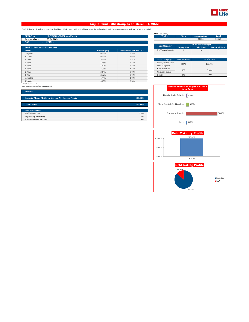

### **Liquid Fund - Old Group as on March 31, 2022**

**Fund Objective :** To deliver returns linked to Money Market levels with minimal interest rate risk and minimal credit risk so as to provide a high level of safety of capital.

| <b>SFIN Code</b><br>ULGF00111/08/03LiquidFund101 |                 |                               | <b>Equity</b>            | <b>Debt</b>                       | <b>MMI &amp; Others</b>     | <b>Total</b>         |
|--------------------------------------------------|-----------------|-------------------------------|--------------------------|-----------------------------------|-----------------------------|----------------------|
| <b>Inception Date</b><br>23 Jul 2003             |                 |                               | $\overline{\phantom{a}}$ | $\overline{a}$                    | 306.26                      | 306.26               |
| NAV<br>67.8901                                   |                 |                               |                          |                                   |                             |                      |
|                                                  |                 |                               | <b>Fund Manager</b>      |                                   | <b>No. Of Funds Managed</b> |                      |
| <b>Fund V/s Benchmark Performance</b>            |                 |                               |                          | <b>Equity Fund</b>                | <b>Debt Fund</b>            | <b>Balanced Fund</b> |
| <b>Period</b>                                    | Returns $(\% )$ | <b>Benchmark Returns (%)#</b> | Mr Vineet Choraria       |                                   | 29                          | $\overline{2}$       |
| Inception                                        | 6.73%           | 6.58%                         |                          |                                   |                             |                      |
| 10 Years                                         | 6.33%           | 7.03%                         |                          |                                   |                             |                      |
| 7 Years                                          | 5.35%           | 6.24%                         | <b>Asset Category</b>    | <b>F&amp;U</b> Mandate            |                             | % of Actual          |
| 5 Years                                          | 4.65%           | 5.71%                         | Money Market Insts       | 100%                              |                             |                      |
| 4 Years                                          | 4.47%           | 5.43%                         | <b>Public Deposits</b>   |                                   | 100,00%                     |                      |
| 3 Years                                          | 3.99%           | 4.71%                         | Govt. Securities         | 0%                                |                             |                      |
| 2 Years                                          | 3.14%           | 3.88%                         | Corporate Bonds          |                                   | 0.00%                       |                      |
| 1 Year                                           | 2.82%           | 3.68%                         | Equity                   | 0%                                |                             | 0.00%                |
| 6 Months                                         | 1.44%           | 1.88%                         |                          |                                   |                             |                      |
| 1 Month                                          | 0.25%           | 0.34%                         |                          |                                   |                             |                      |
| # CRISIL Liquid Fund Index                       |                 |                               |                          |                                   |                             |                      |
| Note: Returns over 1 year have been annualized.  |                 |                               |                          | Sector Allocation as not NIC 2008 |                             |                      |

| 306.26<br><b>No. Of Funds Managed</b><br><b>Equity Fund</b><br><b>Debt Fund</b><br>29 | 306.26<br>$\mathfrak{D}$ |  |
|---------------------------------------------------------------------------------------|--------------------------|--|
|                                                                                       |                          |  |
|                                                                                       | <b>Balanced Fund</b>     |  |
|                                                                                       |                          |  |
|                                                                                       |                          |  |
|                                                                                       |                          |  |
|                                                                                       |                          |  |
|                                                                                       |                          |  |
| <b>F&amp;U</b> Mandate                                                                | % of Actual              |  |
|                                                                                       |                          |  |
|                                                                                       | 100,00%                  |  |
|                                                                                       |                          |  |

|                                     | <b>Sector Allocation as per NIC 2008</b><br>% to Fund |        |
|-------------------------------------|-------------------------------------------------------|--------|
| <b>Financial Service Activities</b> | 4.76%                                                 |        |
| Mfg of Coke &Refined Petroleum      | 8.09%                                                 |        |
| <b>Government Securities</b>        |                                                       | 84.08% |
| Others                              | 3.07%                                                 |        |





| <b>Portfolio</b>                                       |         |
|--------------------------------------------------------|---------|
| Deposits, Money Mkt Securities and Net Current Assets. | 100.00% |
| <b>Grand Total</b>                                     | 100.00% |
| <b>Debt Parameters</b>                                 |         |
| Portfolio Yield (%)                                    | 3.83%   |
| Avg Maturity (In Months)                               | 6.03    |
| Modified Duration (In Years)                           | 0.50    |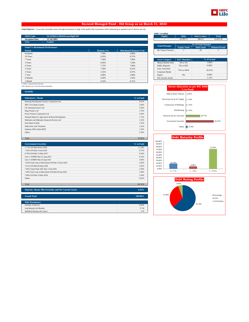

### **Secured Managed Fund - Old Group as on March 31, 2022**

**Fund Objective :** To provide reasonable returns through investments in high credit quality debt instruments while maintaining an optimal level of interest rate risk.

| <b>SFIN Code</b>                      | ULGF00211/08/03SecureMgtF101 |                 |                               | <b>Equity</b>          | <b>Debt</b>              | <b>MMI &amp; Others</b>     | <b>Total</b>             |
|---------------------------------------|------------------------------|-----------------|-------------------------------|------------------------|--------------------------|-----------------------------|--------------------------|
| <b>Inception Date</b>                 | 23 Jul 2003                  |                 |                               | $\overline{a}$         | 14,785.17                | 646.12                      | 15,431.30                |
| NAV                                   | 75.4643                      |                 |                               |                        |                          |                             |                          |
|                                       |                              |                 |                               | <b>Fund Manager</b>    |                          | <b>No. Of Funds Managed</b> |                          |
| <b>Fund V/s Benchmark Performance</b> |                              |                 |                               |                        | <b>Equity Fund</b>       | <b>Debt Fund</b>            | <b>Balanced Fund</b>     |
| Period                                |                              | Returns $(\% )$ | <b>Benchmark Returns (%)#</b> | Mr Vineet Choraria     |                          | 29                          | $\overline{\mathcal{L}}$ |
| Inception                             |                              | 7.30%           | 6.88%                         |                        |                          |                             |                          |
| 10 Years                              |                              | 8.35%           | 8.37%                         |                        |                          |                             |                          |
| 7 Years                               |                              | 7.50%           | 7.96%                         | <b>Asset Category</b>  | <b>F&amp;U</b> Mandate   |                             | % of Actual              |
| 5 Years                               |                              | 6.85%           | 7.29%                         | Money Market Insts     | 0% to 5%                 |                             | 3.06%                    |
| 4 Years                               |                              | 7.37%           | 7.84%                         | <b>Public Deposits</b> | 0% to 20%                |                             | 0.00%                    |
| 3 Years                               |                              | 7.39%           | 8.22%                         | Govt. Securities       |                          | 95.81%<br>75% to 100%       |                          |
| 2 Years                               |                              | 5.25%           | 6.07%                         | Corporate Bonds        |                          |                             |                          |
| 1 Year                                |                              | 4.08%           | 4.48%                         | Equity                 | 0%                       |                             | 0.00%                    |
| 6 Months                              |                              | 0.59%           | 1.05%                         | Net Current Assets     | $\overline{\phantom{a}}$ |                             | 1.12%                    |
| 1 Month                               |                              | 0.32%           | 0.21%                         |                        |                          |                             |                          |

<sup>#</sup> CRISIL Composite Bond Fund Index Note: Returns over 1 year have been annualized.

| <b>Portfolio</b>                                  |           |
|---------------------------------------------------|-----------|
| <b>Debentures / Bonds</b>                         | % to Fund |
| Housing Development Finance Corporation Ltd       | 9.01%     |
| <b>IDFC First Bank Limited</b>                    | 5.40%     |
| LIC Housing Finance Ltd                           | 3.56%     |
| Bajaj Finance Ltd                                 | 2.76%     |
| Power Finance Corporation Ltd                     | 2.04%     |
| National Bank For Agriculture & Rural Development | 1.72%     |
| Mahindra and Mahindra Financial Services Ltd      | 1.63%     |
| State Bank of India                               | 1.59%     |
| <b>Sikka Ports And Terminals</b>                  | 1.41%     |
| <b>Embassy Office Parks REIT</b>                  | 1.33%     |
| <b>Others</b>                                     | 5.20%     |
|                                                   |           |

| <b>Government Securities</b>                      | % to Fund |
|---------------------------------------------------|-----------|
| 7.17% GOI Mat 08-Jan-2028                         | 11.39%    |
| 7.26% GOI Mat 14-Jan-2029                         | 9.75%     |
| 6.79% GOI Mat 15-May-2027                         | 9.54%     |
| Gsec C-STRIPS Mat 22-Aug-2022                     | 6.16%     |
| Gsec C-STRIPS Mat 26-Apr-2022                     | 3.69%     |
| 7.64% Food Corp of India Bond GOI Mat 12-Dec-2029 | 2.69%     |
| 7.61% GOI Mat 09-May-2030                         | 2.62%     |
| 7.84% Tamil Nadu SDL Mat 13-Jul-2026              | 2.58%     |
| 7.60% Food Corp of India Bond GOI Mat 09-Jan-2030 | 2.49%     |
| 7.88% GOI Mat 19-Mar-2030                         | 2.34%     |
| <b>Others</b>                                     | 6.92%     |
|                                                   |           |
| Total                                             | 60.16%    |

Total 35.66%

| Deposits, Money Mkt Securities and Net Current Assets. | 4.19%   |
|--------------------------------------------------------|---------|
|                                                        |         |
| <b>Grand Total</b>                                     | 100.00% |
|                                                        |         |
| <b>Debt Parameters</b>                                 |         |
| Portfolio Yield (%)                                    | 6.09%   |
| Avg Maturity (In Months)                               | 57.58   |
| Modified Duration (In Years)                           | 3.70    |

|  | AUM (` in Lakhs) |
|--|------------------|
|--|------------------|

| <b>Equity</b>       | <b>Debt</b>                 | <b>MMI &amp; Others</b> | <b>Total</b>         |  |
|---------------------|-----------------------------|-------------------------|----------------------|--|
| ۰                   | 14.785.17                   | 646.12                  | 15.431.30            |  |
|                     |                             |                         |                      |  |
| <b>Fund Manager</b> | <b>No. Of Funds Managed</b> |                         |                      |  |
|                     | <b>Equity Fund</b>          | <b>Debt Fund</b>        | <b>Balanced Fund</b> |  |
| Mr Vineet Choraria  |                             | 29                      |                      |  |
|                     |                             |                         |                      |  |
|                     |                             |                         |                      |  |

| <b>Asset Category</b>     | <b>F&amp;U</b> Mandate | % of Actual |
|---------------------------|------------------------|-------------|
| Money Market Insts        | 0% to 5%               | 3.06%       |
| <b>Public Deposits</b>    | 0% to 20%              | 0.00%       |
| Govt. Securities          | 75% to 100%            | 95.81%      |
| Corporate Bonds           |                        |             |
| Equity                    | 0%                     | 0.00%       |
| <b>Net Current Assets</b> | ۰                      | 1.12%       |





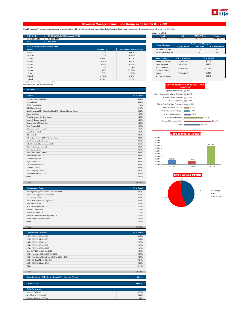

### **Balanced Managed Fund - Life Group as on March 31, 2022**

Fund Objective : To generate long term capital appreciation along with current income from a combined portfolio of equity and debt market instruments. The equity exposure will be between 30%-60%.

| <b>SFIN Code</b>                      | ULGF02525/02/12BalancedMF101 |                 |                               | <b>Equity</b>          | <b>Debt</b>            | <b>MMI &amp; Others</b> | <b>Total</b>         |
|---------------------------------------|------------------------------|-----------------|-------------------------------|------------------------|------------------------|-------------------------|----------------------|
| <b>Inception Date</b>                 | 02 Jan 2004                  |                 |                               | 8,728.13               | 9.052.17               | 1.182.92                | 18,963.21            |
| <b>NAV</b>                            | 161.3746                     |                 |                               |                        |                        |                         |                      |
|                                       |                              |                 |                               | <b>Fund Manager</b>    |                        | No. Of Funds Managed    |                      |
| <b>Fund V/s Benchmark Performance</b> |                              |                 |                               |                        | <b>Equity Fund</b>     | <b>Debt Fund</b>        | <b>Balanced Fund</b> |
| Period                                |                              | Returns $(\% )$ | <b>Benchmark Returns (%)#</b> | Mr Kailash Lalwani     | $\overline{2}$         | 13                      | 25                   |
| Inception                             |                              | 11.83%          | 9.66%                         | Mr Abhishek Agarwal    | $\sim$                 | $\sim$                  | 13                   |
| 10 Years                              |                              | 11.35%          | 10.36%                        |                        |                        |                         |                      |
| 7 Years                               |                              | 9.68%           | 9.27%                         | <b>Asset Category</b>  | <b>F&amp;U</b> Mandate |                         | % of Actual          |
| 5 Years                               |                              | 10.10%          | 9.99%                         | Money Market Insts     | 0% to 5%               |                         | 4.91%                |
| 4 Years                               |                              | 10.80%          | 10.60%                        | <b>Public Deposits</b> | 0% to 15%              |                         | 0.00%                |
| 3 Years                               |                              | 11.65%          | 11.04%                        | Govt. Securities       | 20% to 70%             |                         | 47.74%               |
| 2 Years                               |                              | 22.48%          | 22.68%                        | Corporate Bonds        |                        |                         |                      |
| 1 Year                                |                              | 11.03%          | 11.12%                        | Equity                 | 30% to 60%             |                         | 46.03%               |
| 6 Months                              |                              | $-0.31%$        | 0.18%                         | Net Current Assets     | $\sim$                 |                         | 1.32%                |
| 1 Month                               |                              | 1.76%           | 1.91%                         |                        |                        |                         |                      |

| <b>Equity</b>          | <b>Debt</b>            | <b>MMI &amp; Others</b>     | <b>Total</b>         |  |
|------------------------|------------------------|-----------------------------|----------------------|--|
| 8.728.13               | 9.052.17               | 1.182.92                    | 18.963.21            |  |
|                        |                        |                             |                      |  |
| <b>Fund Manager</b>    |                        | <b>No. Of Funds Managed</b> |                      |  |
|                        | <b>Equity Fund</b>     | <b>Debt Fund</b>            | <b>Balanced Fund</b> |  |
| Mr Kailash Lalwani     | 2                      | 13                          | 25                   |  |
| Mr Abhishek Agarwal    |                        |                             | 13                   |  |
|                        |                        |                             |                      |  |
|                        |                        |                             |                      |  |
| <b>Asset Category</b>  | <b>F&amp;U</b> Mandate |                             | % of Actual          |  |
| Money Market Insts     | 0% to 5%               |                             | 4.91%                |  |
| <b>Public Deposits</b> | 0% to 15%              |                             | 0.00%                |  |
| Govt. Securities       |                        |                             |                      |  |
| Corporate Bonds        | 20% to 70%             |                             | 47.74%               |  |
| Equity                 | 30% to 60%             |                             | 46.03%               |  |

### # 45% BSE -100 55% CRISIL Composite Bond Fund Index Note: Returns over 1 year have been annualized.

| <b>Equity</b><br>Reliance Industries Limited<br><b>Infosys Limited</b><br><b>HDFC Bank Limited</b><br><b>ICICI</b> Bank Limited<br>Kotak Mahindra MF - Kotak Banking ETF - Dividend Payout Option<br>Bharti Airtel Ltd<br>Tata Consultancy Services Limited<br>Larsen & Toubro Limited<br>Nippon India ETF Bank Bees<br>Bajaj Finance Ltd<br>Hindustan Unilever Limited<br>Axis Bank Limited<br>ITC Limited<br>SBI Mutual Fund - SBI ETF Private Bank<br>Kotak Mahindra Bank Limited<br><b>ICICI Prudential Private Banks ETF</b><br><b>HCL Technologies Limited</b><br>State Bank of India<br>UltraTech Cement Limited<br>Maruti Suzuki India Ltd.<br>Asian Paints (India) Ltd<br>Bajaj Finserv Ltd<br><b>ICICI Prodential IT ETF</b><br>Tata Steel Limited<br>Titan Company Limited<br>Mahindra & Mahindra Ltd.<br>Others | <b>Portfolio</b> |           |
|-----------------------------------------------------------------------------------------------------------------------------------------------------------------------------------------------------------------------------------------------------------------------------------------------------------------------------------------------------------------------------------------------------------------------------------------------------------------------------------------------------------------------------------------------------------------------------------------------------------------------------------------------------------------------------------------------------------------------------------------------------------------------------------------------------------------------------|------------------|-----------|
|                                                                                                                                                                                                                                                                                                                                                                                                                                                                                                                                                                                                                                                                                                                                                                                                                             |                  | % to Fund |
|                                                                                                                                                                                                                                                                                                                                                                                                                                                                                                                                                                                                                                                                                                                                                                                                                             |                  | 4.62%     |
|                                                                                                                                                                                                                                                                                                                                                                                                                                                                                                                                                                                                                                                                                                                                                                                                                             |                  | 4.02%     |
|                                                                                                                                                                                                                                                                                                                                                                                                                                                                                                                                                                                                                                                                                                                                                                                                                             |                  | 2.94%     |
|                                                                                                                                                                                                                                                                                                                                                                                                                                                                                                                                                                                                                                                                                                                                                                                                                             |                  | 2.49%     |
|                                                                                                                                                                                                                                                                                                                                                                                                                                                                                                                                                                                                                                                                                                                                                                                                                             |                  | 2.02%     |
|                                                                                                                                                                                                                                                                                                                                                                                                                                                                                                                                                                                                                                                                                                                                                                                                                             |                  | 1.68%     |
|                                                                                                                                                                                                                                                                                                                                                                                                                                                                                                                                                                                                                                                                                                                                                                                                                             |                  | 1.29%     |
|                                                                                                                                                                                                                                                                                                                                                                                                                                                                                                                                                                                                                                                                                                                                                                                                                             |                  | 1.29%     |
|                                                                                                                                                                                                                                                                                                                                                                                                                                                                                                                                                                                                                                                                                                                                                                                                                             |                  | 1.26%     |
|                                                                                                                                                                                                                                                                                                                                                                                                                                                                                                                                                                                                                                                                                                                                                                                                                             |                  | 1.09%     |
|                                                                                                                                                                                                                                                                                                                                                                                                                                                                                                                                                                                                                                                                                                                                                                                                                             |                  | 1.08%     |
|                                                                                                                                                                                                                                                                                                                                                                                                                                                                                                                                                                                                                                                                                                                                                                                                                             |                  | 1.06%     |
|                                                                                                                                                                                                                                                                                                                                                                                                                                                                                                                                                                                                                                                                                                                                                                                                                             |                  | 0.98%     |
|                                                                                                                                                                                                                                                                                                                                                                                                                                                                                                                                                                                                                                                                                                                                                                                                                             |                  | 0.91%     |
|                                                                                                                                                                                                                                                                                                                                                                                                                                                                                                                                                                                                                                                                                                                                                                                                                             |                  | 0.87%     |
|                                                                                                                                                                                                                                                                                                                                                                                                                                                                                                                                                                                                                                                                                                                                                                                                                             |                  | 0.72%     |
|                                                                                                                                                                                                                                                                                                                                                                                                                                                                                                                                                                                                                                                                                                                                                                                                                             |                  | 0.68%     |
|                                                                                                                                                                                                                                                                                                                                                                                                                                                                                                                                                                                                                                                                                                                                                                                                                             |                  | 0.65%     |
|                                                                                                                                                                                                                                                                                                                                                                                                                                                                                                                                                                                                                                                                                                                                                                                                                             |                  | 0.65%     |
|                                                                                                                                                                                                                                                                                                                                                                                                                                                                                                                                                                                                                                                                                                                                                                                                                             |                  | 0.65%     |
|                                                                                                                                                                                                                                                                                                                                                                                                                                                                                                                                                                                                                                                                                                                                                                                                                             |                  | 0.64%     |
|                                                                                                                                                                                                                                                                                                                                                                                                                                                                                                                                                                                                                                                                                                                                                                                                                             |                  | 0.63%     |
|                                                                                                                                                                                                                                                                                                                                                                                                                                                                                                                                                                                                                                                                                                                                                                                                                             |                  | 0.58%     |
|                                                                                                                                                                                                                                                                                                                                                                                                                                                                                                                                                                                                                                                                                                                                                                                                                             |                  | 0.54%     |
|                                                                                                                                                                                                                                                                                                                                                                                                                                                                                                                                                                                                                                                                                                                                                                                                                             |                  | 0.52%     |
|                                                                                                                                                                                                                                                                                                                                                                                                                                                                                                                                                                                                                                                                                                                                                                                                                             |                  | 0.51%     |
|                                                                                                                                                                                                                                                                                                                                                                                                                                                                                                                                                                                                                                                                                                                                                                                                                             |                  | 11.63%    |
|                                                                                                                                                                                                                                                                                                                                                                                                                                                                                                                                                                                                                                                                                                                                                                                                                             |                  |           |

| Bajaj Finserv Ltd                           | 0.63%     | 10.00%     |
|---------------------------------------------|-----------|------------|
| <b>ICICI Prudential IT ETF</b>              | 0.58%     | 0.00%      |
| <b>Tata Steel Limited</b>                   | 0.54%     | $0 - 1$ Yr |
| <b>Titan Company Limited</b>                | 0.52%     |            |
| Mahindra & Mahindra Ltd.                    | 0.51%     |            |
| Others                                      | 11.63%    |            |
|                                             |           |            |
| Total                                       | 46.03%    |            |
|                                             |           |            |
| <b>Debentures / Bonds</b>                   |           |            |
|                                             | % to Fund |            |
| Housing Development Finance Corporation Ltd | 4.63%     |            |
| Power Grid Corporation of India Ltd         | 3.78%     |            |
| LIC Housing Finance Ltd                     | 3.18%     | 55.97%     |
| Indian Railway Finance Corporation Ltd      | 2.18%     |            |
| State Bank of India                         | 1.96%     |            |
| <b>HDB</b> Financial Services Ltd           | 1.45%     |            |

| <b>Debentures / Bonds</b>                   | % to Fund |
|---------------------------------------------|-----------|
| Housing Development Finance Corporation Ltd | 4.63%     |
| Power Grid Corporation of India Ltd         | 3.78%     |
| LIC Housing Finance Ltd                     | 3.18%     |
| Indian Railway Finance Corporation Ltd      | 2.18%     |
| State Bank of India                         | 1.96%     |
| HDB Financial Services Ltd                  | 1.45%     |
| <b>Ultratech Cement Ltd</b>                 | 1.38%     |
| Sundaram Finance Ltd                        | 1.26%     |
| National Thermal Power Corporation Ltd      | 1.19%     |
| Power Finance Corporation Ltd               | 1.04%     |
| Others                                      | 5.07%     |
|                                             |           |

Total 27.11%

| <b>Government Securities</b>                           | % to Fund |
|--------------------------------------------------------|-----------|
| 7.17% GOI Mat 08-Jan-2028                              | 4.17%     |
| 7.26% GOI Mat 14-Jan-2029                              | 2.47%     |
| 6.45% GOI Mat 07-Oct-2029                              | 2.25%     |
| 6.54% GOI Mat 17-Jan-2032                              | 1.65%     |
| 6.79% GOI Mat 15-May-2027                              | 1.48%     |
| Gsec C-STRIPS Mat 26-Oct-2022                          | 1.03%     |
| 7.80% Karnataka SDL Mat 08-Apr-2030                    | 0.55%     |
| 7.64% Food Corp of India Bond GOI Mat 12-Dec-2029      | 0.55%     |
| 8.00% Oil Bond Mat 23-Mar-2026                         | 0.54%     |
| 5.63% GOI Mat 12-Apr-2026                              | 0.50%     |
| <b>Others</b>                                          | 5.44%     |
|                                                        |           |
| Total                                                  | 20.63%    |
|                                                        |           |
| Deposits, Money Mkt Securities and Net Current Assets. | 6.24%     |

| <b>Grand Total</b>           | 100.00% |
|------------------------------|---------|
|                              |         |
| <b>Debt Parameters</b>       |         |
| Portfolio Yield (%)          | 5.96%   |
| Avg Maturity (In Months)     | 52.59   |
| Modified Duration (In Years) | 3.41    |

|                                      | <b>Sector Allocation as per NIC 2008</b><br>% to Fund |
|--------------------------------------|-------------------------------------------------------|
| Mfg of Pharmaceuticals               | 2.01%                                                 |
| Mfg of Non-metallic mineral Products | 2.26%                                                 |
| Mfg of Chemical Products             | 2.46%                                                 |
| Civil Engineering                    | 2.68%                                                 |
| Mfg of Coke &Refined Petroleum       | 4.89%                                                 |
| <b>Other Financial Activities</b>    | 5.65%                                                 |
| Electricity, Gas & AC Supply         | 5.90%                                                 |
| <b>Computer Programming</b>          | 7.16%                                                 |
| <b>Government Securities</b>         | 20.63%                                                |
| <b>Financial Service Activities</b>  | 29.16%                                                |
| Others                               | 17.19%                                                |



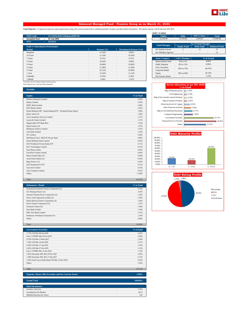

### **Balanced Managed Fund - Pension Group as on March 31, 2022**

Fund Objective : To generate long term capital appreciation along with current income from a combined portfolio of equity and debt market instruments. The equity exposure will be between 30%-60%.

| <b>SFIN Code</b>                      | ULGF03218/02/12BalancedMF101 |                 |                               | Equity                 |                        | <b>Debt</b> | <b>MMI &amp; Others</b>     |  |  |
|---------------------------------------|------------------------------|-----------------|-------------------------------|------------------------|------------------------|-------------|-----------------------------|--|--|
|                                       |                              |                 |                               |                        |                        |             |                             |  |  |
| <b>Inception Date</b>                 | 02 Jan 2004                  |                 |                               | 12.232.03              | 13,194.84              |             | 1.619.81                    |  |  |
| <b>NAV</b>                            | 152.9121                     |                 |                               |                        |                        |             |                             |  |  |
|                                       |                              |                 |                               | <b>Fund Manager</b>    |                        |             | <b>No. Of Funds Managed</b> |  |  |
| <b>Fund V/s Benchmark Performance</b> |                              |                 |                               |                        | <b>Equity Fund</b>     |             | <b>Debt Fund</b>            |  |  |
| Period                                |                              | Returns $(\% )$ | <b>Benchmark Returns (%)#</b> | Mr Kailash Lalwani     | $\overline{2}$         |             | 13                          |  |  |
| Inception                             |                              | 11.50%          | 9.66%                         | Mr Abhishek Agarwal    |                        |             | 13                          |  |  |
| 10 Years                              |                              | 11.19%          | 10.36%                        |                        |                        |             |                             |  |  |
| 7 Years                               |                              | 9.72%           | 9.27%                         | <b>Asset Category</b>  | <b>F&amp;U</b> Mandate |             | % of Actual                 |  |  |
| 5 Years                               |                              | 10.03%          | 9.99%                         | Money Market Insts     | 0% to 5%               |             | 4.84%                       |  |  |
| 4 Years                               |                              | 10.68%          | 10.60%                        | <b>Public Deposits</b> | 0% to 15%              |             | 0.00%                       |  |  |
| 3 Years                               |                              | 11.40%          | 11.04%                        | Govt. Securities       | 48.79%<br>20% to 70%   |             |                             |  |  |
| 2 Years                               |                              | 22.12%          | 22.68%                        | Corporate Bonds        |                        |             |                             |  |  |
| 1 Year                                |                              | 11.02%          | 11.12%                        | Equity                 | 30% to 60%             |             | 45.23%                      |  |  |
| 6 Months                              |                              | $-0.33%$        | 0.18%                         | Net Current Assets     | $\sim$                 |             | 1.15%                       |  |  |
| 1 Month                               |                              | 1.64%           | 1.91%                         |                        |                        |             |                             |  |  |

| <b>Equity</b>             | <b>Debt</b>                 | <b>MMI &amp; Others</b> | <b>Total</b>         |  |  |
|---------------------------|-----------------------------|-------------------------|----------------------|--|--|
| 12.232.03                 | 13.194.84                   | 1.619.81                | 27,046.68            |  |  |
|                           |                             |                         |                      |  |  |
| <b>Fund Manager</b>       | <b>No. Of Funds Managed</b> |                         |                      |  |  |
|                           | <b>Equity Fund</b>          | <b>Debt Fund</b>        | <b>Balanced Fund</b> |  |  |
| Mr Kailash Lalwani        | 2                           | 13                      | 25                   |  |  |
| Mr Abhishek Agarwal       |                             |                         | 13                   |  |  |
|                           |                             |                         |                      |  |  |
|                           |                             |                         |                      |  |  |
| <b>Asset Category</b>     | <b>F&amp;U</b> Mandate      |                         | % of Actual          |  |  |
| <b>Money Market Insts</b> | 0% to 5%                    |                         | 4.84%                |  |  |
| <b>Public Deposits</b>    | 0% to 15%                   |                         | 0.00%                |  |  |
| <b>Govt.</b> Securities   |                             |                         |                      |  |  |
| Corporate Bonds           | 20% to 70%                  |                         | 48.79%               |  |  |
| Equity                    | 30% to 60%                  |                         | 45.23%               |  |  |

### # 45% BSE -100 55% CRISIL Composite Bond Fund Index Note: Returns over 1 year have been annualized.

| <b>Equity</b><br>Reliance Industries Limited<br><b>Infosys Limited</b><br>HDFC Bank Limited<br><b>ICICI</b> Bank Limited<br>Kotak Mahindra MF - Kotak Banking ETF - Dividend Payout Option<br>Bharti Airtel Ltd<br>Tata Consultancy Services Limited<br>Larsen & Toubro Limited<br>Nippon India ETF Bank Bees<br>Bajaj Finance Ltd<br>Hindustan Unilever Limited<br>Axis Bank Limited<br><b>ITC</b> Limited<br>SBI Mutual Fund - SBI ETF Private Bank<br>Kotak Mahindra Bank Limited | % to Fund<br>4.54%<br>3.95%<br>2.89%<br>2.45%<br>1.99%<br>1.66%<br>1.27%<br>1.27%<br>1.24%<br>1.07%<br>1.07%<br>1.05%<br>0.96% |
|--------------------------------------------------------------------------------------------------------------------------------------------------------------------------------------------------------------------------------------------------------------------------------------------------------------------------------------------------------------------------------------------------------------------------------------------------------------------------------------|--------------------------------------------------------------------------------------------------------------------------------|
|                                                                                                                                                                                                                                                                                                                                                                                                                                                                                      |                                                                                                                                |
|                                                                                                                                                                                                                                                                                                                                                                                                                                                                                      |                                                                                                                                |
|                                                                                                                                                                                                                                                                                                                                                                                                                                                                                      |                                                                                                                                |
|                                                                                                                                                                                                                                                                                                                                                                                                                                                                                      |                                                                                                                                |
|                                                                                                                                                                                                                                                                                                                                                                                                                                                                                      |                                                                                                                                |
|                                                                                                                                                                                                                                                                                                                                                                                                                                                                                      |                                                                                                                                |
|                                                                                                                                                                                                                                                                                                                                                                                                                                                                                      |                                                                                                                                |
|                                                                                                                                                                                                                                                                                                                                                                                                                                                                                      |                                                                                                                                |
|                                                                                                                                                                                                                                                                                                                                                                                                                                                                                      |                                                                                                                                |
|                                                                                                                                                                                                                                                                                                                                                                                                                                                                                      |                                                                                                                                |
|                                                                                                                                                                                                                                                                                                                                                                                                                                                                                      |                                                                                                                                |
|                                                                                                                                                                                                                                                                                                                                                                                                                                                                                      |                                                                                                                                |
|                                                                                                                                                                                                                                                                                                                                                                                                                                                                                      |                                                                                                                                |
|                                                                                                                                                                                                                                                                                                                                                                                                                                                                                      | 0.89%                                                                                                                          |
|                                                                                                                                                                                                                                                                                                                                                                                                                                                                                      | 0.85%                                                                                                                          |
| <b>ICICI Prudential Private Banks ETF</b>                                                                                                                                                                                                                                                                                                                                                                                                                                            | 0.71%                                                                                                                          |
| <b>HCL Technologies Limited</b>                                                                                                                                                                                                                                                                                                                                                                                                                                                      | 0.67%                                                                                                                          |
| State Bank of India                                                                                                                                                                                                                                                                                                                                                                                                                                                                  | 0.64%                                                                                                                          |
| UltraTech Cement Limited                                                                                                                                                                                                                                                                                                                                                                                                                                                             | 0.64%                                                                                                                          |
| Maruti Suzuki India Ltd.                                                                                                                                                                                                                                                                                                                                                                                                                                                             | 0.64%                                                                                                                          |
| Asian Paints (India) Ltd                                                                                                                                                                                                                                                                                                                                                                                                                                                             | 0.63%                                                                                                                          |
| Bajaj Finserv Ltd                                                                                                                                                                                                                                                                                                                                                                                                                                                                    | 0.62%                                                                                                                          |
| <b>ICICI Prudential IT ETF</b>                                                                                                                                                                                                                                                                                                                                                                                                                                                       | 0.57%                                                                                                                          |
| <b>Tata Steel Limited</b>                                                                                                                                                                                                                                                                                                                                                                                                                                                            | 0.53%                                                                                                                          |
| <b>Titan Company Limited</b>                                                                                                                                                                                                                                                                                                                                                                                                                                                         | 0.51%                                                                                                                          |
| Others                                                                                                                                                                                                                                                                                                                                                                                                                                                                               | 11.90%                                                                                                                         |

| <b>Debentures / Bonds</b>                   | % to Fund |
|---------------------------------------------|-----------|
| Housing Development Finance Corporation Ltd | 3.53%     |
| LIC Housing Finance Ltd                     | 3.42%     |
| National Thermal Power Corporation Ltd      | 2.10%     |
| Power Grid Corporation of India Ltd         | 1.95%     |
| Indian Railway Finance Corporation Ltd      | 1.64%     |
| Power Finance Corporation Ltd               | 1.37%     |
| <b>Ultratech Cement Ltd</b>                 | 1.36%     |
| State Bank of India                         | 1.34%     |
| <b>IDFC First Bank Limited</b>              | 1.21%     |
| Hindustan Petroleum Corporation Ltd         | 1.18%     |
| Others                                      | 6.00%     |
|                                             |           |
| Total                                       | 25.08%    |

| <b>Government Securities</b>                      | % to Fund |
|---------------------------------------------------|-----------|
| 7.17% GOI Mat 08-Jan-2028                         | 4.42%     |
| Gsec C-STRIPS Mat 26-Oct-2022                     | 2.96%     |
| 6.79% GOI Mat 15-May-2027                         | 2.36%     |
| 7.26% GOI Mat 14-Jan-2029                         | 2.17%     |
| 6.54% GOI Mat 17-Jan-2032.                        | 1.63%     |
| 6.45% GOI Mat 07-Oct-2029                         | 1.21%     |
| Gsec C-STRIPS Mat 15-Jun-2022                     | 1.13%     |
| 7.65% Karnataka SDL Mat 29 Nov 2027               | 1.03%     |
| 7.38% Karnataka SDL Mat 27-Sep-2027               | 0.72%     |
| 7.64% Food Corp of India Bond GOI Mat 12-Dec-2029 | 0.54%     |
| Others                                            | 5.54%     |
|                                                   |           |
| Total                                             | 23.71%    |
|                                                   |           |

| Deposits, Money Mkt Securities and Net Current Assets. | 5.99%   |
|--------------------------------------------------------|---------|
|                                                        |         |
| <b>Grand Total</b>                                     | 100.00% |
|                                                        |         |
| <b>Debt Parameters</b>                                 |         |
| Portfolio Yield (%)                                    | 5.79%   |
| Avg Maturity (In Months)                               | 46.31   |
| Modified Duration (In Years)                           | 3.05    |

|                                      | Sector Allocation as per NIC 2008<br>% to Fund |
|--------------------------------------|------------------------------------------------|
| Mfg of Pharmaceuticals               | 1.97%                                          |
| Civil Engineering                    | 2.14%                                          |
| Mfg of Non-metallic mineral Products | 2.22%                                          |
| Mfg of Chemical Products             | 2.42%                                          |
| Electricity, Gas & AC Supply         | 4.53%                                          |
| Other Financial Activities           | 5.56%                                          |
| Mfg of Coke &Refined Petroleum       | 6.77%                                          |
| <b>Computer Programming</b>          | 7.03%                                          |
| <b>Government Securities</b>         | 23.71%                                         |
| <b>Financial Service Activities</b>  | 26.05%                                         |
| Others                               | 17.61%                                         |



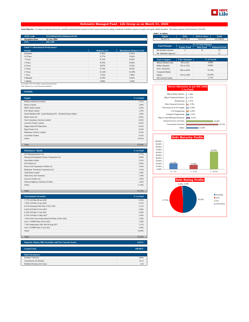

### **Defensive Managed Fund - Life Group as on March 31, 2022**

Fund Objective : To enhance long term returns for a portfolio predominantly invested in fixed income securities by taking a moderate to medium exposure to equity and equity related securities. The equity exposure will be b

|                                                  |                 |                               | AUIVI (III LAKIIS)     |                        |                             |                      |
|--------------------------------------------------|-----------------|-------------------------------|------------------------|------------------------|-----------------------------|----------------------|
| <b>SFIN Code</b><br>ULGF02425/02/12DefensiveF101 |                 |                               | Equity                 | Debt                   | <b>MMI &amp; Others</b>     | <b>Total</b>         |
| <b>Inception Date</b><br>02 Jan 2004             |                 |                               | 34,233.72              | 106,880.26             | 10,054.82                   | 151,168.80           |
| <b>NAV</b><br>: 109.7289                         |                 |                               |                        |                        |                             |                      |
|                                                  |                 |                               | <b>Fund Manager</b>    |                        | <b>No. Of Funds Managed</b> |                      |
| <b>Fund V/s Benchmark Performance</b>            |                 |                               |                        | <b>Equity Fund</b>     | <b>Debt Fund</b>            | <b>Balanced Fund</b> |
| Period                                           | Returns $(\% )$ | <b>Benchmark Returns (%)#</b> | Mr Kailash Lalwani     |                        | 13                          | 25                   |
| Inception                                        | 9.59%           | 8.25%                         | Mr Abhishek Agarwal    | $\overline{a}$         | $\sim$                      | 13                   |
| 10 Years                                         | 9.77%           | 9.36%                         |                        |                        |                             |                      |
| 7 Years                                          | 8.72%           | 8.62%                         | <b>Asset Category</b>  | <b>F&amp;U</b> Mandate | % of Actual                 |                      |
| 5 Years                                          | 8.53%           | 8.64%                         | Money Market Insts     | 0% to 5%               | 4.88%                       |                      |
| 4 Years                                          | 9.07%           | 9.22%                         | <b>Public Deposits</b> | 0% to 15%              |                             | 0.00%                |
| 3 Years                                          | 9.73%           | 9.63%                         | Govt. Securities       | 50% to 85%             |                             | 70.70%               |
| 2 Years                                          | 13.14%          | 14.38%                        | Corporate Bonds        |                        |                             |                      |
| 1 Year                                           | 7.62%           | 7.80%                         | Equity                 | 15% to 30%             | 22.65%                      |                      |
| 6 Months                                         | 0.10%           | 0.62%                         | Net Current Assets     | $\overline{a}$         |                             | 1.77%                |
| 1 Month                                          | 0.88%           | 1.06%                         |                        |                        |                             |                      |

# 22.5% BSE -100 77.5% CRISIL Composite Bond Fund Index Note: Returns over 1 year have been annualized.

| <b>Portfolio</b>                                               |           |
|----------------------------------------------------------------|-----------|
|                                                                |           |
| <b>Equity</b>                                                  | % to Fund |
| Reliance Industries Limited                                    | 2.27%     |
| <b>Infosys Limited</b>                                         | 1.98%     |
| <b>HDFC Bank Limited</b>                                       | 1.45%     |
| <b>ICICI</b> Bank Limited                                      | 1.23%     |
| Kotak Mahindra MF - Kotak Banking ETF - Dividend Payout Option | 1.00%     |
| <b>Bharti Airtel Ltd</b>                                       | 0.83%     |
| <b>Tata Consultancy Services Limited</b>                       | 0.64%     |
| Larsen & Toubro Limited                                        | 0.63%     |
| Nippon India ETF Bank Bees                                     | 0.62%     |
| Bajaj Finance Ltd                                              | 0.54%     |
| Hindustan Unilever Limited                                     | 0.53%     |
| Axis Bank Limited                                              | 0.52%     |
| Others                                                         | 10.41%    |
|                                                                |           |
| Total                                                          | 22.65%    |

| <b>Debentures / Bonds</b>                   | % to Fund |
|---------------------------------------------|-----------|
| LIC Housing Finance Ltd                     | 5.77%     |
| Housing Development Finance Corporation Ltd | 4.60%     |
| State Bank of India                         | 2.41%     |
| <b>ICICI Bank Ltd</b>                       | 2.06%     |
| Power Grid Corporation of India Ltd         | 1.93%     |
| Hindustan Petroleum Corporation Ltd         | 1.52%     |
| <b>AXIS Bank Limited</b>                    | 1.39%     |
| <b>Sikka Ports And Terminals</b>            | 1.38%     |
| Larsen & Toubro Ltd.                        | 1.36%     |
| National Highway Authority Of India         | 1.29%     |
| <b>Others</b>                               | 11.44%    |
|                                             |           |

Total 35.15%

| <b>Government Securities</b>                      | % to Fund |
|---------------------------------------------------|-----------|
| 7.17% GOI Mat 08-Jan-2028                         | 6.35%     |
| 7.26% GOI Mat 14-Jan-2029                         | 3.37%     |
| 8.31% Karnataka SDL Mat 14 Nov 2022.              | 3.11%     |
| 6.45% GOI Mat 07-Oct-2029                         | 2.38%     |
| 6.54% GOI Mat 17-Jan-2032                         | 2.28%     |
| 6.79% GOI Mat 15-May-2027                         | 1.99%     |
| 7.64% Food Corp of India Bond GOI Mat 12-Dec-2029 | 1.59%     |
| Gsec C-STRIPS Mat 26-Oct-2022                     | 1.29%     |
| 7.20% Maharashtra SDL Mat 09-Aug-2027             | 1.15%     |
| Gsec C-STRIPS Mat 15-Jun-2022                     | 1.09%     |
| Others                                            | 10.96%    |
|                                                   |           |
| Total                                             | 35.55%    |

| Deposits, Money Mkt Securities and Net Current Assets. | 6.65%   |
|--------------------------------------------------------|---------|
| <b>Grand Total</b>                                     | 100.00% |
|                                                        |         |
| <b>Debt Parameters</b>                                 |         |
| Portfolio Yield (%)                                    | 5.89%   |
| Avg Maturity (In Months)                               | 50.13   |
| Modified Duration (In Years)                           | 3.26    |

| <b>Equity</b>       | <b>Debt</b>              | <b>MMI &amp; Others</b>     | <b>Total</b>         |
|---------------------|--------------------------|-----------------------------|----------------------|
| 34.233.72           | 106,880.26               | 10.054.82                   | 151.168.80           |
|                     |                          |                             |                      |
|                     |                          | <b>No. Of Funds Managed</b> |                      |
| <b>Fund Manager</b> | <b>Equity Fund</b>       | <b>Debt Fund</b>            | <b>Balanced Fund</b> |
| Mr Kailash Lalwani  |                          | 13                          | 25                   |
| Mr Abhishek Agarwal | $\overline{\phantom{a}}$ | $\overline{\phantom{a}}$    | 13                   |

| <b>Asset Category</b>     | <b>F&amp;U</b> Mandate   | % of Actual. |  |  |
|---------------------------|--------------------------|--------------|--|--|
| Money Market Insts        | 0% to 5%                 | 4.88%        |  |  |
| <b>Public Deposits</b>    | 0% to 15%                | 0.00%        |  |  |
| Govt. Securities          | 50% to 85%               | 70.70%       |  |  |
| Corporate Bonds           |                          |              |  |  |
| Equity                    | 15% to 30%               | 22.65%       |  |  |
| <b>Net Current Assets</b> | $\overline{\phantom{a}}$ | 1.77%        |  |  |



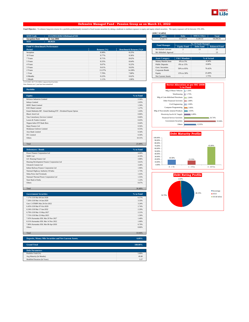

### **Defensive Managed Fund - Pension Group as on March 31, 2022**

Fund Objective : To enhance long term returns for a portfolio predominantly invested in fixed income securities by taking a moderate to medium exposure to equity and equity related securities. The equity exposure will be b

| <b>SFIN Code</b><br>ULGF03118/02/12DefensiveF101 |                 |                               | <b>Equity</b>             | <b>Debt</b>              | <b>MMI &amp; Others</b>     | <b>Total</b>         |
|--------------------------------------------------|-----------------|-------------------------------|---------------------------|--------------------------|-----------------------------|----------------------|
| <b>Inception Date</b><br>02 Jan 2004             |                 |                               | 4,320.73                  | 12.953.34                | 1.120.33                    | 18.394.41            |
| <b>NAV</b><br>99,0626<br><b>B</b>                |                 |                               |                           |                          |                             |                      |
|                                                  |                 |                               | <b>Fund Manager</b>       |                          | <b>No. Of Funds Managed</b> |                      |
| <b>Fund V/s Benchmark Performance</b>            |                 |                               |                           | <b>Equity Fund</b>       | <b>Debt Fund</b>            | <b>Balanced Fund</b> |
| Period                                           | Returns $(\% )$ | <b>Benchmark Returns (%)#</b> | Mr Kailash Lalwani        | 2                        | 13                          | 25                   |
| Inception                                        | 8.98%           | 8.25%                         | Mr Abhishek Agarwal       | $\overline{\phantom{a}}$ |                             | 13                   |
| 10 Years                                         | 9.77%           | 9.36%                         |                           |                          |                             |                      |
| 7 Years                                          | 8.71%           | 8.62%                         | <b>Asset Category</b>     | <b>F&amp;U</b> Mandate   |                             | % of Actual          |
| 5 Years                                          | 8.55%           | 8.64%                         | <b>Money Market Insts</b> | 0% to 5%                 |                             | 4.34%                |
| 4 Years                                          | 9.07%           | 9.22%                         | <b>Public Deposits</b>    | 0% to 15%                |                             | 0.00%                |
| 3 Years                                          | 9.61%           | 9.63%                         | Govt. Securities          | 50% to 85%               |                             | 70.42%               |
| 2 Years                                          | 13.37%          | 14.38%                        | Corporate Bonds           |                          |                             |                      |
| 1 Year                                           | 7.70%           | 7.80%                         | Equity                    | 15% to 30%               |                             | 23.49%               |
| 6 Months                                         | 0.22%           | 0.62%                         | Net Current Assets        | $\sim$                   |                             | 1.75%                |
| 1 Month                                          | 1.11%           | 1.06%                         |                           |                          |                             |                      |

| <b>Equity</b>           | <b>Debt</b>                 | <b>MMI &amp; Others</b> | <b>Total</b>         |  |  |  |  |
|-------------------------|-----------------------------|-------------------------|----------------------|--|--|--|--|
| 4.320.73                | 12.953.34                   | 1.120.33                | 18.394.41            |  |  |  |  |
|                         | <b>No. Of Funds Managed</b> |                         |                      |  |  |  |  |
| <b>Fund Manager</b>     | <b>Equity Fund</b>          | <b>Debt Fund</b>        | <b>Balanced Fund</b> |  |  |  |  |
| Mr Kailash Lalwani      | $\mathfrak{D}$              | 13                      | 25                   |  |  |  |  |
| Mr Abhishek Agarwal     |                             | ٠                       | 13                   |  |  |  |  |
|                         |                             |                         |                      |  |  |  |  |
|                         |                             |                         |                      |  |  |  |  |
| <b>Asset Category</b>   | <b>F&amp;U</b> Mandate      |                         | % of Actual          |  |  |  |  |
| Money Market Insts      | 0% to 5%                    |                         | 4.34%                |  |  |  |  |
| <b>Public Deposits</b>  | 0% to 15%                   |                         | 0.00%                |  |  |  |  |
| <b>Govt.</b> Securities |                             |                         |                      |  |  |  |  |
| Corporate Bonds         | 50% to 85%                  |                         | 70.42%               |  |  |  |  |

### # 22.5% BSE -100 77.5% CRISIL Composite Bond Fund Index Note: Returns over 1 year have been annualized.

| <b>Portfolio</b>                                               |           |
|----------------------------------------------------------------|-----------|
| <b>Equity</b>                                                  | % to Fund |
| Reliance Industries Limited                                    | 2.36%     |
| <b>Infosys Limited</b>                                         | 2.05%     |
| HDFC Bank Limited                                              | 1.50%     |
| <b>ICICI Bank Limited</b>                                      | 1.27%     |
| Kotak Mahindra MF - Kotak Banking ETF - Dividend Payout Option | 1.03%     |
| Bharti Airtel Ltd                                              | 0.86%     |
| Tata Consultancy Services Limited                              | 0.66%     |
| Larsen & Toubro Limited                                        | 0.65%     |
| Nippon India ETF Bank Bees                                     | 0.64%     |
| Bajaj Finance Ltd                                              | 0.56%     |
| Hindustan Unilever Limited                                     | 0.55%     |
| Axis Bank Limited                                              | 0.54%     |
| <b>ITC</b> Limited                                             | 0.50%     |
| Others                                                         | 10.31%    |
|                                                                |           |
| Total                                                          | 23.49%    |

| <b>Debentures / Bonds</b>                   | % to Fund |
|---------------------------------------------|-----------|
| Power Finance Corporation Ltd               | 4.66%     |
| NHPC Ltd                                    | 4.10%     |
| LIC Housing Finance Ltd                     | 3.88%     |
| Housing Development Finance Corporation Ltd | 3.61%     |
| <b>Ultratech Cement Ltd</b>                 | 3.48%     |
| Indian Railway Finance Corporation Ltd      | 1.96%     |
| National Highway Authority Of India         | 1.73%     |
| <b>Sikka Ports And Terminals</b>            | 1.63%     |
| National Thermal Power Corporation Ltd      | 1.55%     |
| State Bank of India                         | 1.22%     |
| <b>Others</b>                               | 8.67%     |
|                                             |           |
| Total                                       | 36.48%    |

| <b>Government Securities</b><br>% to Fund<br>7.17% GOI Mat 08-Jan-2028<br>6.57%<br>3.33%<br>7.26% GOI Mat 14-Jan-2029<br>Gsec C-STRIPS Mat 26-Oct-2022<br>3.24%<br>2.74%<br>6.45% GOI Mat 07-Oct-2029<br>6.54% GOI Mat 17-Jan-2032.<br>2.29%<br>2.21%<br>6.79% GOI Mat 15-May-2027<br>7.72% GOI Mat 25-May-2025<br>1.50%<br>7.65% Karnataka SDL Mat 29 Nov 2027<br>1.40%<br>8.31% Karnataka SDL Mat 14 Nov 2022<br>1.00%<br>7.80% Karnataka SDL Mat 08-Apr-2030<br>0.79%<br>8.86%<br><b>Others</b><br>Total<br>33.94% |  |
|-----------------------------------------------------------------------------------------------------------------------------------------------------------------------------------------------------------------------------------------------------------------------------------------------------------------------------------------------------------------------------------------------------------------------------------------------------------------------------------------------------------------------|--|
|                                                                                                                                                                                                                                                                                                                                                                                                                                                                                                                       |  |
|                                                                                                                                                                                                                                                                                                                                                                                                                                                                                                                       |  |
|                                                                                                                                                                                                                                                                                                                                                                                                                                                                                                                       |  |
|                                                                                                                                                                                                                                                                                                                                                                                                                                                                                                                       |  |
|                                                                                                                                                                                                                                                                                                                                                                                                                                                                                                                       |  |
|                                                                                                                                                                                                                                                                                                                                                                                                                                                                                                                       |  |
|                                                                                                                                                                                                                                                                                                                                                                                                                                                                                                                       |  |
|                                                                                                                                                                                                                                                                                                                                                                                                                                                                                                                       |  |
|                                                                                                                                                                                                                                                                                                                                                                                                                                                                                                                       |  |
|                                                                                                                                                                                                                                                                                                                                                                                                                                                                                                                       |  |
|                                                                                                                                                                                                                                                                                                                                                                                                                                                                                                                       |  |
|                                                                                                                                                                                                                                                                                                                                                                                                                                                                                                                       |  |
|                                                                                                                                                                                                                                                                                                                                                                                                                                                                                                                       |  |
|                                                                                                                                                                                                                                                                                                                                                                                                                                                                                                                       |  |

**Deposits, Money Mkt Securities and Net Current Assets. 6.09%**

| <b>Grand Total</b>           | 100.00% |
|------------------------------|---------|
|                              |         |
| <b>Debt Parameters</b>       |         |
| Portfolio Yield (%)          | 5.89%   |
| Avg Maturity (In Months)     | 49.80   |
| Modified Duration (In Years) | 3.27    |
|                              |         |

|                                      | <b>Sector Allocation as per NIC 2008</b><br>% to Fund |
|--------------------------------------|-------------------------------------------------------|
| Mfg of Motor Vehicles                | 1.56%                                                 |
| Warehousing                          | 1.73%                                                 |
| Mfg of Coke &Refined Petroleum       | 2.84%                                                 |
| Other Financial Activities           | 2.88%                                                 |
| Civil Engineering                    | 2.90%                                                 |
| <b>Computer Programming</b>          | 3.66%                                                 |
| Mfg of Non-metallic mineral Products | 3.93%                                                 |
| Electricity, Gas & AC Supply         | 6.89%                                                 |
| <b>Financial Service Activities</b>  | 26.74%                                                |
| <b>Government Securities</b>         | 33.94%                                                |
| Others                               | 12.95%                                                |



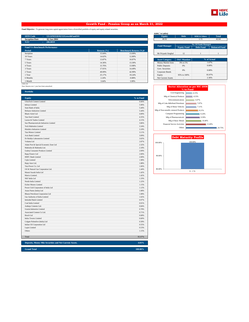

### **Growth Fund - Pension Group as on March 31, 2022**

**Fund Objective :** To generate long term capital appreciation from a diversified portfolio of equity and equity related securities.

| <b>SFIN Code</b><br>ULGF03318/02/12GrowthFund101 |                 |                               | <b>Equity</b>          | <b>Debt</b>              | <b>MMI &amp; Others</b>     | <b>Total</b>         |
|--------------------------------------------------|-----------------|-------------------------------|------------------------|--------------------------|-----------------------------|----------------------|
| <b>Inception Date</b><br>02 Jan 2004             |                 |                               | 40.92                  | $\sim$                   | 1.72                        | 42.64                |
| <b>NAV</b><br>: 286.0059                         |                 |                               |                        |                          |                             |                      |
|                                                  |                 |                               | <b>Fund Manager</b>    |                          | <b>No. Of Funds Managed</b> |                      |
| <b>Fund V/s Benchmark Performance</b>            |                 |                               |                        | <b>Equity Fund</b>       | <b>Debt Fund</b>            | <b>Balanced Fund</b> |
| Period                                           | Returns $(\% )$ | <b>Benchmark Returns (%)#</b> |                        |                          |                             |                      |
| Inception                                        | 15.04%          | 13.09%                        | Mr Priyank Singhal     | 12                       |                             |                      |
| 10 Years                                         | 14.62%          | 12.80%                        |                        |                          |                             |                      |
| 7 Years                                          | 13.87%          | 10.87%                        | <b>Asset Category</b>  | <b>F&amp;U</b> Mandate   |                             | % of Actual          |
| 5 Years                                          | 14.36%          | 13.30%                        | Money Market Insts     | 0% to 5%                 |                             | 1.67%                |
| 4 Years                                          | 15.76%          | 13.98%                        | <b>Public Deposits</b> | 0%                       |                             | 0.00%                |
| 3 Years                                          | 17.01%          | 14.49%                        | Govt. Securities       | 0%                       | 0.00%                       |                      |
| 2 Years                                          | 49.09%          | 42.99%                        | Corporate Bonds        |                          |                             |                      |
| 1 Year                                           | 25.17%          | 19.24%                        | Equity                 | 95% to 100%              |                             | 95.97%               |
| 6 Months                                         | 2.24%           | $-0.88%$                      | Net Current Assets     | $\overline{\phantom{a}}$ |                             | 2.36%                |
| 1 Month                                          | 3.64%           | 3.99%                         |                        |                          |                             |                      |

**Portfolio**

# BSE-100 Note: Returns over 1 year have been annualized.

| <b>Equity</b>                                          | % to Fund |
|--------------------------------------------------------|-----------|
| <b>UltraTech Cement Limited</b>                        | 6.66%     |
| <b>Infosys Limited</b>                                 | 5.90%     |
| State Bank of India                                    | 5.44%     |
| Reliance Industries Limited                            | 5.44%     |
| <b>Bharti Airtel Ltd</b>                               | 4.89%     |
| <b>Tata Steel Limited</b>                              | 4.35%     |
| Larsen & Toubro Limited                                | 4.15%     |
| Sun Pharmaceuticals Industries Limited                 | 3.86%     |
| Tech Mahindra Limited                                  | 3.34%     |
| Hindalco Industries Limited                            | 3.18%     |
| <b>Tata Motors Limited</b>                             | 3.11%     |
| Axis Bank Limited                                      | 3.09%     |
| Dr Reddys Laboratories Limited                         | 3.02%     |
| Vedanta Ltd                                            | 2.87%     |
| Adani Port & Special Economic Zone Ltd                 | 2.32%     |
| Mahindra & Mahindra Ltd.                               | 2.18%     |
| Godrej Consumer Products Limited                       | 2.09%     |
| Bajaj Finserv Ltd                                      | 2.00%     |
| <b>HDFC Bank Limited</b>                               | 2.00%     |
| Cipla Limited                                          | 1.98%     |
| Bajaj Auto Ltd.                                        | 1.88%     |
| Tata Power Co. Ltd                                     | 1.66%     |
| Oil & Natural Gas Corporation Ltd.                     | 1.44%     |
| Maruti Suzuki India Ltd                                | 1.42%     |
| Marico Limited.                                        | 1.42%     |
| SKF India Ltd                                          | 1.33%     |
| Nestle India Limited                                   | 1.22%     |
| <b>Eicher Motors Limited</b>                           | 1.15%     |
| Power Grid Corporation of India Ltd                    | 1.12%     |
| Asian Paints (India) Ltd                               | 1.08%     |
| <b>Bharat Petroleum Corporation Ltd</b>                | 1.08%     |
| Gas Authority of India Limited                         | 1.02%     |
| <b>IndusInd Bank Limited</b>                           | 0.97%     |
| Coal India Limited                                     | 0.91%     |
| Ambuja Cements Ltd.                                    | 0.84%     |
| <b>Grasim Industries Limited</b>                       | 0.78%     |
| Associated Cement Co Ltd.                              | 0.71%     |
| Bosch Ltd                                              | 0.68%     |
| <b>Indus Towers Limited</b>                            | 0.60%     |
| Colgate Palmolive (India) Ltd                          | 0.58%     |
| Indian Oil Corporation Ltd                             | 0.55%     |
| Lupin Limited                                          | 0.53%     |
| Others                                                 | 1.15%     |
|                                                        |           |
| Total                                                  | 95.97%    |
| Deposits, Money Mkt Securities and Net Current Assets. | 4.03%     |
| <b>Grand Total</b>                                     | 100.00%   |

**AUM (` in Lakhs)**<br> **Equity**<br> **40.92 SFIN CODE : ULGFOS**<br>1.72 **Example 1.72 Equity Equity Equity Equity Equity Equity Equity Equity Equity Equity Equity Equity Equity Equity Equity Equity Equity Equity Equity Equity Fund Manager**

| <b>Asset Category</b>     | <b>F&amp;U</b> Mandate | % of Actual |  |
|---------------------------|------------------------|-------------|--|
| Money Market Insts        | 0% to 5%               | 1.67%       |  |
| <b>Public Deposits</b>    | 0%                     | 0.00%       |  |
| Govt. Securities          | 0%                     | 0.00%       |  |
| Corporate Bonds           |                        |             |  |
| Equity                    | 95% to 100%            | 95.97%      |  |
| <b>Net Current Assets</b> | ۰                      | 2.36%       |  |

| <b>Sector Allocation as per NIC 2008</b><br>% to Fund |        |  |  |  |
|-------------------------------------------------------|--------|--|--|--|
| Civil Engineering                                     | 4.15%  |  |  |  |
| Mfg of Chemical Products                              | 4.53%  |  |  |  |
| Telecommunications                                    | 5.67%  |  |  |  |
| Mfg of Coke &Refined Petroleum                        | 7.07%  |  |  |  |
| Mfg of Motor Vehicles                                 | 7.11%  |  |  |  |
| Mfg of Non-metallic mineral Products                  | 8.21%  |  |  |  |
| <b>Computer Programming</b>                           | 9.24%  |  |  |  |
| Mfg of Pharmaceuticals                                | 9.39%  |  |  |  |
| Mfg of Basic Metals                                   | 10.40% |  |  |  |
| <b>Financial Service Activities</b>                   | 13.49% |  |  |  |
| Others                                                | 20.75% |  |  |  |

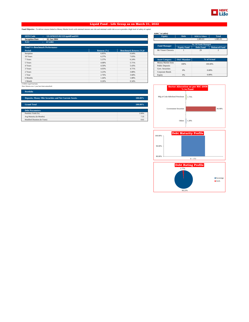

### **Liquid Fund - Life Group as on March 31, 2022**

**Fund Objective :** To deliver returns linked to Money Market levels with minimal interest rate risk and minimal credit risk so as to provide a high level of safety of capital.

| <b>SFIN Code</b>                      | ULGF02225/02/12LiquidFund101 |                 |                               | <b>Equity</b>          | <b>Debt</b>              | <b>MMI &amp; Others</b>     |
|---------------------------------------|------------------------------|-----------------|-------------------------------|------------------------|--------------------------|-----------------------------|
| <b>Inception Date</b>                 | 02 Jan 2004                  |                 |                               | $\sim$                 | $\overline{\phantom{a}}$ |                             |
| <b>NAV</b><br>the con-                | 67.2402                      |                 |                               |                        |                          |                             |
|                                       |                              |                 |                               | <b>Fund Manager</b>    |                          | <b>No. Of Funds Managed</b> |
| <b>Fund V/s Benchmark Performance</b> |                              |                 |                               |                        | <b>Equity Fund</b>       |                             |
| <b>Period</b>                         |                              | Returns $(\% )$ | <b>Benchmark Returns (%)#</b> | Mr Vineet Choraria     |                          |                             |
| Inception                             |                              | 6.85%           | 6.64%                         |                        |                          |                             |
| 10 Years                              |                              | 6.37%           | 7.03%                         |                        |                          |                             |
| 7 Years                               |                              | 5.37%           | 6.24%                         | <b>Asset Category</b>  | <b>F&amp;U</b> Mandate   |                             |
| 5 Years                               |                              | 4.68%           | 5.71%                         | Money Market Insts     | 100%                     |                             |
| 4 Years                               |                              | 4.50%           | 5.43%                         | <b>Public Deposits</b> |                          |                             |
| 3 Years                               |                              | 4.03%           | 4.71%                         | Govt. Securities       | 0%                       |                             |
| 2 Years                               |                              | 3.23%           | 3.88%                         | Corporate Bonds        |                          |                             |
| l Year                                |                              | 2.76%           | 3.68%                         | Equity                 | 0%                       |                             |
| 6 Months                              |                              | 1.44%           | 1.88%                         |                        |                          |                             |
| 1 Month                               |                              | 0.26%           | 0.34%                         |                        |                          |                             |

| <b>Equity</b>            | <b>Debt</b>                                                    | <b>MMI &amp; Others</b> | <b>Total</b>  |  |
|--------------------------|----------------------------------------------------------------|-------------------------|---------------|--|
| $\overline{\phantom{a}}$ | $\overline{\phantom{a}}$                                       | 1.985.03                | 1.985.03      |  |
|                          |                                                                |                         |               |  |
|                          | <b>No. Of Funds Managed</b>                                    |                         |               |  |
| <b>Fund Manager</b>      | <b>Debt Fund</b><br><b>Balanced Fund</b><br><b>Equity Fund</b> |                         |               |  |
| Mr Vineet Choraria       |                                                                | 29                      | $\mathcal{D}$ |  |
|                          |                                                                |                         |               |  |
|                          |                                                                |                         |               |  |
| <b>Asset Category</b>    | <b>F&amp;U</b> Mandate                                         |                         | % of Actual   |  |

| <b>TROOCL CHILLEDIA</b> | .    |         |  |
|-------------------------|------|---------|--|
| Money Market Insts      | 100% | 100.00% |  |
| <b>Public Deposits</b>  |      |         |  |
| Govt. Securities        | 0%   | 0.00%   |  |
| Corporate Bonds         |      |         |  |
| Equity                  | 0%   | 0.00%   |  |

### # CRISIL Liquid Fund Index Note: Returns over 1 year have been annualized.

| <b>Portfolio</b>                                                  |         |  |  |  |
|-------------------------------------------------------------------|---------|--|--|--|
| Deposits, Money Mkt Securities and Net Current Assets.<br>100.00% |         |  |  |  |
| <b>Grand Total</b>                                                | 100.00% |  |  |  |
| <b>Debt Parameters</b>                                            |         |  |  |  |
| Portfolio Yield (%)                                               | 3.99%   |  |  |  |
| Avg Maturity (In Months)                                          | 7.35    |  |  |  |
| Modified Duration (In Years)                                      | 0.61    |  |  |  |

|                                | Sector Allocation as per NIC 2008<br>% to Fund |        |
|--------------------------------|------------------------------------------------|--------|
| Mfg of Coke &Refined Petroleum | 1.75%                                          |        |
| <b>Government Securities</b>   |                                                | 96.98% |
| Others                         | 1.28%                                          |        |



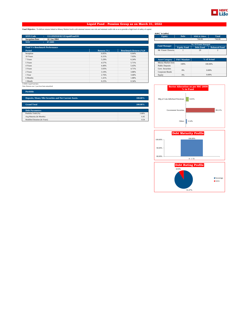

### **Liquid Fund - Pension Group as on March 31, 2022**

**Fund Objective :** To deliver returns linked to Money Market levels with minimal interest rate risk and minimal credit risk so as to provide a high level of safety of capital.

| <b>SFIN Code</b><br>ULGF02918/02/12LiquidFund101 |                 |                               | <b>Equity</b>          | <b>Debt</b>            | <b>MMI &amp; Others</b>           | <b>Total</b>         |
|--------------------------------------------------|-----------------|-------------------------------|------------------------|------------------------|-----------------------------------|----------------------|
| <b>Inception Date</b><br>02 Jan 2004             |                 |                               | $\sim$                 | $\sim$                 | 744.66                            | 744.66               |
| <b>NAV</b><br>67.2601                            |                 |                               |                        |                        |                                   |                      |
|                                                  |                 |                               | <b>Fund Manager</b>    |                        | <b>No. Of Funds Managed</b>       |                      |
| <b>Fund V/s Benchmark Performance</b>            |                 |                               |                        | <b>Equity Fund</b>     | <b>Debt Fund</b>                  | <b>Balanced Fund</b> |
| Period                                           | Returns $(\% )$ | <b>Benchmark Returns (%)#</b> | Mr Vineet Choraria     |                        | 29                                | $\overline{2}$       |
| Inception                                        | 6.85%           | 6.64%                         |                        |                        |                                   |                      |
| 10 Years                                         | 6.31%           | 7.03%                         |                        |                        |                                   |                      |
| 7 Years                                          | 5.29%           | 6.24%                         | <b>Asset Category</b>  | <b>F&amp;U</b> Mandate |                                   | % of Actual          |
| 5 Years                                          | 4.57%           | 5.71%                         | Money Market Insts     | 100%<br>100.00%        |                                   |                      |
| 4 Years                                          | 4.40%           | 5.43%                         | <b>Public Deposits</b> |                        |                                   |                      |
| 3 Years                                          | 3.93%           | 4.71%                         | Govt. Securities       | 0%                     |                                   | 0.00%                |
| 2 Years                                          | 3.10%           | 3.88%                         | Corporate Bonds        |                        |                                   |                      |
| 1 Year                                           | 2.76%           | 3.68%                         | Equity                 | 0%                     |                                   | 0.00%                |
| 6 Months                                         | 1.41%           | 1.88%                         |                        |                        |                                   |                      |
| 1 Month                                          | 0.25%           | 0.34%                         |                        |                        |                                   |                      |
| # CRISIL Liquid Fund Index                       |                 |                               |                        |                        |                                   |                      |
| Note: Returns over 1 year have been annualized.  |                 |                               |                        |                        | Sector Allocation as not NIC 2008 |                      |

| AUM (` in Lakhs)    |                             |                         |                      |  |
|---------------------|-----------------------------|-------------------------|----------------------|--|
| <b>Equity</b>       | <b>Debt</b>                 | <b>MMI &amp; Others</b> | <b>Total</b>         |  |
| ۰                   | ٠                           | 744.66                  | 744.66               |  |
|                     |                             |                         |                      |  |
| <b>Fund Manager</b> | <b>No. Of Funds Managed</b> |                         |                      |  |
|                     | <b>Equity Fund</b>          | <b>Debt Fund</b>        | <b>Balanced Fund</b> |  |
| Mr Vineet Choraria  |                             | 29                      |                      |  |
|                     |                             |                         |                      |  |
|                     |                             |                         |                      |  |

| <b>Asset Category</b>  | <b>F&amp;U</b> Mandate | % of Actual |  |
|------------------------|------------------------|-------------|--|
| Money Market Insts     | 100%                   | 100.00%     |  |
| <b>Public Deposits</b> |                        |             |  |
| Govt. Securities       | 0%                     | 0.00%       |  |
| Corporate Bonds        |                        |             |  |
| Equity                 | 0%                     | 0.00%       |  |

**Portfolio**

| тогионо.                                                          |         |  |  |  |
|-------------------------------------------------------------------|---------|--|--|--|
|                                                                   |         |  |  |  |
| Deposits, Money Mkt Securities and Net Current Assets.<br>100.00% |         |  |  |  |
|                                                                   |         |  |  |  |
| <b>Grand Total</b>                                                | 100.00% |  |  |  |
|                                                                   |         |  |  |  |
| <b>Debt Parameters</b>                                            |         |  |  |  |
| Portfolio Yield (%)                                               | 3.88%   |  |  |  |
| Avg Maturity (In Months)                                          | 6.45    |  |  |  |
| Modified Duration (In Years)                                      | 0.54    |  |  |  |

|                                | <b>Sector Allocation as per NIC 2008</b><br>% to Fund |        |
|--------------------------------|-------------------------------------------------------|--------|
|                                |                                                       |        |
| Mfg of Coke &Refined Petroleum | 8.65%                                                 |        |
| <b>Government Securities</b>   |                                                       | 88.21% |
| Others                         | 3.14%                                                 |        |



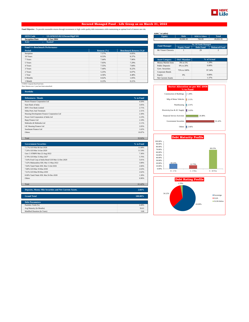

### **Secured Managed Fund - Life Group as on March 31, 2022**

**Fund Objective :** To provide reasonable returns through investments in high credit quality debt instruments while maintaining an optimal level of interest rate risk.

| <b>SFIN Code</b><br>ULGF02325/02/12SecureMgtF101 |                 |                               | <b>Equity</b>          | <b>Debt</b>              | <b>MMI &amp; Others</b>     | <b>Total</b>             |
|--------------------------------------------------|-----------------|-------------------------------|------------------------|--------------------------|-----------------------------|--------------------------|
| <b>Inception Date</b><br>02 Jan 2004             |                 |                               | $\overline{a}$         | 28,060.30                | 766.09                      | 28,826.39                |
| <b>NAV</b><br>76.4147                            |                 |                               |                        |                          |                             |                          |
|                                                  |                 |                               | <b>Fund Manager</b>    |                          | <b>No. Of Funds Managed</b> |                          |
| <b>Fund V/s Benchmark Performance</b>            |                 |                               |                        | <b>Equity Fund</b>       | <b>Debt Fund</b>            | <b>Balanced Fund</b>     |
| Period                                           | Returns $(\% )$ | <b>Benchmark Returns (%)#</b> | Mr Vineet Choraria     |                          | 29                          | $\overline{\mathcal{L}}$ |
| Inception                                        | 7.57%           | 6.85%                         |                        |                          |                             |                          |
| 10 Years                                         | 8.53%           | 8.37%                         |                        |                          |                             |                          |
| 7 Years                                          | 7.64%           | 7.96%                         | <b>Asset Category</b>  | <b>F&amp;U</b> Mandate   |                             | % of Actual              |
| 5 Years                                          | 7.03%           | 7.29%                         | Money Market Insts     | 0% to 5%                 |                             | 1.29%                    |
| 4 Years                                          | 7.55%           | 7.84%                         | <b>Public Deposits</b> | 0% to 20%                |                             | 0.00%                    |
| 3 Years                                          | 7.44%           | 8.22%                         | Govt. Securities       | 75% to 100%              |                             | 97.34%                   |
| 2 Years                                          | 5.25%           | 6.07%                         | Corporate Bonds        |                          |                             |                          |
| 1 Year                                           | 4.36%           | 4.48%                         | Equity                 | 0%                       |                             | 0.00%                    |
| 6 Months                                         | 0.62%           | 1.05%                         | Net Current Assets     | $\overline{\phantom{a}}$ |                             | 1.37%                    |
| 1 Month                                          | 0.23%           | 0.21%                         |                        |                          |                             |                          |

<sup>#</sup> CRISIL Composite Bond Fund Index Note: Returns over 1 year have been annualized.

| <b>Portfolio</b>                            |           |
|---------------------------------------------|-----------|
| <b>Debentures / Bonds</b>                   | % to Fund |
| Power Finance Corporation Ltd               | 4.50%     |
| <b>State Bank of India</b>                  | 3.05%     |
| <b>IDFC First Bank Limited</b>              | 2.71%     |
| Sikka Ports And Terminals                   | 2.31%     |
| Housing Development Finance Corporation Ltd | 2.30%     |
| Power Grid Corporation of India Ltd         | 2.23%     |
| Bajaj Finance Ltd                           | 2.18%     |
| Mahindra & Mahindra Ltd                     | 2.11%     |
| LIC Housing Finance Ltd                     | 2.05%     |
| Sundaram Finance Ltd                        | 1.62%     |
| Others                                      | 10.87%    |
|                                             |           |

| <b>Government Securities</b>                      | % to Fund |  |
|---------------------------------------------------|-----------|--|
| 7.17% GOI Mat 08-Jan-2028                         | 11.68%    |  |
| 7.26% GOI Mat 14-Jan-2029                         | 11.54%    |  |
| Gsec C-STRIPS Mat 22-Aug-2022                     | 7.36%     |  |
| 6.79% GOI Mat 15-May-2027                         | 5.76%     |  |
| 7.64% Food Corp of India Bond GOI Mat 12-Dec-2029 | 5.01%     |  |
| 7.42% Maharashtra SDL Mat 11-May-2022             | 3.90%     |  |
| 7.84% Tamil Nadu SDL Mat 13-Jul-2026              | 2.66%     |  |
| 7.88% GOI Mat 19-Mar-2030                         | 2.63%     |  |
| 7.61% GOI Mat 09-May-2030                         | 2.62%     |  |
| 8.08% Tamil Nadu SDL Mat 26-Dec-2028              | 1.30%     |  |
| <b>Others</b>                                     | 6.96%     |  |
|                                                   |           |  |
| Total                                             | 61.42%    |  |

Total 35.92%

| Deposits, Money Mkt Securities and Net Current Assets. | 2.66%   |
|--------------------------------------------------------|---------|
|                                                        |         |
| <b>Grand Total</b>                                     | 100.00% |
|                                                        |         |
| <b>Debt Parameters</b>                                 |         |
| Portfolio Yield (%)                                    | 6.08%   |
| Avg Maturity (In Months)                               | 56.61   |
| Modified Duration (In Years)                           | 3.66    |

**AUM (` in Lakhs)**

| <b>Debt</b>                 | <b>MMI &amp; Others</b> | <b>Total</b>         |  |
|-----------------------------|-------------------------|----------------------|--|
| 28,060.30                   | 766.09                  | 28.826.39            |  |
|                             |                         |                      |  |
| <b>No. Of Funds Managed</b> |                         |                      |  |
| <b>Equity Fund</b>          | <b>Debt Fund</b>        | <b>Balanced Fund</b> |  |
|                             | 29                      |                      |  |
|                             |                         |                      |  |
|                             |                         |                      |  |

| <b>Asset Category</b>     | <b>F&amp;U</b> Mandate   | % of Actual |  |
|---------------------------|--------------------------|-------------|--|
| Money Market Insts        | 0% to 5%                 | 1.29%       |  |
| <b>Public Deposits</b>    | 0% to 20%                | 0.00%       |  |
| Govt. Securities          | 75% to 100%              | 97.34%      |  |
| Corporate Bonds           |                          |             |  |
| Equity                    | 0%                       | 0.00%       |  |
| <b>Net Current Assets</b> | $\overline{\phantom{a}}$ | 1.37%       |  |





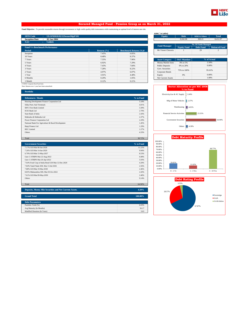

### **Secured Managed Fund - Pension Group as on March 31, 2022**

**Fund Objective :** To provide reasonable returns through investments in high credit quality debt instruments while maintaining an optimal level of interest rate risk.

| <b>SFIN Code</b>                      | ULGF03018/02/12SecureMgtF101 |                 |                               | <b>Equity</b>          | <b>Debt</b>            | <b>MMI &amp; Others</b>     | <b>Total</b>         |
|---------------------------------------|------------------------------|-----------------|-------------------------------|------------------------|------------------------|-----------------------------|----------------------|
| <b>Inception Date</b>                 | 02 Jan 2004                  |                 |                               | $\overline{a}$         | 8.042.86               | 369.21                      | 8,412.07             |
| <b>NAV</b>                            | : 74.8845                    |                 |                               |                        |                        |                             |                      |
|                                       |                              |                 |                               | <b>Fund Manager</b>    |                        | <b>No. Of Funds Managed</b> |                      |
| <b>Fund V/s Benchmark Performance</b> |                              |                 |                               |                        | <b>Equity Fund</b>     | <b>Debt Fund</b>            | <b>Balanced Fund</b> |
| Period                                |                              | Returns $(\% )$ | <b>Benchmark Returns (%)#</b> | Mr Vineet Choraria     |                        | 29                          | 2                    |
| Inception                             |                              | 7.45%           | 6.85%                         |                        |                        |                             |                      |
| 10 Years                              |                              | 8.48%           | 8.37%                         |                        |                        |                             |                      |
| 7 Years                               |                              | 7.55%           | 7.96%                         | <b>Asset Category</b>  | <b>F&amp;U</b> Mandate |                             | % of Actual          |
| 5 Years                               |                              | 6.92%           | 7.29%                         | Money Market Insts     | 0% to 5%               |                             | 2.50%                |
| 4 Years                               |                              | 7.43%           | 7.84%                         | <b>Public Deposits</b> | 0% to 20%              |                             | 0.00%                |
| 3 Years                               |                              | 7.28%           | 8.22%                         | Govt. Securities       | 75% to 100%            |                             | 95.61%               |
| 2 Years                               |                              | 4.97%           | 6.07%                         | Corporate Bonds        |                        |                             |                      |
| 1 Year                                |                              | 3.91%           | 4.48%                         | Equity                 | 0%                     |                             | 0.00%                |
| 6 Months                              |                              | 0.29%           | 1.05%                         | Net Current Assets     | $\sim$                 |                             | 1.89%                |
| 1 Month                               |                              | 0.12%           | 0.21%                         |                        |                        |                             |                      |

<sup>#</sup> CRISIL Composite Bond Fund Index Note: Returns over 1 year have been annualized.

| <b>Portfolio</b>                                  |           |
|---------------------------------------------------|-----------|
| <b>Debentures / Bonds</b>                         | % to Fund |
| Housing Development Finance Corporation Ltd       | 5.18%     |
| <b>Sikka Ports And Terminals</b>                  | 4.01%     |
| <b>IDFC First Bank Limited</b>                    | 3.39%     |
| <b>ICICI Bank Ltd</b>                             | 2.70%     |
| <b>State Bank of India</b>                        | 2.43%     |
| Mahindra & Mahindra Ltd                           | 2.37%     |
| Power Finance Corporation Ltd                     | 2.29%     |
| National Bank For Agriculture & Rural Development | 1.45%     |
| Bajaj Finance Ltd                                 | 1.29%     |
| <b>REC</b> Limited                                | 1.27%     |
| Others                                            | 4.33%     |
|                                                   |           |
| Total                                             | 30.72%    |

| <b>Government Securities</b>                      | % to Fund |
|---------------------------------------------------|-----------|
| 7.17% GOI Mat 08-Jan-2028                         | 11.22%    |
| 7.26% GOI Mat 14-Jan-2029                         | 9.94%     |
| 6.79% GOI Mat 15-May-2027                         | 8.53%     |
| Gsec C-STRIPS Mat 22-Aug-2022                     | 6.08%     |
| Gsec C-STRIPS Mat 26-Apr-2022                     | 5.93%     |
| 7.64% Food Corp of India Bond GOI Mat 12-Dec-2029 | 4.20%     |
| 7.84% Tamil Nadu SDL Mat 13-Jul-2026              | 2.56%     |
| 7.88% GOI Mat 19-Mar-2030                         | 2.46%     |
| 8.85% Maharashtra SDL Mat 03-Oct-2022             | 2.43%     |
| 7.61% GOI Mat 09-May-2030                         | 2.40%     |
| Others                                            | 9.14%     |
|                                                   |           |
| Total                                             | 64.90%    |

| Deposits, Money Mkt Securities and Net Current Assets. | 4.39%   |
|--------------------------------------------------------|---------|
|                                                        |         |
| <b>Grand Total</b>                                     | 100.00% |
|                                                        |         |
| <b>Debt Parameters</b>                                 |         |
| Portfolio Yield (%)                                    | 6.03%   |
| Avg Maturity (In Months)                               | 56.17   |
| Modified Duration (In Years)                           | 3.63    |

### **AUM (` in Lakhs)**

| <b>Equity</b>            | <b>MMI &amp; Others</b><br><b>Debt</b><br><b>Total</b> |                  |                      |  |
|--------------------------|--------------------------------------------------------|------------------|----------------------|--|
| $\overline{\phantom{a}}$ | 8.042.86                                               | 369.21           | 8.412.07             |  |
|                          |                                                        |                  |                      |  |
| <b>Fund Manager</b>      | <b>No. Of Funds Managed</b>                            |                  |                      |  |
|                          | <b>Equity Fund</b>                                     | <b>Debt Fund</b> | <b>Balanced Fund</b> |  |
| Mr Vineet Choraria       |                                                        | 29               |                      |  |
|                          |                                                        |                  |                      |  |

| <b>Asset Category</b>     | <b>F&amp;U</b> Mandate   | % of Actual |
|---------------------------|--------------------------|-------------|
| Money Market Insts        | 0% to 5%                 | 2.50%       |
| <b>Public Deposits</b>    | 0% to 20%                | 0.00%       |
| Govt. Securities          | 75% to 100%              | 95.61%      |
| Corporate Bonds           |                          |             |
| Equity                    | 0%                       | 0.00%       |
| <b>Net Current Assets</b> | $\overline{\phantom{a}}$ | 1.89%       |





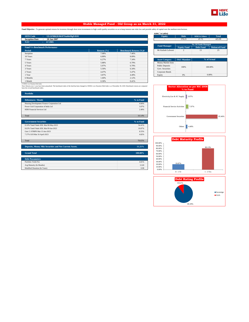

### **Stable Managed Fund - Old Group as on March 31, 2022**

Fund Objective : To generate optimal returns for investors through short term investments in high credit quality securities so as to keep interest rate risks low and provide safety of capital over the medium term horizon.

| <b>SFIN Code</b><br>ULGF00620/06/07StableMgFd101 |             |                               | <b>Equity</b>          | <b>Debt</b>            | <b>MMI &amp; Others</b>     |  |
|--------------------------------------------------|-------------|-------------------------------|------------------------|------------------------|-----------------------------|--|
| <b>Inception Date</b><br>20 Jun 2007             |             |                               | $\overline{a}$         | 378.23                 | 47.75                       |  |
| <b>NAV</b><br>67.3985<br>÷.                      |             |                               |                        |                        |                             |  |
|                                                  |             |                               | <b>Fund Manager</b>    |                        | <b>No. Of Funds Managed</b> |  |
| <b>Fund V/s Benchmark Performance</b>            |             |                               |                        | <b>Equity Fund</b>     | <b>Debt Fund</b>            |  |
| Period                                           | Returns (%) | <b>Benchmark Returns (%)#</b> | Mr Kailash Lalwani     | $\overline{2}$         | 13                          |  |
| Inception                                        | 7.08%       | 7.46%                         |                        |                        |                             |  |
| 10 Years                                         | 6.89%       | 8.09%                         |                        |                        |                             |  |
| 7 Years                                          | 6.27%       | 7.34%                         | <b>Asset Category</b>  | <b>F&amp;U</b> Mandate | % of Actual                 |  |
| 5 Years                                          | 5.88%       | 6.79%                         | Money Market Insts     |                        |                             |  |
| 4 Years                                          | 5.97%       | 6.79%                         | <b>Public Deposits</b> | 100%                   | 100,00%                     |  |
| 3 Years                                          | 5.50%       | 6.34%                         | Govt. Securities       |                        |                             |  |
| 2 Years                                          | 4.47%       | 5.47%                         | Corporate Bonds        |                        |                             |  |
| 1 Year                                           | 3.87%       | 4.49%                         | Equity                 | 0%                     | 0.00%                       |  |
| 6 Months                                         | 1.60%       | 2.12%                         |                        |                        |                             |  |
| 1 Month                                          | 0.30%       | 0.41%                         |                        |                        |                             |  |

| <b>Equity</b>          | <b>Debt</b>            | <b>MMI &amp; Others</b>     | <b>Total</b>         |  |
|------------------------|------------------------|-----------------------------|----------------------|--|
|                        | 378.23                 | 47.75                       | 425.99               |  |
|                        |                        |                             |                      |  |
|                        |                        | <b>No. Of Funds Managed</b> |                      |  |
| <b>Fund Manager</b>    | <b>Equity Fund</b>     | <b>Debt Fund</b>            | <b>Balanced Fund</b> |  |
| Mr Kailash Lalwani     | $\mathfrak{D}$         | 13                          | 25                   |  |
|                        |                        |                             |                      |  |
| <b>Asset Category</b>  | <b>F&amp;U</b> Mandate |                             | % of Actual          |  |
| Money Market Insts     |                        |                             |                      |  |
| <b>Public Deposits</b> |                        | 100.00%                     |                      |  |
|                        | 100%                   |                             |                      |  |

| # CRISH J ow Duratio |  |  |
|----------------------|--|--|
|                      |  |  |

**Portfolio**

# CRISIL Low Duration Debt Index<br>Note: Returns over 1 year have been annualized. The benchmark index of the fund has been changed to CRISIL Low Duration Debt Index w.e.f December 30, 2020. Benchmark returns are computed<br>ba

| <b>Debentures / Bonds</b>                              | % to Fund |
|--------------------------------------------------------|-----------|
| Housing Development Finance Corporation Ltd            | 4.66%     |
| Power Grid Corporation of India Ltd                    | 3.07%     |
| HDB Financial Services Ltd                             | 2.40%     |
| Total                                                  | 10.14%    |
| <b>Government Securities</b>                           | % to Fund |
| 8.10% Tamil Nadu SDL Mat 08-May-2023                   | 54.41%    |
| 8.63% Tamil Nadu SDL Mat 09-Jan-2023                   | 10.87%    |
| Gsec C-STRIPS Mat 15-Jun-2023                          | 8.55%     |
| 7.37% GOI Mat 16-April-2023                            | 4.82%     |
| Total                                                  | 78.65%    |
| Deposits, Money Mkt Securities and Net Current Assets. | 11.21%    |
| <b>Grand Total</b>                                     | 100.00%   |
| <b>Debt Parameters</b>                                 |           |
| Portfolio Yield (%)                                    | 4.81%     |
| Avg Maturity (In Months)                               | 12.69     |
| Modified Duration (In Years)                           | 0.98      |





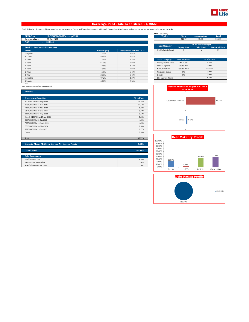

### **Sovereign Fund - Life as on March 31, 2022**

Fund Objective : To generate high returns through investments in Central and State Government securities such that credit risk is alleviated and the returns are commensurate to the interest rate risks.

| <b>SFIN Code</b><br>ULGF01620/06/07SovereignF101 |                 |                               | <b>Equity</b>          | <b>Debt</b>                       | <b>MMI &amp; Others</b>     | <b>Total</b>         |
|--------------------------------------------------|-----------------|-------------------------------|------------------------|-----------------------------------|-----------------------------|----------------------|
| <b>Inception Date</b><br>20 Jun 2007             |                 |                               | $\sim$                 | 341.17                            | 15.82                       | 356.99               |
| <b>NAV</b><br>63.6344<br>÷.                      |                 |                               |                        |                                   |                             |                      |
|                                                  |                 |                               | <b>Fund Manager</b>    |                                   | <b>No. Of Funds Managed</b> |                      |
| <b>Fund V/s Benchmark Performance</b>            |                 |                               |                        | <b>Equity Fund</b>                | <b>Debt Fund</b>            | <b>Balanced Fund</b> |
| Period                                           | Returns $(\% )$ | <b>Benchmark Returns (%)#</b> | Mr Kailash Lalwani     | $\overline{2}$                    | 13                          | 25                   |
| Inception                                        | 7.45%           | 8.44%                         |                        |                                   |                             |                      |
| 10 Years                                         | 8.18%           | 8.82%                         |                        |                                   |                             |                      |
| 7 Years                                          | 7.28%           | 8.28%                         | <b>Asset Category</b>  | F&U Mandate                       |                             | % of Actual          |
| 5 Years                                          | 6.70%           | 7.66%                         | Money Market Insts     | 0% to 5%                          |                             | 2.85%                |
| 4 Years                                          | 7.48%           | 8.32%                         | <b>Public Deposits</b> | 0% to 20%                         |                             | 0.00%                |
| 3 Years                                          | 7.36%           | 7.95%                         | Govt. Securities       | 75% to 100%                       |                             | 95.57%               |
| 2 Years                                          | 4.96%           | 6.43%                         | Corporate Bonds        | 0%                                |                             | 0.00%                |
| 1 Year                                           | 3.68%           | 5.43%                         | Equity                 | 0%                                |                             | 0.00%                |
| 6 Months                                         | 0.42%           | 1.27%                         | Net Current Assets     | $\sim$                            |                             | 1.59%                |
| 1 Month                                          | 0.12%           | 0.34%                         |                        |                                   |                             |                      |
| # Mi-BEX                                         |                 |                               |                        |                                   |                             |                      |
| Note: Returns over 1 year have been annualized.  |                 |                               |                        | Sector Allocation as not NIC 2008 |                             |                      |

| <b>Portfolio</b>                                       |           |
|--------------------------------------------------------|-----------|
|                                                        |           |
| <b>Government Securities</b>                           | % to Fund |
| 8.32% GOI Mat 02-Aug-2032                              | 35.33%    |
| 8.15% GOI Mat 24-Nov-2026                              | 14.53%    |
| 7.88% GOI Mat 19-Mar-2030                              | 8.88%     |
| 6.84% GOI Mat 19-Dec-2022                              | 5.70%     |
| 8.08% GOI Mat 02-Aug-2022                              | 5.60%     |
| Gsec C-STRIPS Mat 15-Jun-2022                          | 5.56%     |
| 8.60% GOI Mat 02-Jun-2028                              | 4.44%     |
| 7.37% GOI Mat 16-April-2023                            | 4.03%     |
| 7.59% GOI Mat 20-Mar-2029                              | 2.64%     |
| 8.28% GOI Mat 21-Sep-2027                              | 1.77%     |
| Others                                                 | 7.09%     |
|                                                        |           |
| Total                                                  | 95.57%    |
|                                                        |           |
| Deposits, Money Mkt Securities and Net Current Assets. | 4.43%     |

| <b>Grand Total</b>           | 100.00% |
|------------------------------|---------|
|                              |         |
| <b>Debt Parameters</b>       |         |
| Portfolio Yield (%)          | 6.08%   |
| Avg Maturity (In Months)     | 76.29   |
| Modified Duration (In Years) | 4.45    |

| AUM (` in Lakhs)    |                    |                             |                      |
|---------------------|--------------------|-----------------------------|----------------------|
| <b>Equity</b>       | <b>Debt</b>        | <b>MMI &amp; Others</b>     | <b>Total</b>         |
|                     | 341.17             | 15.82                       | 356.99               |
|                     |                    |                             |                      |
|                     |                    |                             |                      |
|                     |                    | <b>No. Of Funds Managed</b> |                      |
| <b>Fund Manager</b> | <b>Equity Fund</b> | <b>Debt Fund</b>            | <b>Balanced Fund</b> |
| Mr Kailash Lalwani  |                    | 13                          | 25                   |

| <b>Asset Category</b>     | <b>F&amp;U</b> Mandate   | % of Actual |
|---------------------------|--------------------------|-------------|
| Money Market Insts        | 0% to 5%                 | 2.85%       |
| <b>Public Deposits</b>    | 0% to 20%                | 0.00%       |
| Govt. Securities          | 75% to 100%              | 95.57%      |
| Corporate Bonds           | 0%                       | 0.00%       |
| Equity                    | 0%                       | 0.00%       |
| <b>Net Current Assets</b> | $\overline{\phantom{a}}$ | 1.59%       |





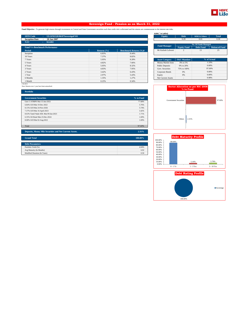

### **Sovereign Fund - Pension as on March 31, 2022**

Fund Objective : To generate high returns through investments in Central and State Government securities such that credit risk is alleviated and the returns are commensurate to the interest rate risks.

| <b>SFIN Code</b><br>ULGF01520/06/07SovereignF101 |                 |                               | <b>Equity</b>          | <b>Debt</b>                       | <b>MMI &amp; Others</b>     | <b>Total</b>         |
|--------------------------------------------------|-----------------|-------------------------------|------------------------|-----------------------------------|-----------------------------|----------------------|
| <b>Inception Date</b><br>20 Jun 2007             |                 |                               | $\,$                   | 0.29                              | 0.01                        | 0.30                 |
| <b>NAV</b><br>58.4402                            |                 |                               |                        |                                   |                             |                      |
|                                                  |                 |                               | <b>Fund Manager</b>    |                                   | <b>No. Of Funds Managed</b> |                      |
| <b>Fund V/s Benchmark Performance</b>            |                 |                               |                        | <b>Equity Fund</b>                | <b>Debt Fund</b>            | <b>Balanced Fund</b> |
| Period                                           | Returns $(\% )$ | <b>Benchmark Returns (%)#</b> | Mr Kailash Lalwani     | $\overline{2}$                    | 13                          | 25                   |
| Inception                                        | 6.83%           | 8.44%                         |                        |                                   |                             |                      |
| 10 Years                                         | 7.37%           | 8.82%                         |                        |                                   |                             |                      |
| 7 Years                                          | 5.95%           | 8.28%                         | <b>Asset Category</b>  | <b>F&amp;U</b> Mandate            |                             | % of Actual          |
| 5 Years                                          | 4.82%           | 7.66%                         | Money Market Insts     | 0% to 5%                          |                             | 1.33%                |
| 4 Years                                          | 5.05%           | 8.32%                         | <b>Public Deposits</b> | 0% to 20%                         |                             | 0.00%                |
| 3 Years                                          | 4.83%           | 7.95%                         | Govt. Securities       | 75% to 100%                       |                             | 97.69%               |
| 2 Years                                          | 3.42%           | 6.43%                         | Corporate Bonds        | 0%                                |                             | 0.00%                |
| 1 Year                                           | 2.97%           | 5.43%                         | Equity                 | 0%                                |                             | 0.00%                |
| 6 Months                                         | 1.35%           | 1.27%                         | Net Current Assets     | $\sim$                            |                             | 0.98%                |
| 1 Month                                          | 0.25%           | 0.34%                         |                        |                                   |                             |                      |
| $# Mi-BEX$                                       |                 |                               |                        |                                   |                             |                      |
| Note: Returns over 1 year have been annualized.  |                 |                               |                        | Sector Allocation as not NIC 2008 |                             |                      |

| Portfolio                                                                                                                       |                      |
|---------------------------------------------------------------------------------------------------------------------------------|----------------------|
| <b>Government Securities</b>                                                                                                    | % to Fund            |
| Gsec C-STRIPS Mat 15-Jun-2022                                                                                                   | 77.68%               |
| 6.84% GOI Mat 19-Dec-2022                                                                                                       | 5.76%                |
| 8.15% GOI Mat 24-Nov-2026                                                                                                       | 5.74%                |
| 7.37% GOI Mat 16-April-2023                                                                                                     | 3.42%                |
| 8.63% Tamil Nadu SDL Mat 09-Jan-2023                                                                                            | 1.71%                |
| 6.35% Oil Bond Mat 23-Dec-2024                                                                                                  | 1.69%                |
| 8.08% GOI Mat 02-Aug-2022                                                                                                       | 1.69%                |
|                                                                                                                                 |                      |
| Total                                                                                                                           | 97.69%               |
|                                                                                                                                 |                      |
| <b>Security</b><br><b>STATISTICS</b><br><b>Brand</b><br><b><i>CONTACT COMPANY</i></b><br>.<br>the company's company's company's | $\sim$ $\sim$ $\sim$ |

**Deposits, Money Mkt Securities and Net Current Assets. 2.31%**

| <b>Grand Total</b>           | 100.00% |
|------------------------------|---------|
|                              |         |
| <b>Debt Parameters</b>       |         |
| Portfolio Yield (%)          | 4.04%   |
| Avg Maturity (In Months)     | 6.92    |
| Modified Duration (In Years) | 0.50    |
|                              |         |

**AUM (` in Lakhs)**

| <b>AUNI</b><br>in Laknsi |                             |                         |                      |  |  |
|--------------------------|-----------------------------|-------------------------|----------------------|--|--|
| <b>Equity</b>            | <b>Debt</b>                 | <b>MMI &amp; Others</b> | <b>Total</b>         |  |  |
| $\overline{\phantom{a}}$ | 0.29                        | 0.01                    | 0.30                 |  |  |
|                          |                             |                         |                      |  |  |
|                          | <b>No. Of Funds Managed</b> |                         |                      |  |  |
| <b>Fund Manager</b>      | <b>Equity Fund</b>          | <b>Debt Fund</b>        | <b>Balanced Fund</b> |  |  |
| Mr Kailash Lalwani       |                             | 13                      | 25                   |  |  |
|                          |                             |                         |                      |  |  |

| <b>Asset Category</b>     | <b>F&amp;U</b> Mandate | % of Actual |
|---------------------------|------------------------|-------------|
| Money Market Insts        | 0% to 5%               | 1.33%       |
| <b>Public Deposits</b>    | 0% to 20%              | 0.00%       |
| Govt. Securities          | 75% to 100%            | 97.69%      |
| Corporate Bonds           | 0%                     | 0.00%       |
| Equity                    | 0%                     | 0.00%       |
| <b>Net Current Assets</b> | ۰                      | 0.98%       |





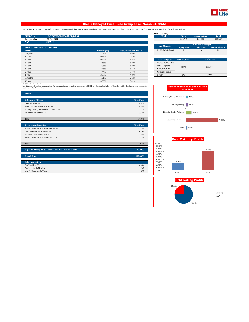

### **Stable Managed Fund - Life Group as on March 31, 2022**

Fund Objective : To generate optimal returns for investors through short term investments in high credit quality securities so as to keep interest rate risks low and provide safety of capital over the medium term horizon.

| <b>SFIN Code</b><br>ULGF02825/02/12StableMgFd101 |                 |                               | <b>Equity</b>          | <b>Debt</b>            | <b>MMI &amp; Others</b>     | <b>Total</b>         |
|--------------------------------------------------|-----------------|-------------------------------|------------------------|------------------------|-----------------------------|----------------------|
| <b>Inception Date</b><br>20 Jun 2007             |                 |                               | $\sim$                 | 3.917.47               | 1.434.17                    | 5,351.64             |
| <b>NAV</b><br>69.5992<br>di la                   |                 |                               |                        |                        |                             |                      |
|                                                  |                 |                               | <b>Fund Manager</b>    |                        | <b>No. Of Funds Managed</b> |                      |
| <b>Fund V/s Benchmark Performance</b>            |                 |                               |                        | <b>Equity Fund</b>     | <b>Debt Fund</b>            | <b>Balanced Fund</b> |
| <b>Period</b>                                    | Returns $(\% )$ | <b>Benchmark Returns (%)#</b> | Mr Kailash Lalwani     | $\overline{2}$         | 13                          |                      |
| Inception                                        | 7.32%           | 7.46%                         |                        |                        |                             |                      |
| 10 Years                                         | 6.92%           | 8.09%                         |                        |                        |                             |                      |
| 7 Years                                          | 6.24%           | 7.34%                         | <b>Asset Category</b>  | <b>F&amp;U</b> Mandate |                             | % of Actual          |
| 5 Years                                          | 5.85%           | 6.79%                         | Money Market Insts     |                        |                             |                      |
| 4 Years                                          | 5.95%           | 6.79%                         | <b>Public Deposits</b> | 100%                   |                             | 100,00%              |
| 3 Years                                          | 5.48%           | 6.34%                         | Govt. Securities       |                        |                             |                      |
| 2 Years                                          | 4.44%           | 5.47%                         | Corporate Bonds        |                        |                             |                      |
| 1 Year                                           | 3.77%           | 4.49%                         | Equity                 | 0%                     |                             | 0.00%                |
| 6 Months                                         | 1.61%           | 2.12%                         |                        |                        |                             |                      |
| 1 Month                                          | 0.30%           | 0.41%                         |                        |                        |                             |                      |

| <b>Equity</b>          | <b>Debt</b>                 | <b>MMI &amp; Others</b> | <b>Total</b>         |
|------------------------|-----------------------------|-------------------------|----------------------|
| ۰                      | 3.917.47                    | 1.434.17                | 5.351.64             |
|                        |                             |                         |                      |
| <b>Fund Manager</b>    | <b>No. Of Funds Managed</b> |                         |                      |
|                        | <b>Equity Fund</b>          | <b>Debt Fund</b>        | <b>Balanced Fund</b> |
| Mr Kailash Lalwani     | $\mathfrak{D}$              | 13                      | 25                   |
|                        |                             |                         |                      |
|                        |                             |                         |                      |
|                        |                             |                         |                      |
| <b>Asset Category</b>  | <b>F&amp;U</b> Mandate      |                         | % of Actual          |
| Money Market Insts     |                             |                         |                      |
| <b>Public Deposits</b> | 100%                        |                         | 100.00%              |

# Others 3.08% 74.30% Financial Service Activities 12.80% 4.97% Civil Engineering Electricity, Gas & AC Supply 4.84% Government Securities **Sector Allocation as per NIC 2008 % to Fund**





| Portfolio                                   |           |
|---------------------------------------------|-----------|
| <b>Debentures / Bonds</b>                   | % to Fund |
| Larsen & Toubro Ltd                         | 4.97%     |
| Power Grid Corporation of India Ltd         | 4.84%     |
| Housing Development Finance Corporation Ltd | 3.71%     |
| HDB Financial Services Ltd                  | 3.64%     |
|                                             |           |
| Total                                       | 17.16%    |
|                                             |           |
| <b>Government Securities</b>                | % to Fund |

# CRISIL Low Duration Debt Index<br>Note: Returns over 1 year have been annualized. The benchmark index of the fund has been changed to CRISIL Low Duration Debt Index w.e.f December 30, 2020. Benchmark returns are computed<br>ba

| Government Securities                                  | % to Fund |
|--------------------------------------------------------|-----------|
| 8.10% Tamil Nadu SDL Mat 08-May-2023                   | 42.74%    |
| Gsec C-STRIPS Mat 15-Jun-2023                          | 6.19%     |
| 7.37% GOI Mat 16-April-2023                            | 3.84%     |
| 8.63% Tamil Nadu SDL Mat 09-Jan-2023                   | 3.27%     |
|                                                        |           |
| Total                                                  | 56.04%    |
|                                                        |           |
| Departed Manuel Mid Completes and Mid Company Associa- | 2000      |

| Deposits, Money Mkt Securities and Net Current Assets. | 26.80%  |
|--------------------------------------------------------|---------|
|                                                        |         |
| <b>Grand Total</b>                                     | 100.00% |
|                                                        |         |
| <b>Debt Parameters</b>                                 |         |
| Portfolio Yield (%)                                    | 4.80%   |
| Avg Maturity (In Months)                               | 12.47   |
| Modified Duration (In Years)                           | 0.97    |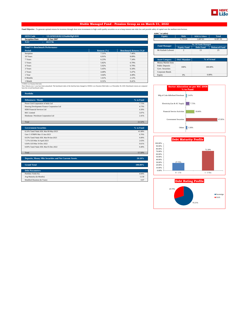

### **Stable Managed Fund - Pension Group as on March 31, 2022**

Fund Objective : To generate optimal returns for investors through short term investments in high credit quality securities so as to keep interest rate risks low and provide safety of capital over the medium term horizon.

| <b>SFIN Code</b>                      | ULGF03518/02/12StableMgFd101 |                 |                               | Equity                   | <b>Debt</b>            | <b>MMI &amp; Others</b>     | <b>Total</b>         |  |
|---------------------------------------|------------------------------|-----------------|-------------------------------|--------------------------|------------------------|-----------------------------|----------------------|--|
| <b>Inception Date</b><br>20 Jun 2007  |                              |                 |                               | $\overline{\phantom{a}}$ | 6,709.68               | 1,687.81                    | 8,397.50             |  |
| <b>NAV</b><br>69.5736                 |                              |                 |                               |                          |                        |                             |                      |  |
|                                       |                              |                 |                               | <b>Fund Manager</b>      |                        | <b>No. Of Funds Managed</b> |                      |  |
| <b>Fund V/s Benchmark Performance</b> |                              |                 |                               |                          | <b>Equity Fund</b>     | <b>Debt Fund</b>            | <b>Balanced Fund</b> |  |
| Period                                |                              | Returns $(\% )$ | <b>Benchmark Returns (%)#</b> | Mr Kailash Lalwani       | $\overline{2}$         | 13                          | 25                   |  |
| Inception                             |                              | 7.31%           | 7.46%                         |                          |                        |                             |                      |  |
| 10 Years                              |                              | 6.91%           | 8.09%                         |                          |                        |                             |                      |  |
| 7 Years                               |                              | 6.23%           | 7.34%                         | <b>Asset Category</b>    | <b>F&amp;U</b> Mandate |                             | % of Actual          |  |
| 5 Years                               |                              | 5.82%           | 6.79%                         | Money Market Insts       |                        |                             |                      |  |
| 4 Years                               |                              | 5.92%           | 6.79%                         | <b>Public Deposits</b>   | 100%                   |                             | 100.00%              |  |
| 3 Years                               |                              | 5.45%           | 6.34%                         | Govt. Securities         |                        |                             |                      |  |
| 2 Years                               |                              | 4.40%           | 5.47%                         | Corporate Bonds          |                        |                             |                      |  |
| 1 Year                                |                              | 3.64%           | 4.49%                         | Equity                   | 0%                     |                             | 0.00%                |  |
| 6 Months                              |                              | 1.61%           | 2.12%                         |                          |                        |                             |                      |  |
| 1 Month                               |                              | 0.31%           | 0.41%                         |                          |                        |                             |                      |  |

# CRISIL Low Duration Debt Index<br>Note: Returns over 1 year have been annualized. The benchmark index of the fund has been changed to CRISIL Low Duration Debt Index w.e.f December 30, 2020. Benchmark returns are computed<br>ba

**Portfolio**

| AUM ( in Lakhs)           |                             |                         |                      |  |
|---------------------------|-----------------------------|-------------------------|----------------------|--|
| <b>Equity</b>             | <b>Debt</b>                 | <b>MMI &amp; Others</b> | <b>Total</b>         |  |
| $\overline{\phantom{a}}$  | 6.709.68                    | 1.687.81                | 8,397.50             |  |
|                           |                             |                         |                      |  |
| <b>Fund Manager</b>       | <b>No. Of Funds Managed</b> |                         |                      |  |
|                           | <b>Equity Fund</b>          | <b>Debt Fund</b>        | <b>Balanced Fund</b> |  |
| Mr Kailash Lalwani        | $\mathfrak{D}$              | 13                      | 25                   |  |
|                           |                             |                         |                      |  |
|                           |                             |                         |                      |  |
| <b>Asset Category</b>     | <b>F&amp;U</b> Mandate      | % of Actual             |                      |  |
| <b>Money Market Insts</b> |                             | 100.00%                 |                      |  |
| <b>Public Deposits</b>    | 100%                        |                         |                      |  |
| Govt. Securities          |                             |                         |                      |  |
|                           |                             |                         |                      |  |

|                                     | <b>Sector Allocation as per NIC 2008</b><br>% to Fund |
|-------------------------------------|-------------------------------------------------------|
| Mfg of Coke &Refined Petroleum      | 2.41%                                                 |
| Electricity, Gas & AC Supply        | 7.72%                                                 |
| <b>Financial Service Activities</b> | 18.66%                                                |
| <b>Government Securities</b>        | 67.85%                                                |
| Others                              | 3.36%                                                 |





| .                                                      |           |
|--------------------------------------------------------|-----------|
| <b>Debentures / Bonds</b>                              | % to Fund |
| Power Grid Corporation of India Ltd                    | 7.72%     |
| Housing Development Finance Corporation Ltd            | 4.73%     |
| HDB Financial Services Ltd.                            | 4.39%     |
| <b>REC</b> Limited                                     | 3.07%     |
| Hindustan Petroleum Corporation Ltd                    | 2.41%     |
|                                                        |           |
| Total                                                  | 22.32%    |
|                                                        |           |
| <b>Government Securities</b>                           | % to Fund |
| 8.10% Tamil Nadu SDL Mat 08-May-2023                   | 41.08%    |
| Gsec C-STRIPS Mat 15-Jun-2023                          | 6.76%     |
| 8.63% Tamil Nadu SDL Mat 09-Jan-2023                   | 6.00%     |
| 7.37% GOI Mat 16-April-2023                            | 2.63%     |
| 6.84% GOI Mat 19-Dec-2022                              | 0.61%     |
| 8.89% Tamil Nadu SDL Mat 05-Dec-2022                   | 0.49%     |
|                                                        |           |
| Total                                                  | 57.58%    |
|                                                        |           |
| Deposits, Money Mkt Securities and Net Current Assets. | 20.10%    |

| <b>Grand Total</b>           | $100.00\%$ |
|------------------------------|------------|
|                              |            |
| <b>Debt Parameters</b>       |            |
| Portfolio Yield (%)          | 4.84%      |
| Avg Maturity (In Months)     | 12.58      |
| Modified Duration (In Years) | 0.97       |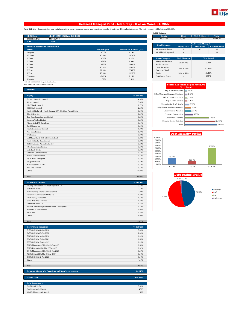

### **Balanced Managed Fund - Life Group - II as on March 31, 2022**

Fund Objective : To generate long term capital appreciation along with current income from a combined portfolio of equity and debt market instruments. The equity exposure will be between 30%-60%.

| <b>SFIN Code</b>                      | ULGF04020/02/12BalnedMFII101 |                 |                               | Equity                    | Debt                   | <b>MMI &amp; Others</b> | <b>Total</b>         |
|---------------------------------------|------------------------------|-----------------|-------------------------------|---------------------------|------------------------|-------------------------|----------------------|
| <b>Inception Date</b>                 | 20 Feb 2008                  |                 |                               | 15.452.56                 | 15,086.22              | 5,027.51                | 35,566.29            |
| <b>NAV</b>                            | 31.4356                      |                 |                               |                           |                        |                         |                      |
|                                       |                              |                 | <b>Fund Manager</b>           |                           |                        | No. Of Funds Managed    |                      |
| <b>Fund V/s Benchmark Performance</b> |                              |                 |                               | <b>Equity Fund</b>        |                        | <b>Debt Fund</b>        | <b>Balanced Fund</b> |
| Period                                |                              | Returns $(\% )$ | <b>Benchmark Returns (%)#</b> | Mr Kailash Lalwani        |                        | 13                      | 25                   |
| Inception                             |                              | 9.05%           | 8.19%                         | Mr Abhishek Agarwal       |                        | $\blacksquare$          | 13                   |
| 10 Years                              |                              | 10.66%          | 10.36%                        |                           |                        |                         |                      |
| 7 Years                               |                              | 9.06%           | 9.27%                         | <b>Asset Category</b>     | <b>F&amp;U</b> Mandate |                         | % of Actual          |
| 5 Years                               |                              | 9.29%           | 9.99%                         | <b>Money Market Insts</b> | 0% to 20%              |                         | 13.08%               |
| 4 Years                               |                              | 9.90%           | 10.60%                        | <b>Public Deposits</b>    |                        |                         |                      |
| 3 Years                               |                              | 10.54%          | 11.04%                        | Govt. Securities          | 20% to 70%             |                         | 42.42%               |
| 2 Years                               |                              | 21.00%          | 22.68%                        | Corporate Bonds           |                        |                         |                      |
| 1 Year                                |                              | 10.33%          | 11.12%                        | Equity                    | 30% to 60%             |                         | 43.45%               |
| 6 Months                              |                              | $-0.63%$        | 0.18%                         | Net Current Assets        |                        |                         | 1.05%                |
| 1 Month                               |                              | 1.52%           | 1.91%                         |                           |                        |                         |                      |

| 15.452.56                    | 15.086.22              | 5.027.51                    | 35.566.29            |  |
|------------------------------|------------------------|-----------------------------|----------------------|--|
|                              |                        | <b>No. Of Funds Managed</b> |                      |  |
| <b>Fund Manager</b>          | <b>Equity Fund</b>     | <b>Debt Fund</b>            | <b>Balanced Fund</b> |  |
| Mr Kailash Lalwani           | $\mathfrak{D}$         | 13                          | 2.5                  |  |
| Mr Abhishek Agarwal          | ۰                      | ۰                           | 13                   |  |
|                              |                        |                             |                      |  |
| <b>Asset Category</b>        | <b>F&amp;U</b> Mandate | % of Actual                 |                      |  |
| Money Market Insts           | 0% to 20%              | 13.08%                      |                      |  |
| <b>Public Deposits</b>       |                        |                             |                      |  |
| Govt. Securities             | 20% to 70%             |                             |                      |  |
| $\alpha$ , $\beta$ , $\beta$ |                        | 42.42%                      |                      |  |

**SFINGER0402012 Example 30 Equity Debt MMI & Others Total** 

**AUM (` in Lakhs)**

### # 45% BSE -100 55% CRISIL Composite Bond Fund Index Note: Returns over 1 year have been annualized.

| <b>Portfolio</b>                                               |           |
|----------------------------------------------------------------|-----------|
| <b>Equity</b>                                                  | % to Fund |
| Reliance Industries Limited                                    | 4.36%     |
| <b>Infosys Limited</b>                                         | 3.80%     |
| HDFC Bank Limited                                              | 2.77%     |
| <b>ICICI</b> Bank Limited                                      | 2.36%     |
| Kotak Mahindra MF - Kotak Banking ETF - Dividend Payout Option | 1.92%     |
| Bharti Airtel Ltd                                              | 1.59%     |
| Tata Consultancy Services Limited                              | 1.22%     |
| Larsen & Toubro Limited                                        | 1.22%     |
| Nippon India ETF Bank Bees                                     | 1.19%     |
| Bajaj Finance Ltd                                              | 1.03%     |
| Hindustan Unilever Limited                                     | 1.02%     |
| Axis Bank Limited                                              | 1.01%     |
| <b>ITC</b> Limited                                             | 0.93%     |
| SBI Mutual Fund - SBI ETF Private Bank                         | 0.86%     |
| Kotak Mahindra Bank Limited                                    | 0.82%     |
| <b>ICICI Prudential Private Banks ETF</b>                      | 0.68%     |
| <b>HCL Technologies Limited</b>                                | 0.64%     |
| State Bank of India                                            | 0.62%     |
| <b>UltraTech Cement Limited</b>                                | 0.61%     |
| Maruti Suzuki India Ltd                                        | 0.61%     |
| Asian Paints (India) Ltd                                       | 0.61%     |
| Bajaj Finserv Ltd                                              | 0.59%     |
| <b>ICICI Prodential IT ETF</b>                                 | 0.55%     |
| Tata Steel Limited                                             | 0.51%     |
| Others                                                         | 11.91%    |
|                                                                |           |
| Total                                                          | 43.45%    |

| <b>Debentures / Bonds</b>                         | % to Fund |
|---------------------------------------------------|-----------|
| Housing Development Finance Corporation Ltd       | 3.15%     |
| State Bank of India                               | 2.42%     |
| Indian Railway Finance Corporation Ltd            | 2.03%     |
| Power Grid Corporation of India Ltd               | 1.88%     |
| LIC Housing Finance Ltd                           | 1.55%     |
| Sikka Ports And Terminals                         | 1.36%     |
| <b>Ultratech Cement Ltd</b>                       | 1.27%     |
| National Bank For Agriculture & Rural Development | 1.19%     |
| Mahindra & Mahindra Ltd                           | 1.03%     |
| NHPC Ltd                                          | 0.88%     |
| Others                                            | 6.09%     |
|                                                   |           |

| <b>Government Securities</b>          | % to Fund |
|---------------------------------------|-----------|
| 7.17% GOI Mat 08-Jan-2028             | 5.55%     |
| 6.45% GOI Mat 07-Oct-2029             | 2.33%     |
| 7.26% GOI Mat 14-Jan-2029             | 1.99%     |
| 6.54% GOI Mat 17-Jan-2032             | 1.65%     |
| 6.79% GOI Mat 15-May-2027             | 1.26%     |
| 7.20% Maharashtra SDL Mat 09-Aug-2027 | 0.68%     |
| 7.38% Karnataka SDL Mat 27-Sep-2027   | 0.51%     |
| 8.04% Maharashtra SDL Mat 25-Feb-2025 | 0.50%     |
| 7.21% Gujarat SDL Mat 09-Aug-2027     | 0.48%     |
| 5.63% GOI Mat 12-Apr-2026             | 0.46%     |
| Others                                | 4.14%     |
|                                       |           |
| Total                                 | 19.57%    |

Total 22.85%

| Deposits, Money Mkt Securities and Net Current Assets. | 14.14%  |
|--------------------------------------------------------|---------|
| <b>Grand Total</b>                                     | 100.00% |
| <b>Debt Parameters</b>                                 |         |
| Portfolio Yield (%)                                    | 5.69%   |
| Avg Maturity (In Months)                               | 47.03   |
| Modified Duration (In Years)                           | 3.06    |





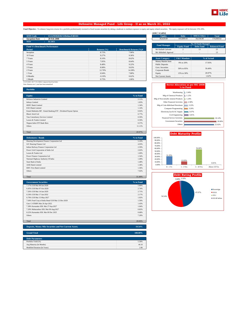

### **Defensive Managed Fund - Life Group - II as on March 31, 2022**

Fund Objective : To enhance long term returns for a portfolio predominantly invested in fixed income securities by taking a moderate to medium exposure to equity and equity related securities. The equity exposure will be b

| <b>SFIN Code</b>                      | ULGF03920/02/12DefnsvFdII101 |                 |                               | <b>Equity</b>          | <b>Debt</b>              | <b>MMI &amp; Others</b> | <b>Total</b>         |
|---------------------------------------|------------------------------|-----------------|-------------------------------|------------------------|--------------------------|-------------------------|----------------------|
| <b>Inception Date</b>                 | 20 Feb 2008                  |                 |                               | 36.624.69              | 103,899.93               | 34,136,00               | 174,660.62           |
| <b>NAV</b>                            | 31.5451                      |                 |                               |                        |                          |                         |                      |
|                                       |                              |                 |                               | <b>Fund Manager</b>    |                          | No. Of Funds Managed    |                      |
| <b>Fund V/s Benchmark Performance</b> |                              |                 |                               |                        | <b>Equity Fund</b>       | <b>Debt Fund</b>        | <b>Balanced Fund</b> |
| Period                                |                              | Returns $(\% )$ | <b>Benchmark Returns (%)#</b> | Mr Kailash Lalwani     | 2                        | 13                      | 25                   |
| Inception                             |                              | 8.72%           | 7.96%                         | Mr Abhishek Agarwal    | $\,$ $\,$                | $\sim$                  | 13                   |
| 10 Years                              |                              | 9.27%           | 9.36%                         |                        |                          |                         |                      |
| 7 Years                               |                              | 8.16%           | 8.62%                         | <b>Asset Category</b>  | <b>F&amp;U</b> Mandate   |                         | % of Actual          |
| 5 Years                               |                              | 7.95%           | 8.64%                         | Money Market Insts     | 0% to 20%                |                         | 17.93%               |
| 4 Years                               |                              | 8.48%           | 9.22%                         | <b>Public Deposits</b> |                          |                         |                      |
| 3 Years                               |                              | 8.98%           | 9.63%                         | Govt. Securities       | 50% to 85%               |                         | 59.49%               |
| 2 Years                               |                              | 12.70%          | 14.38%                        | Corporate Bonds        |                          |                         |                      |
| 1 Year                                |                              | 6.94%           | 7.80%                         | Equity                 | 15% to 30%               |                         | 20.97%               |
| 6 Months                              |                              | $-0.19%$        | 0.62%                         | Net Current Assets     | $\overline{\phantom{a}}$ |                         | 1.62%                |
| 1 Month                               |                              | 0.75%           | 1.06%                         |                        |                          |                         |                      |

| <b>Equity</b>             | <b>Debt</b>            | <b>MMI &amp; Others</b>     | <b>Total</b>         |  |  |
|---------------------------|------------------------|-----------------------------|----------------------|--|--|
| 36.624.69                 | 103.899.93             | 34,136.00                   | 174,660.62           |  |  |
|                           |                        | <b>No. Of Funds Managed</b> |                      |  |  |
| <b>Fund Manager</b>       | <b>Equity Fund</b>     | <b>Debt Fund</b>            | <b>Balanced Fund</b> |  |  |
| Mr Kailash Lalwani        | $\mathfrak{D}$         | 13                          | 25                   |  |  |
| Mr Abhishek Agarwal       | ۰                      | ۰                           | 13                   |  |  |
|                           |                        |                             |                      |  |  |
| <b>Asset Category</b>     | <b>F&amp;U</b> Mandate |                             | % of Actual          |  |  |
| <b>Money Market Insts</b> | 0% to 20%              |                             |                      |  |  |
|                           |                        | 17.93%                      |                      |  |  |
| <b>Public Deposits</b>    |                        |                             |                      |  |  |
| <b>Govt.</b> Securities   |                        |                             |                      |  |  |
| Corporate Bonds           | 50% to 85%             |                             | 59.49%               |  |  |
| Equity                    | 15% to 30%             |                             | 20.97%               |  |  |

### # 22.5% BSE -100 77.5% CRISIL Composite Bond Fund Index Note: Returns over 1 year have been annualized.

| <b>Portfolio</b>                                               |           |
|----------------------------------------------------------------|-----------|
| <b>Equity</b>                                                  | % to Fund |
| Reliance Industries Limited                                    | 2.11%     |
| <b>Infosys Limited</b>                                         | 1.83%     |
| HDFC Bank Limited                                              | 1.34%     |
| <b>ICICI Bank Limited</b>                                      | 1.14%     |
| Kotak Mahindra MF - Kotak Banking ETF - Dividend Payout Option | 0.92%     |
| Bharti Airtel Ltd                                              | 0.77%     |
| Tata Consultancy Services Limited                              | 0.59%     |
| Larsen & Toubro Limited                                        | 0.59%     |
| Nippon India ETF Bank Bees                                     | 0.57%     |
| Others                                                         | 11.11%    |
|                                                                |           |
| Total                                                          | 20.97%    |

| <b>Debentures / Bonds</b>                   | % to Fund |
|---------------------------------------------|-----------|
| Housing Development Finance Corporation Ltd | 5.10%     |
| LIC Housing Finance Ltd                     | 4.93%     |
| Indian Railway Finance Corporation Ltd      | 2.59%     |
| Power Grid Corporation of India Ltd         | 2.02%     |
| Larsen & Toubro Ltd.                        | 1.69%     |
| Power Finance Corporation Ltd               | 1.54%     |
| National Highway Authority Of India         | 1.49%     |
| State Bank of India                         | 1.48%     |
| <b>AXIS Bank Limited</b>                    | 1.38%     |
| <b>IDFC First Bank Limited</b>              | 1.36%     |
| <b>Others</b>                               | 7.92%     |
|                                             |           |

Total 31.49% and 31.49% and 31.49% and 31.49% and 31.49% and 31.49% and 31.49% and 31.49%

| <b>Government Securities</b>                      | % to Fund |
|---------------------------------------------------|-----------|
| 7.17% GOI Mat 08-Jan-2028                         | 5.80%     |
| 6.45% GOI Mat 07-Oct-2029                         | 2.74%     |
| 7.26% GOI Mat 14-Jan-2029                         | 2.71%     |
| 6.54% GOI Mat 17-Jan-2032                         | 2.17%     |
| 6.79% GOI Mat 15-May-2027                         | 1.92%     |
| 7.64% Food Corp of India Bond GOI Mat 12-Dec-2029 | 1.50%     |
| Gsec C-STRIPS Mat 26-Apr-2022                     | 1.43%     |
| 7.38% Karnataka SDL Mat 27-Sep-2027               | 1.04%     |
| 7.20% Maharashtra SDL Mat 09-Aug-2027             | 0.82%     |
| 8.22% Karnataka SDL Mat 09 Dec 2025               | 0.68%     |
| <b>Others</b>                                     | 7.20%     |
|                                                   |           |
| Total                                             | 28,00%    |

| Deposits, Money Mkt Securities and Net Current Assets. | 19.54%  |
|--------------------------------------------------------|---------|
| <b>Grand Total</b>                                     | 100.00% |
| <b>Debt Parameters</b>                                 |         |
| Portfolio Yield (%)                                    | 5.56%   |
| Avg Maturity (In Months)                               | 44.10   |
| Modified Duration (In Years)                           | 2.86    |

|                                      | <b>Sector Allocation as per NIC 2008</b><br>% to Fund |
|--------------------------------------|-------------------------------------------------------|
| Warehousing                          | 1.04%                                                 |
| Mfg of Chemical Products             | 1.12%                                                 |
| Mfg of Non-metallic mineral Products | 1.24%                                                 |
| Other Financial Activities           | 2.58%                                                 |
| Mfg of Coke &Refined Petroleum       | 3.22%                                                 |
| <b>Computer Programming</b>          | 3.26%                                                 |
| Electricity, Gas & AC Supply         | 3.67%                                                 |
| Civil Engineering                    | 3.81%                                                 |
| <b>Financial Service Activities</b>  | 26.14%                                                |
| <b>Government Securities</b>         | 28.00%                                                |
| Others                               | 25.92%                                                |



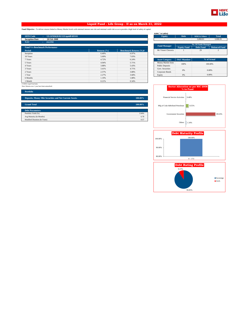

### **Liquid Fund - Life Group - II as on March 31, 2022**

**Fund Objective :** To deliver returns linked to Money Market levels with minimal interest rate risk and minimal credit risk so as to provide a high level of safety of capital.

| <b>Equity</b><br>$\sim$       | <b>Debt</b><br>$\overline{a}$ | <b>MMI &amp; Others</b> | <b>Total</b>                                          |
|-------------------------------|-------------------------------|-------------------------|-------------------------------------------------------|
|                               |                               |                         |                                                       |
|                               |                               | 3.068.81                | 3,068.81                                              |
|                               |                               |                         |                                                       |
|                               |                               |                         |                                                       |
|                               | <b>Equity Fund</b>            | <b>Debt Fund</b>        | <b>Balanced Fund</b>                                  |
| Mr Vineet Choraria            |                               | 29                      | $\overline{\mathcal{L}}$                              |
|                               |                               |                         |                                                       |
|                               |                               |                         |                                                       |
| <b>Asset Category</b>         |                               |                         | % of Actual                                           |
| Money Market Insts            |                               |                         | 100,00%                                               |
| <b>Public Deposits</b>        |                               |                         |                                                       |
| Govt. Securities              |                               |                         | 0.00%                                                 |
| Corporate Bonds               |                               |                         |                                                       |
| Equity                        | 0%                            |                         | 0.00%                                                 |
|                               |                               |                         |                                                       |
|                               |                               |                         |                                                       |
| <b>Benchmark Returns (%)#</b> | <b>Fund Manager</b>           | 100%<br>0%              | <b>No. Of Funds Managed</b><br><b>F&amp;U</b> Mandate |

| <b>Debt</b>                 | <b>MMI &amp; Others</b> | <b>Total</b>         |  |
|-----------------------------|-------------------------|----------------------|--|
| -                           | 3.068.81                | 3.068.81             |  |
|                             |                         |                      |  |
| <b>No. Of Funds Managed</b> |                         |                      |  |
| <b>Equity Fund</b>          | <b>Debt Fund</b>        | <b>Balanced Fund</b> |  |
|                             | 29                      | $\mathfrak{D}$       |  |
|                             |                         |                      |  |
|                             |                         |                      |  |
|                             |                         | % of Actual          |  |
|                             |                         |                      |  |

| <b>ASSEL CALCEDLY</b>  | т осо таниаце | 79 91 FREEHA |
|------------------------|---------------|--------------|
| Money Market Insts     | 100%          | 100.00%      |
| <b>Public Deposits</b> |               |              |
| Govt. Securities       |               | 0.00%        |
| Corporate Bonds        | 0%            |              |
| Equity                 | 0%            | 0.00%        |

### # CRISIL Liquid Fund Index Note: Returns over 1 year have been annualized.

| <b>Portfolio</b>                                       |         |
|--------------------------------------------------------|---------|
| Deposits, Money Mkt Securities and Net Current Assets. | 100.00% |
| <b>Grand Total</b>                                     | 100.00% |
| <b>Debt Parameters</b>                                 |         |
| Portfolio Yield (%)                                    | 3.94%   |
| Avg Maturity (In Months)                               | 6.78    |
| Modified Duration (In Years)                           | 0.57    |





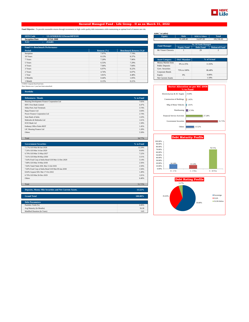

### **Secured Managed Fund - Life Group - II as on March 31, 2022**

**Fund Objective :** To provide reasonable returns through investments in high credit quality debt instruments while maintaining an optimal level of interest rate risk.

| <b>SFIN Code</b>                      |                              |             |                               |                        |                          | <b>MMI &amp; Others</b>     | <b>Total</b>         |
|---------------------------------------|------------------------------|-------------|-------------------------------|------------------------|--------------------------|-----------------------------|----------------------|
|                                       | ULGF03820/02/12SecureMFII101 |             |                               | <b>Equity</b>          | <b>Debt</b>              |                             |                      |
| <b>Inception Date</b>                 | 20 Feb 2008                  |             |                               | $\,$ $\,$              | 91.449.40                | 14.297.09                   | 105,746.49           |
| <b>NAV</b>                            | 29.6481                      |             |                               |                        |                          |                             |                      |
|                                       |                              |             |                               | <b>Fund Manager</b>    |                          | <b>No. Of Funds Managed</b> |                      |
| <b>Fund V/s Benchmark Performance</b> |                              |             |                               |                        | <b>Equity Fund</b>       | <b>Debt Fund</b>            | <b>Balanced Fund</b> |
| Period                                |                              | Returns (%) | <b>Benchmark Returns (%)#</b> | Mr Vineet Choraria     |                          | 29                          | 2                    |
| Inception                             |                              | 7.97%       | 7.74%                         |                        |                          |                             |                      |
| 10 Years                              |                              | 8.13%       | 8.37%                         |                        |                          |                             |                      |
| 7 Years                               |                              | 7.20%       | 7.96%                         | <b>Asset Category</b>  | <b>F&amp;U</b> Mandate   |                             | % of Actual          |
| 5 Years                               |                              | 6.53%       | 7.29%                         | Money Market Insts     | 0% to 25%                |                             | 11.93%               |
| 4 Years                               |                              | 7.04%       | 7.84%                         | <b>Public Deposits</b> |                          |                             |                      |
| 3 Years                               |                              | 6.97%       | 8.22%                         | Govt. Securities       | 75% to 100%              |                             |                      |
| 2 Years                               |                              | 4.74%       | 6.07%                         | Corporate Bonds        |                          | 86.48%                      |                      |
| 1 Year                                |                              | 3.81%       | 4.48%                         | Equity                 | 0%                       |                             | 0.00%                |
| 6 Months                              |                              | 0.44%       | 1.05%                         | Net Current Assets     | $\overline{\phantom{a}}$ |                             | 1.59%                |
| 1 Month                               |                              | 0.15%       | 0.21%                         |                        |                          |                             |                      |

<sup>#</sup> CRISIL Composite Bond Fund Index Note: Returns over 1 year have been annualized.

| <b>Portfolio</b>                            |           |
|---------------------------------------------|-----------|
| <b>Debentures / Bonds</b>                   | % to Fund |
| Housing Development Finance Corporation Ltd | 7.65%     |
| <b>IDFC First Bank Limited</b>              | 4.47%     |
| Sikka Ports And Terminals                   | 3.74%     |
| Bajaj Finance Ltd                           | 3.04%     |
| Power Finance Corporation Ltd               | 2.74%     |
| <b>State Bank of India</b>                  | 1.63%     |
| Mahindra & Mahindra Ltd                     | 1.61%     |
| <b>ICICI Bank Ltd</b>                       | 1.58%     |
| <b>Embassy Office Parks REIT</b>            | 1.45%     |
| LIC Housing Finance Ltd                     | 1.28%     |
| Others                                      | 5.58%     |
|                                             |           |

Total 34.77%

| <b>Government Securities</b>                      | % to Fund |
|---------------------------------------------------|-----------|
| 7.17% GOI Mat 08-Jan-2028                         | 12.29%    |
| 7.26% GOI Mat 14-Jan-2029                         | 9.64%     |
| 6.79% GOI Mat 15-May-2027                         | 7.22%     |
| 7.61% GOI Mat 09-May-2030                         | 3.51%     |
| 7.64% Food Corp of India Bond GOI Mat 12-Dec-2029 | 3.14%     |
| 7.88% GOI Mat 19-Mar-2030                         | 2.56%     |
| 7.84% Tamil Nadu SDL Mat 13-Jul-2026              | 2.50%     |
| 7.60% Food Corp of India Bond GOI Mat 09-Jan-2030 | 1.94%     |
| 8.84% Gujarat SDL Mat 17-Oct-2022                 | 1.49%     |
| 6.79% GOI Mat 26-Dec-2029                         | 1.01%     |
| <b>Others</b>                                     | 6.40%     |
|                                                   |           |
| Total                                             | 51.71%    |

| Deposits, Money Mkt Securities and Net Current Assets. | 13.52%  |
|--------------------------------------------------------|---------|
| <b>Grand Total</b>                                     | 100.00% |
| <b>Debt Parameters</b>                                 |         |
| Portfolio Yield (%)                                    | 6.06%   |
| Avg Maturity (In Months)                               | 56.38   |
| Modified Duration (In Years)                           | 3.65    |

| AUM ( in Lakhs) |             |       |
|-----------------|-------------|-------|
| <b>Equity</b>   | <b>Debt</b> | MMI & |
|                 | 91,449.40   | 14.29 |
|                 |             |       |

|                     | <b>No. Of Funds Managed</b> |                  |                      |  |
|---------------------|-----------------------------|------------------|----------------------|--|
| <b>Fund Manager</b> | <b>Equity Fund</b>          | <b>Debt Fund</b> | <b>Balanced Fund</b> |  |
| Mr Vineet Choraria  |                             | 29               |                      |  |

| <b>Asset Category</b>     | <b>F&amp;U</b> Mandate   | % of Actual |  |
|---------------------------|--------------------------|-------------|--|
| Money Market Insts        | 0% to 25%                | 11.93%      |  |
| <b>Public Deposits</b>    |                          |             |  |
| Govt. Securities          | 75% to 100%              | 86.48%      |  |
| Corporate Bonds           |                          |             |  |
| Equity                    | 0%                       | 0.00%       |  |
| <b>Net Current Assets</b> | $\overline{\phantom{a}}$ | 1.59%       |  |





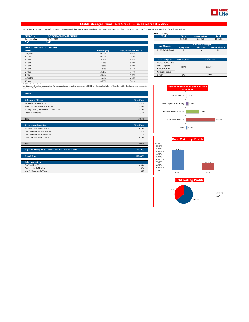

### **Stable Managed Fund - Life Group - II as on March 31, 2022**

Fund Objective : To generate optimal returns for investors through short term investments in high credit quality securities so as to keep interest rate risks low and provide safety of capital over the medium term horizon.

| <b>SFIN Code</b>                      | ULGF03720/02/12StableMFII101 |                 |                               | <b>Equity</b>          | <b>Debt</b>            | <b>MMI &amp; Others</b>     | <b>Total</b>         |
|---------------------------------------|------------------------------|-----------------|-------------------------------|------------------------|------------------------|-----------------------------|----------------------|
| <b>Inception Date</b>                 | 20 Feb 2008                  |                 |                               | $\sim$                 | 1.191.60               | 2,850.26                    | 4,041.86             |
| NAV                                   | 25.011                       |                 |                               |                        |                        |                             |                      |
|                                       |                              |                 |                               | <b>Fund Manager</b>    |                        | <b>No. Of Funds Managed</b> |                      |
| <b>Fund V/s Benchmark Performance</b> |                              |                 |                               |                        | <b>Equity Fund</b>     | <b>Debt Fund</b>            | <b>Balanced Fund</b> |
| Period                                |                              | Returns $(\% )$ | <b>Benchmark Returns (%)#</b> | Mr Kailash Lalwani     | $\overline{2}$         | 13                          | 25                   |
| Inception                             |                              | 6.68%           | 7.44%                         |                        |                        |                             |                      |
| 10 Years                              |                              | 6.40%           | 8.09%                         |                        |                        |                             |                      |
| 7 Years                               |                              | 5.62%           | 7.34%                         | <b>Asset Category</b>  | <b>F&amp;U</b> Mandate |                             | % of Actual          |
| 5 Years                               |                              | 5.26%           | 6.79%                         | Money Market Insts     |                        |                             |                      |
| 4 Years                               |                              | 5.33%           | 6.79%                         | <b>Public Deposits</b> | 100%                   | 100,00%                     |                      |
| 3 Years                               |                              | 4.84%           | 6.34%                         | Govt. Securities       |                        |                             |                      |
| 2 Years                               |                              | 3.81%           | 5.47%                         | Corporate Bonds        |                        |                             |                      |
| 1 Year                                |                              | 3.18%           | 4.49%                         | Equity                 | 0%                     |                             | 0.00%                |
| 6 Months                              |                              | 1.27%           | 2.12%                         |                        |                        |                             |                      |
| 1 Month                               |                              | 0.26%           | 0.41%                         |                        |                        |                             |                      |

| AUM (` in Lakhs)          |                        |                             |                      |  |
|---------------------------|------------------------|-----------------------------|----------------------|--|
| <b>Equity</b>             | <b>Debt</b>            | <b>MMI &amp; Others</b>     | <b>Total</b>         |  |
| $\overline{\phantom{a}}$  | 1.191.60               | 2.850.26                    | 4.041.86             |  |
|                           |                        |                             |                      |  |
| <b>Fund Manager</b>       |                        | <b>No. Of Funds Managed</b> |                      |  |
|                           | <b>Equity Fund</b>     | <b>Debt Fund</b>            | <b>Balanced Fund</b> |  |
| Mr Kailash Lalwani        | $\mathfrak{D}$         | 13                          | 25                   |  |
|                           |                        |                             |                      |  |
|                           |                        |                             |                      |  |
| <b>Asset Category</b>     | <b>F&amp;U</b> Mandate |                             | % of Actual          |  |
| <b>Money Market Insts</b> |                        |                             |                      |  |
| <b>Public Deposits</b>    | 100%                   | 100.00%                     |                      |  |
| Govt. Securities          |                        |                             |                      |  |
|                           |                        |                             |                      |  |

| 1 Month                                                                                                                                                                                                                                                             | 0.26% | 0.41%     |                                        |
|---------------------------------------------------------------------------------------------------------------------------------------------------------------------------------------------------------------------------------------------------------------------|-------|-----------|----------------------------------------|
| # CRISIL Low Duration Debt Index<br>Note: Returns over 1 year have been annualized. The benchmark index of the fund has been changed to CRISIL Low Duration Debt Index w.e.f December 30, 2020. Benchmark returns are computed<br>basis the revised benchmark index |       |           | <b>Sector Allocation</b><br>$%$ to $F$ |
| <b>Portfolio</b>                                                                                                                                                                                                                                                    |       |           | Civil Engineering<br>1.2               |
| <b>Debentures / Bonds</b>                                                                                                                                                                                                                                           |       | % to Fund |                                        |
| HDB Financial Services Ltd                                                                                                                                                                                                                                          |       | 5.57%     | Electricity, Gas & AC Supply           |

| HDB Financial Services Ltd                  | 5.57%     |
|---------------------------------------------|-----------|
| Power Grid Corporation of India Ltd         | 5.56%     |
| Housing Development Finance Corporation Ltd | 5.40%     |
| Larsen & Toubro Ltd                         | 1.27%     |
|                                             |           |
| Total                                       | 17.81%    |
|                                             |           |
| <b>Government Securities</b>                | % to Fund |
| 7.37% GOI Mat 16-April-2023                 | 6.10%     |

| Gsec C-STRIPS Mat 22-Feb-2023 | 3.57% |
|-------------------------------|-------|
| Gsec C-STRIPS Mat 15-Jun-2023 | 1.41% |
| Gsec C-STRIPS Mat 12-Dec-2022 | 0.60% |
|                               |       |
| Total                         | 68%   |

**Deposits, Money Mkt Securities and Net Current Assets. 70.52%**

| <b>Grand Total</b>           | 100.00% |
|------------------------------|---------|
|                              |         |
| <b>Debt Parameters</b>       |         |
| Portfolio Yield (%)          | 4.68%   |
| Avg Maturity (In Months)     | 10.94   |
| Modified Duration (In Years) | 0.88    |





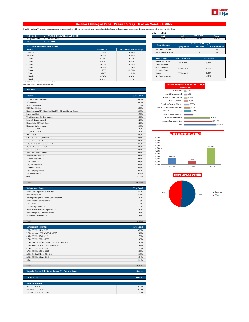

### **Balanced Managed Fund - Pension Group - II as on March 31, 2022**

Fund Objective : To generate long term capital appreciation along with current income from a combined portfolio of equity and debt market instruments. The equity exposure will be between 30%-60%.

| <b>SFIN Code</b><br>ULGF04611/02/12BalncdMFII101 |                 |                               | <b>Equity</b>             | <b>Debt</b>            | <b>MMI &amp; Others</b>     | <b>Total</b>         |
|--------------------------------------------------|-----------------|-------------------------------|---------------------------|------------------------|-----------------------------|----------------------|
| <b>Inception Date</b><br><b>08 Oct 2008</b>      |                 |                               | 286.67                    | 242.71                 | 89.05                       | 618.43               |
| <b>NAV</b><br>$\pm 42.5283$                      |                 |                               |                           |                        |                             |                      |
|                                                  |                 |                               | <b>Fund Manager</b>       |                        | <b>No. Of Funds Managed</b> |                      |
| <b>Fund V/s Benchmark Performance</b>            |                 |                               |                           | <b>Equity Fund</b>     | <b>Debt Fund</b>            | <b>Balanced Fund</b> |
| <b>Period</b>                                    | Returns $(\% )$ | <b>Benchmark Returns (%)#</b> | Mr Kailash Lalwani        | $\overline{2}$         | 13                          | 25                   |
| Inception                                        | 11.67%          | 10.33%                        | Mr Abhishek Agarwal       | $\qquad \qquad =$      | $\sim$                      | 13                   |
| 10 Years                                         | 10.73%          | 10.36%                        |                           |                        |                             |                      |
| 7 Years                                          | 9.23%           | 9.27%                         | <b>Asset Category</b>     | <b>F&amp;U</b> Mandate |                             | % of Actual          |
| 5 Years                                          | 9.62%           | 9.99%                         | <b>Money Market Insts</b> | 0% to 20%              |                             | 13.25%               |
| 4 Years                                          | 10.35%          | 10.60%                        | <b>Public Deposits</b>    |                        |                             |                      |
| 3 Years                                          | 10.77%          | 11.04%                        | Govt. Securities          | 20% to 70%             |                             | 39.25%               |
| 2 Years                                          | 21.28%          | 22.68%                        | Corporate Bonds           |                        |                             |                      |
| 1 Year                                           | 10.24%          | 11.12%                        | Equity                    | 30% to 60%             |                             | 46.35%               |
| 6 Months                                         | $-0.64%$        | 0.18%                         | Net Current Assets        | $\sim$                 |                             | 1.15%                |
| 1 Month                                          | 1.62%           | 1.91%                         |                           |                        |                             |                      |

| <b>Equity</b>           | <b>Deht</b>            | <b>MMI &amp; Others</b>     | <b>Total</b>         |
|-------------------------|------------------------|-----------------------------|----------------------|
| 286.67                  | 242.71                 | 89.05                       | 618.43               |
|                         |                        |                             |                      |
| <b>Fund Manager</b>     |                        | <b>No. Of Funds Managed</b> |                      |
|                         | <b>Equity Fund</b>     | <b>Debt Fund</b>            | <b>Balanced Fund</b> |
| Mr Kailash Lalwani      | $\mathfrak{D}$         | 13                          | 25                   |
| Mr Abhishek Agarwal     |                        |                             | 13                   |
|                         |                        |                             |                      |
|                         |                        |                             |                      |
| <b>Asset Category</b>   | <b>F&amp;U</b> Mandate |                             | % of Actual          |
| Money Market Insts      |                        |                             |                      |
| <b>Public Deposits</b>  | 0% to 20%              |                             | 13.25%               |
| <b>Govt.</b> Securities |                        |                             |                      |
| Corporate Bonds         | 20% to 70%             |                             | 39.25%               |
| Equity                  | 30% to 60%             |                             | 46.35%               |

### # 45% BSE -100 55% CRISIL Composite Bond Fund Index Note: Returns over 1 year have been annualized.

**Portfolio**

| <b>Equity</b>                                                  | % to Fund |
|----------------------------------------------------------------|-----------|
| Reliance Industries Limited                                    | 4.66%     |
| <b>Infosys Limited</b>                                         | 4.05%     |
| HDFC Bank Limited                                              | 2.96%     |
| <b>ICICI</b> Bank Limited                                      | 2.50%     |
| Kotak Mahindra MF - Kotak Banking ETF - Dividend Payout Option | 2.03%     |
| Bharti Airtel Ltd                                              | 1.70%     |
| Tata Consultancy Services Limited                              | 1.31%     |
| Larsen & Toubro Limited                                        | 1.29%     |
| Nippon India ETF Bank Bees                                     | 1.26%     |
| Hindustan Unilever Limited                                     | 1.09%     |
| Bajaj Finance Ltd                                              | 1.09%     |
| Axis Bank Limited                                              | 1.07%     |
| ITC Limited                                                    | 0.99%     |
| SBI Mutual Fund - SBI ETF Private Bank                         | 0.91%     |
| Kotak Mahindra Bank Limited                                    | 0.88%     |
| <b>ICICI Prudential Private Banks ETF</b>                      | 0.73%     |
| <b>HCL Technologies Limited</b>                                | 0.68%     |
| State Bank of India                                            | 0.66%     |
| <b>UltraTech Cement Limited</b>                                | 0.65%     |
| Maruti Suzuki India Ltd.                                       | 0.65%     |
| Asian Paints (India) Ltd                                       | 0.65%     |
| Bajaj Finserv Ltd                                              | 0.63%     |
| <b>ICICI Prudential IT ETF</b>                                 | 0.58%     |
| <b>Tata Steel Limited</b>                                      | 0.55%     |
| <b>Titan Company Limited</b>                                   | 0.52%     |
| Mahindra & Mahindra Ltd.                                       | 0.51%     |
| Others                                                         | 11.75%    |
|                                                                |           |
| Total                                                          | 46.35%    |

| <b>Debentures / Bonds</b>                   | % to Fund |
|---------------------------------------------|-----------|
| Power Grid Corporation of India Ltd         | 3.47%     |
| State Bank of India                         | 3.34%     |
| Housing Development Finance Corporation Ltd | 1.82%     |
| Power Finance Corporation Ltd               | 1.73%     |
| <b>REC</b> Limited                          | 1.73%     |
| LIC Housing Finance Ltd                     | 1.72%     |
| Indian Railway Finance Corporation Ltd      | 1.67%     |
| National Highway Authority Of India         | 1.66%     |
| <b>Sikka Ports And Terminals</b>            | 1.64%     |
|                                             |           |
| Total                                       | 18.78%    |

| <b>Government Securities</b>                      | % to Fund |
|---------------------------------------------------|-----------|
| 7.26% GOI Mat 14-Jan-2029                         | 3.23%     |
| 7.38% Karnataka SDL Mat 27-Sep-2027               | 2.01%     |
| 6.45% GOI Mat 07-Oct-2029                         | 1.73%     |
| 7.59% GOI Mat 20-Mar-2029                         | 1.69%     |
| 7.64% Food Corp of India Bond GOI Mat 12-Dec-2029 | 1.68%     |
| 7.20% Maharashtra SDL Mat 09-Aug-2027             | 1.67%     |
| 6.54% GOI Mat 17-Jan-2032.                        | 1.58%     |
| 6.79% GOI Mat 15-May-2027                         | 1.50%     |
| 8.00% Oil Bond Mat 23-Mar-2026                    | 0.68%     |
| 5.63% GOI Mat 12-Apr-2026                         | 0.54%     |
| <b>Others</b>                                     | 4.14%     |
|                                                   |           |
| Total                                             | 20.46%    |

| Deposits, Money Mkt Securities and Net Current Assets. | 14.40%  |
|--------------------------------------------------------|---------|
|                                                        |         |
| <b>Grand Total</b>                                     | 100.00% |
|                                                        |         |
| <b>Debt Parameters</b>                                 |         |
| Portfolio Yield (%)                                    | 5.70%   |
| Avg Maturity (In Months)                               | 47.56   |
| Modified Duration (In Years)                           | 3.09    |





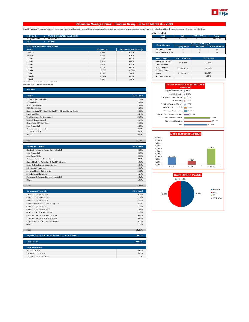

### **Defensive Managed Fund - Pension Group - II as on March 31, 2022**

Fund Objective : To enhance long term returns for a portfolio predominantly invested in fixed income securities by taking a moderate to medium exposure to equity and equity related securities. The equity exposure will be b

|                                                  |                 |                               | ………………………              |                        |                         |                      |
|--------------------------------------------------|-----------------|-------------------------------|------------------------|------------------------|-------------------------|----------------------|
| <b>SFIN Code</b><br>ULGF04511/02/12DefnsvFdII101 |                 |                               | Equity                 | <b>Debt</b>            | <b>MMI &amp; Others</b> | <b>Total</b>         |
| <b>Inception Date</b><br><b>08 Oct 2008</b>      |                 |                               | 8,038.85               | 20.356.44              | 6.526.97                | 34,922.27            |
| <b>NAV</b><br>34.2459                            |                 |                               |                        |                        |                         |                      |
|                                                  |                 |                               | <b>Fund Manager</b>    |                        | No. Of Funds Managed    |                      |
| <b>Fund V/s Benchmark Performance</b>            |                 |                               |                        | <b>Equity Fund</b>     | <b>Debt Fund</b>        | <b>Balanced Fund</b> |
| Period                                           | Returns $(\% )$ | <b>Benchmark Returns (%)#</b> | Mr Kailash Lalwani     | $\mathfrak{D}$         | 13                      | 25                   |
| Inception                                        | 9.66%           | 9.22%                         | Mr Abhishek Agarwal    | $\,$ $\,$              | $\,$                    | 13                   |
| 10 Years                                         | 9.23%           | 9.36%                         |                        |                        |                         |                      |
| 7 Years                                          | 8.18%           | 8.62%                         | <b>Asset Category</b>  | <b>F&amp;U</b> Mandate |                         | % of Actual          |
| 5 Years                                          | 8.01%           | 8.64%                         | Money Market Insts     | 0% to 20%<br>17.34%    |                         |                      |
| 4 Years                                          | 8.52%           | 9.22%                         | <b>Public Deposits</b> |                        |                         |                      |
| 3 Years                                          | 9.17%           | 9.63%                         | Govt. Securities       | 50% to 85%             |                         | 58.29%               |
| 2 Years                                          | 12.83%          | 14.38%                        | Corporate Bonds        |                        |                         |                      |
| 1 Year                                           | 7.16%           | 7.80%                         | Equity                 | 15% to 30%             |                         | 23.02%               |
| 6 Months                                         | $-0.21%$        | 0.62%                         | Net Current Assets     | $\sim$                 |                         | 1.35%                |
| 1 Month                                          | 0.83%           | 1.06%                         |                        |                        |                         |                      |

| <b>Equity</b>           | <b>Debt</b>            | <b>MMI &amp; Others</b>     | <b>Total</b>         |
|-------------------------|------------------------|-----------------------------|----------------------|
| 8.038.85                | 20.356.44              | 6.526.97                    | 34,922.27            |
|                         |                        |                             |                      |
| <b>Fund Manager</b>     |                        | <b>No. Of Funds Managed</b> |                      |
|                         | <b>Equity Fund</b>     | <b>Debt Fund</b>            | <b>Balanced Fund</b> |
| Mr Kailash Lalwani      | $\mathfrak{D}$         | 13                          | 25                   |
| Mr Abhishek Agarwal     | ٠                      | ٠                           | 13                   |
|                         |                        |                             |                      |
| <b>Asset Category</b>   | <b>F&amp;U</b> Mandate |                             | % of Actual          |
|                         | 17.34%                 |                             |                      |
| Money Market Insts      |                        |                             |                      |
| <b>Public Deposits</b>  | 0% to 20%              |                             |                      |
| <b>Govt.</b> Securities |                        |                             |                      |
| Corporate Bonds         | 50% to 85%             |                             | 58.29%               |
| Equity                  | 15% to 30%             |                             | 23.02%               |

**AUM (` in Lakhs)**

### # 22.5% BSE -100 77.5% CRISIL Composite Bond Fund Index Note: Returns over 1 year have been annualized.

| <b>Portfolio</b>                                               |           |
|----------------------------------------------------------------|-----------|
| <b>Equity</b>                                                  | % to Fund |
| Reliance Industries Limited                                    | 2.31%     |
| <b>Infosys Limited</b>                                         | 2.01%     |
| HDFC Bank Limited                                              | 1.47%     |
| <b>ICICI</b> Bank Limited                                      | 1.25%     |
| Kotak Mahindra MF - Kotak Banking ETF - Dividend Payout Option | 1.01%     |
| Bharti Airtel Ltd                                              | 0.84%     |
| <b>Tata Consultancy Services Limited</b>                       | 0.65%     |
| Larsen & Toubro Limited                                        | 0.64%     |
| Nippon India ETF Bank Bees                                     | 0.63%     |
| Bajaj Finance Ltd                                              | 0.55%     |
| Hindustan Unilever Limited                                     | 0.54%     |
| Axis Bank Limited                                              | 0.53%     |
| Others                                                         | 10.57%    |
|                                                                |           |
| Total                                                          | 23.02%    |

| <b>Debentures / Bonds</b>                         | % to Fund |
|---------------------------------------------------|-----------|
| Housing Development Finance Corporation Ltd       | 4.87%     |
| Bajaj Finance Ltd                                 | 3.68%     |
| State Bank of India                               | 3.30%     |
| Hindustan Petroleum Corporation Ltd               | 2.94%     |
| National Bank For Agriculture & Rural Development | 1.96%     |
| Indian Railway Finance Corporation Ltd            | 1.83%     |
| LIC Housing Finance Ltd                           | 1.32%     |
| Export and Import Bank of India                   | 1.31%     |
| Sikka Ports And Terminals                         | 1.23%     |
| Mahindra and Mahindra Financial Services Ltd.     | 1.02%     |
| Others                                            | 5.68%     |
|                                                   |           |

| <b>Government Securities</b>          | % to Fund |
|---------------------------------------|-----------|
| 7.17% GOI Mat 08-Jan-2028             | 5.72%     |
| 6.45% GOI Mat 07-Oct-2029             | 2.79%     |
| 7.26% GOI Mat 14-Jan-2029             | 2.57%     |
| 7.20% Maharashtra SDL Mat 09-Aug-2027 | 2.43%     |
| 6.54% GOI Mat 17-Jan-2032.            | 2.33%     |
| 6.79% GOI Mat 15-May-2027             | 1.89%     |
| Gsec C-STRIPS Mat 26-Oct-2022         | 1.57%     |
| 8.22% Karnataka SDL Mat 09 Dec 2025   | 0.94%     |
| 7.65% Karnataka SDL Mat 29 Nov 2027   | 0.86%     |
| 8.04% Maharashtra SDL Mat 25-Feb-2025 | 0.70%     |
| <b>Others</b>                         | 7.34%     |
|                                       |           |
| Total                                 | 29.15%    |

Total 29.14%

| Deposits, Money Mkt Securities and Net Current Assets. | 18.69%  |
|--------------------------------------------------------|---------|
|                                                        |         |
| <b>Grand Total</b>                                     | 100.00% |
|                                                        |         |
| <b>Debt Parameters</b>                                 |         |
| Portfolio Yield (%)                                    | 5.67%   |
| Avg Maturity (In Months)                               | 46.18   |
| Modified Duration (In Years)                           | 3.01    |

|                                     | Sector Allocation as per NIC 2008<br>% to Fund |
|-------------------------------------|------------------------------------------------|
| Mfg of Pharmaceuticals              | 1.00%                                          |
| Civil Engineering                   | 1.06%                                          |
| Mfg of Chemical Products            | 1.23%                                          |
| Warehousing                         | 1.32%                                          |
| Electricity, Gas & AC Supply        | 1.88%                                          |
| Other Financial Activities          | 2.83%                                          |
| <b>Computer Programming</b>         | 3.58%                                          |
| Mfg of Coke &Refined Petroleum      | 5.74%                                          |
| <b>Financial Service Activities</b> | 27.50%                                         |
| <b>Government Securities</b>        | 29.15%                                         |
| Others                              | 24.70%                                         |



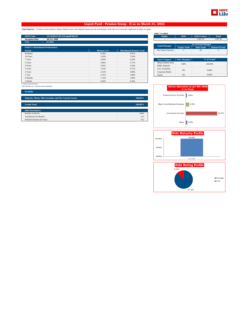

### **Liquid Fund - Pension Group - II as on March 31, 2022**

**Fund Objective :** To deliver returns linked to Money Market levels with minimal interest rate risk and minimal credit risk so as to provide a high level of safety of capital.

| <b>SFIN Code</b><br>ULGF04311/02/12LiquidFdII101 |                 |                               | <b>Equity</b>            | <b>Debt</b>                       | <b>MMI &amp; Others</b>     | <b>Total</b>         |
|--------------------------------------------------|-----------------|-------------------------------|--------------------------|-----------------------------------|-----------------------------|----------------------|
| <b>Inception Date</b><br>08 Oct 2008             |                 |                               | $\overline{\phantom{a}}$ | $\overline{a}$                    | 1,297.35                    | 1,297.35             |
| NAV<br>22.7963                                   |                 |                               |                          |                                   |                             |                      |
|                                                  |                 |                               | <b>Fund Manager</b>      |                                   | <b>No. Of Funds Managed</b> |                      |
| <b>Fund V/s Benchmark Performance</b>            |                 |                               |                          | <b>Equity Fund</b>                | <b>Debt Fund</b>            | <b>Balanced Fund</b> |
| <b>Period</b>                                    | Returns $(\% )$ | <b>Benchmark Returns (%)#</b> | Mr Vineet Choraria       |                                   | 29                          | $\overline{2}$       |
| Inception                                        | 6.28%           | 6.91%                         |                          |                                   |                             |                      |
| 10 Years                                         | 5.63%           | 7.03%                         |                          |                                   |                             |                      |
| 7 Years                                          | 4.65%           | 6.24%                         | <b>Asset Category</b>    | <b>F&amp;U</b> Mandate            |                             | % of Actual          |
| 5 Years                                          | 3.99%           | 5.71%                         | Money Market Insts       | 100%                              |                             |                      |
| 4 Years                                          | 3.81%           | 5.43%                         | <b>Public Deposits</b>   | 100,00%                           |                             |                      |
| 3 Years                                          | 3.33%           | 4.71%                         | Govt. Securities         | 0%                                |                             | 0.00%                |
| 2 Years                                          | 2.53%           | 3.88%                         | Corporate Bonds          |                                   |                             |                      |
| 1 Year                                           | 2.21%           | 3.68%                         | Equity                   | 0%                                |                             | 0.00%                |
| 6 Months                                         | 1.14%           | 1.88%                         |                          |                                   |                             |                      |
| 1 Month                                          | 0.20%           | 0.34%                         |                          |                                   |                             |                      |
| # CRISIL Liquid Fund Index                       |                 |                               |                          |                                   |                             |                      |
| Note: Returns over 1 year have been annualized.  |                 |                               |                          | Sector Allocation as not NIC 2008 |                             |                      |

| <b>Equity</b>          | <b>Debt</b>            | <b>MMI &amp; Others</b>     | <b>Total</b>             |
|------------------------|------------------------|-----------------------------|--------------------------|
|                        | ٠                      | 1.297.35                    | 1.297.35                 |
|                        |                        | <b>No. Of Funds Managed</b> |                          |
| <b>Fund Manager</b>    | <b>Equity Fund</b>     | <b>Debt Fund</b>            | <b>Balanced Fund</b>     |
| Mr Vineet Choraria     |                        | 29                          | $\overline{\mathcal{L}}$ |
| <b>Asset Category</b>  | <b>F&amp;U</b> Mandate |                             | % of Actual              |
| Money Market Insts     |                        |                             | 100.00%                  |
| <b>Public Deposits</b> | 100%                   |                             |                          |
| Govt. Securities       |                        |                             |                          |

|                                     | Sector Allocation as per NIC 2008<br>% to Fund |
|-------------------------------------|------------------------------------------------|
| <b>Financial Service Activities</b> | 3.00%                                          |
| Mfg of Coke &Refined Petroleum      | 8.78%                                          |
| <b>Government Securities</b>        | 84.32                                          |







| <b>Portfolio</b> |  |  |
|------------------|--|--|
|                  |  |  |

| Deposits, Money Mkt Securities and Net Current Assets. | 100.00% |
|--------------------------------------------------------|---------|
| <b>Grand Total</b>                                     | 100.00% |
| <b>Debt Parameters</b>                                 |         |
| Portfolio Yield (%)                                    | 3.88%   |
| Avg Maturity (In Months)                               | 6.23    |
| Modified Duration (In Years)                           | 0.52    |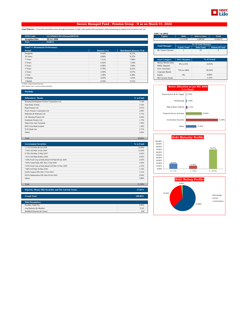

### **Secure Managed Fund - Pension Group - II as on March 31, 2022**

**Fund Objective :** To provide reasonable returns through investments in high credit quality debt instruments while maintaining an optimal level of interest rate risk.

| <b>SFIN Code</b>                      | ULGF04411/02/12SecureMFII101 |             |                               | <b>Equity</b>          | <b>Debt</b>              | <b>MMI &amp; Others</b>     | <b>Total</b>             |
|---------------------------------------|------------------------------|-------------|-------------------------------|------------------------|--------------------------|-----------------------------|--------------------------|
| <b>Inception Date</b>                 | 08 Oct 2008                  |             |                               | $\overline{a}$         | 11.123.82                | 2,286.68                    | 13,410.51                |
| NAV                                   | 29.0874                      |             |                               |                        |                          |                             |                          |
|                                       |                              |             |                               | <b>Fund Manager</b>    |                          | <b>No. Of Funds Managed</b> |                          |
| <b>Fund V/s Benchmark Performance</b> |                              |             |                               |                        | <b>Equity Fund</b>       | <b>Debt Fund</b>            | <b>Balanced Fund</b>     |
| Period                                |                              | Returns (%) | <b>Benchmark Returns (%)#</b> | Mr Vineet Choraria     |                          | 29                          | $\overline{\mathcal{L}}$ |
| Inception                             |                              | 8.16%       | 8.11%                         |                        |                          |                             |                          |
| 10 Years                              |                              | 8.06%       | 8.37%                         |                        |                          |                             |                          |
| 7 Years                               |                              | 7.11%       | 7.96%                         | <b>Asset Category</b>  | <b>F&amp;U</b> Mandate   |                             | % of Actual              |
| 5 Years                               |                              | 6.42%       | 7.29%                         | Money Market Insts     | 0% to 25%                |                             | 14.93%                   |
| 4 Years                               |                              | 6.90%       | 7.84%                         | <b>Public Deposits</b> |                          |                             |                          |
| 3 Years                               |                              | 6.78%       | 8.22%                         | Govt. Securities       | 75% to 100%              |                             | 82.95%                   |
| 2 Years                               |                              | 4.50%       | 6.07%                         | Corporate Bonds        |                          |                             |                          |
| 1 Year                                |                              | 3.38%       | 4.48%                         | Equity                 | 0%                       |                             | 0.00%                    |
| 6 Months                              |                              | 0.03%       | 1.05%                         | Net Current Assets     | $\overline{\phantom{a}}$ |                             | 2.12%                    |
| 1 Month                               |                              | 0.10%       | 0.21%                         |                        |                          |                             |                          |

<sup>#</sup> CRISIL Composite Bond Fund Index Note: Returns over 1 year have been annualized.

| <b>Portfolio</b>                            |           |
|---------------------------------------------|-----------|
| <b>Debentures / Bonds</b>                   | % to Fund |
| Housing Development Finance Corporation Ltd | 7.13%     |
| State Bank of India                         | 3.10%     |
| Bajaj Finance Ltd                           | 3.01%     |
| Power Finance Corporation Ltd               | 2.84%     |
| Mahindra & Mahindra Ltd                     | 2.73%     |
| LIC Housing Finance Ltd                     | 2.04%     |
| Sundaram Finance Ltd                        | 1.73%     |
| Sikka Ports And Terminals                   | 1.58%     |
| <b>IDFC First Bank Limited</b>              | 1.58%     |
| <b>ICICI Bank Ltd</b>                       | 1.57%     |
| Others                                      | 3.64%     |
|                                             |           |

| <b>Government Securities</b>                      | % to Fund |
|---------------------------------------------------|-----------|
| 7.17% GOI Mat 08-Jan-2028                         | 14.99%    |
| 7.26% GOI Mat 14-Jan-2029                         | 12.24%    |
| 6.79% GOI Mat 15-May-2027                         | 5.62%     |
| 7.61% GOI Mat 09-May-2030                         | 3.83%     |
| 7.60% Food Corp of India Bond GOI Mat 09-Jan-2030 | 2.63%     |
| 7.84% Tamil Nadu SDL Mat 13-Jul-2026              | 2.58%     |
| 7.64% Food Corp of India Bond GOI Mat 12-Dec-2029 | 2.25%     |
| 7.88% GOI Mat 19-Mar-2030                         | 1.53%     |
| 8.84% Gujarat SDL Mat 17-Oct-2022                 | 1.51%     |
| 8.85% Maharashtra SDL Mat 03-Oct-2022.            | 0.94%     |
| <b>Others</b>                                     | 3.88%     |
|                                                   |           |
| Total                                             | 51.99%    |

Total 30.96%

| Deposits, Money Mkt Securities and Net Current Assets. | 17.05%     |
|--------------------------------------------------------|------------|
|                                                        |            |
| <b>Grand Total</b>                                     | $100.00\%$ |
|                                                        |            |
| <b>Debt Parameters</b>                                 |            |
| Portfolio Yield (%)                                    | 6.00%      |
| Avg Maturity (In Months)                               | 55.85      |
| Modified Duration (In Years)                           | 3.60       |

**AUM (` in Lakhs)**

| <b>Debt</b>         | <b>MMI &amp; Others</b> | <b>Total</b>                |  |  |
|---------------------|-------------------------|-----------------------------|--|--|
| 11.123.82           | 2.286.68                | 13.410.51                   |  |  |
|                     |                         |                             |  |  |
| <b>Fund Manager</b> |                         |                             |  |  |
| <b>Equity Fund</b>  | <b>Debt Fund</b>        | <b>Balanced Fund</b>        |  |  |
|                     | 29                      |                             |  |  |
|                     |                         |                             |  |  |
|                     |                         | <b>No. Of Funds Managed</b> |  |  |

| <b>Asset Category</b>     | <b>F&amp;U</b> Mandate | % of Actual |  |
|---------------------------|------------------------|-------------|--|
| Money Market Insts        | 0% to 25%              | 14.93%      |  |
| <b>Public Deposits</b>    |                        |             |  |
| Govt. Securities          | 75% to 100%            | 82.95%      |  |
| Corporate Bonds           |                        |             |  |
| Equity                    | 0%                     | 0.00%       |  |
| <b>Net Current Assets</b> | ۰                      | 2.12%       |  |





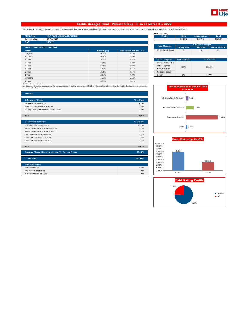

### **Stable Managed Fund - Pension Group - II as on March 31, 2022**

Fund Objective : To generate optimal returns for investors through short term investments in high credit quality securities so as to keep interest rate risks low and provide safety of capital over the medium term horizon.

| <b>SFIN Code</b><br>ULGF04811/02/12StableMFII101 |                 |                               | <b>Equity</b>          | <b>Debt</b>        | <b>MMI &amp; Others</b>     | <b>Total</b>         |
|--------------------------------------------------|-----------------|-------------------------------|------------------------|--------------------|-----------------------------|----------------------|
| <b>Inception Date</b><br><b>08 Oct 2008</b>      |                 |                               | $\sim$                 | 1.423.42           | 1.897.43                    | 3.320.84             |
| NAV<br>23.9227                                   |                 |                               |                        |                    |                             |                      |
|                                                  |                 |                               | <b>Fund Manager</b>    |                    | <b>No. Of Funds Managed</b> |                      |
| <b>Fund V/s Benchmark Performance</b>            |                 |                               |                        | <b>Equity Fund</b> | <b>Debt Fund</b>            | <b>Balanced Fund</b> |
| Period                                           | Returns $(\% )$ | <b>Benchmark Returns (%)#</b> | Mr Kailash Lalwani     | $\overline{c}$     | 13                          | 25                   |
| Inception                                        | 6.67%           | 7.45%                         |                        |                    |                             |                      |
| 10 Years                                         | 6.41%           | 8.09%                         |                        |                    |                             |                      |
| 7 Years                                          | 5.62%           | 7.34%                         | <b>Asset Category</b>  | F&U Mandate        |                             | % of Actual          |
| 5 Years                                          | 5.31%           | 6.79%                         | Money Market Insts     |                    |                             |                      |
| 4 Years                                          | 5.41%           | 6.79%                         | <b>Public Deposits</b> | 100%               |                             | 100,00%              |
| 3 Years                                          | 4.89%           | 6.34%                         | Govt. Securities       |                    |                             |                      |
| 2 Years                                          | 3.91%           | 5.47%                         | Corporate Bonds        |                    |                             |                      |
| 1 Year                                           | 3.15%           | 4.49%                         | Equity                 | 0%                 |                             | 0.00%                |
| 6 Months                                         | 1.28%           | 2.12%                         |                        |                    |                             |                      |
| 1 Month                                          | 0.28%           | 0.41%                         |                        |                    |                             |                      |

| <b>Equity</b>          | <b>Debt</b>              | <b>MMI &amp; Others</b>     | <b>Total</b>         |
|------------------------|--------------------------|-----------------------------|----------------------|
|                        | 1.423.42                 | 1.897.43                    | 3.320.84             |
|                        |                          | <b>No. Of Funds Managed</b> |                      |
| <b>Fund Manager</b>    | <b>Equity Fund</b>       | <b>Debt Fund</b>            | <b>Balanced Fund</b> |
| Mr Kailash Lalwani     | $\overline{\mathcal{L}}$ | 13                          | 25                   |
| <b>Asset Category</b>  | <b>F&amp;U</b> Mandate   |                             | % of Actual          |
| Money Market Insts     |                          |                             |                      |
|                        | 100.00%                  |                             |                      |
| <b>Public Deposits</b> | 100%                     |                             |                      |









| 6 Months                                                                                                                                                                                                                                                            | 1.28% | 2.12%     |
|---------------------------------------------------------------------------------------------------------------------------------------------------------------------------------------------------------------------------------------------------------------------|-------|-----------|
| 1 Month                                                                                                                                                                                                                                                             | 0.28% | 0.41%     |
| # CRISIL Low Duration Debt Index<br>Note: Returns over 1 year have been annualized. The benchmark index of the fund has been changed to CRISIL Low Duration Debt Index w.e.f December 30, 2020. Benchmark returns are computed<br>basis the revised benchmark index |       |           |
| <b>Portfolio</b>                                                                                                                                                                                                                                                    |       |           |
| <b>Debentures / Bonds</b>                                                                                                                                                                                                                                           |       | % to Fund |
| HDB Financial Services Ltd.                                                                                                                                                                                                                                         |       | 6.79%     |
| Power Grid Corporation of India Ltd                                                                                                                                                                                                                                 |       | 5.98%     |
| Housing Development Finance Corporation Ltd                                                                                                                                                                                                                         |       | 2.09%     |
|                                                                                                                                                                                                                                                                     |       |           |

Total 14.86%

| <b>Government Securities</b>                                  | % to Fund |
|---------------------------------------------------------------|-----------|
| 7.37% GOI Mat 16-April-2023                                   | 13.15%    |
| 8.63% Tamil Nadu SDL Mat 09-Jan-2023                          | 5.14%     |
| 8.89% Tamil Nadu SDL Mat 05-Dec-2022                          | 3.41%     |
| Gsec C-STRIPS Mat 15-Jun-2023                                 | 2.52%     |
| Gsec C-STRIPS Mat 22-Feb-2023                                 | 2.03%     |
| Gsec C-STRIPS Mat 15-Dec-2022.                                | 1.75%     |
|                                                               |           |
| Total                                                         | 28.01%    |
|                                                               |           |
| <b>Deposits, Money Mkt Securities and Net Current Assets.</b> | 57.14%    |

| Grand Total | $100.00\%$ |
|-------------|------------|
|             |            |

| <b>Debt Parameters</b>       |       |
|------------------------------|-------|
| Portfolio Yield (%)          | 4.65% |
| Avg Maturity (In Months)     | 10.98 |
| Modified Duration (In Years) | 0.88  |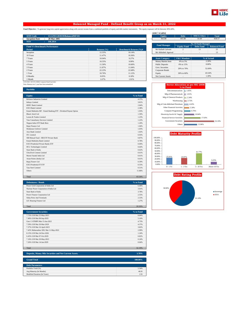

### **Balanced Managed Fund - Defined Benefit Group as on March 31, 2022**

Fund Objective : To generate long term capital appreciation along with current income from a combined portfolio of equity and debt market instruments. The equity exposure will be between 30%-60%.

| <b>SFIN Code</b>                      | ULGF01128/03/05BalancedMF101 |                 |                               | <b>Equity</b>             | <b>Debt</b>            | <b>MMI &amp; Others</b> | <b>Total</b>         |
|---------------------------------------|------------------------------|-----------------|-------------------------------|---------------------------|------------------------|-------------------------|----------------------|
| <b>Inception Date</b>                 | 28 Mar 2005                  |                 |                               | 365.08                    | 441.80                 | 31.69                   | 838.57               |
| <b>NAV</b>                            | 146.2814                     |                 |                               |                           |                        |                         |                      |
|                                       |                              |                 |                               | <b>Fund Manager</b>       |                        | No. Of Funds Managed    |                      |
| <b>Fund V/s Benchmark Performance</b> |                              |                 |                               |                           | <b>Equity Fund</b>     | <b>Debt Fund</b>        | <b>Balanced Fund</b> |
| <b>Period</b>                         |                              | Returns $(\% )$ | <b>Benchmark Returns (%)#</b> | Mr Kailash Lalwani        | 2                      | 13                      | 25                   |
| Inception                             |                              | 12.55%          | 10.14%                        | Mr Abhishek Agarwal       | $\qquad \qquad =$      | $\sim$                  | 13                   |
| 10 Years                              |                              | 11.47%          | 10.36%                        |                           |                        |                         |                      |
| 7 Years                               |                              | 10.04%          | 9.27%                         | <b>Asset Category</b>     | <b>F&amp;U</b> Mandate |                         | % of Actual          |
| 5 Years                               |                              | 10.55%          | 9.99%                         | <b>Money Market Insts</b> | 0% to 5%               |                         | 2.39%                |
| 4 Years                               |                              | 11.50%          | 10.60%                        | <b>Public Deposits</b>    | 0% to 15%              |                         | 0.00%                |
| 3 Years                               |                              | 11.87%          | 11.04%                        | Govt. Securities          | 20% to 70%             |                         | 52.69%               |
| 2 Years                               |                              | 22.23%          | 22.68%                        | Corporate Bonds           |                        |                         |                      |
| 1 Year                                |                              | 10.76%          | 11.12%                        | Equity                    | 30% to 60%             |                         | 43.54%               |
| 6 Months                              |                              | 0.05%           | 0.18%                         | Net Current Assets        | $\sim$                 |                         | 1.39%                |
| 1 Month                               |                              | 1.67%           | 1.91%                         |                           |                        |                         |                      |

| <b>Equity</b>               | <b>Debt</b>            | <b>MMI &amp; Others</b> | <b>Total</b>         |  |
|-----------------------------|------------------------|-------------------------|----------------------|--|
| 365.08                      | 441.80                 | 31.69                   | 838.57               |  |
| <b>No. Of Funds Managed</b> |                        |                         |                      |  |
| <b>Fund Manager</b>         | <b>Equity Fund</b>     | <b>Debt Fund</b>        | <b>Balanced Fund</b> |  |
| Mr Kailash Lalwani          | 2                      | 13                      | 25                   |  |
| Mr Abhishek Agarwal         |                        |                         | 13                   |  |
|                             |                        |                         |                      |  |
|                             |                        |                         |                      |  |
| <b>Asset Category</b>       | <b>F&amp;U</b> Mandate |                         | % of Actual          |  |
| Money Market Insts          | 0% to 5%               |                         | 2.39%                |  |
| <b>Public Deposits</b>      | 0% to 15%              |                         | 0.00%                |  |
| Govt. Securities            |                        |                         |                      |  |
| Corporate Bonds             | 20% to 70%             |                         | 52.69%               |  |

### # 45% BSE -100 55% CRISIL Composite Bond Fund Index Note: Returns over 1 year have been annualized.

| <b>Portfolio</b>                                               |           |
|----------------------------------------------------------------|-----------|
| <b>Equity</b>                                                  | % to Fund |
| Reliance Industries Limited                                    | 4.37%     |
| <b>Infosys Limited</b>                                         | 3.81%     |
| HDFC Bank Limited                                              | 2.84%     |
| <b>ICICI</b> Bank Limited                                      | 2.38%     |
| Kotak Mahindra MF - Kotak Banking ETF - Dividend Payout Option | 1.93%     |
| Bharti Airtel Ltd                                              | 1.59%     |
| Larsen & Toubro Limited                                        | 1.23%     |
| Tata Consultancy Services Limited                              | 1.22%     |
| Nippon India ETF Bank Bees                                     | 1.20%     |
| Bajaj Finance Ltd                                              | 1.04%     |
| Hindustan Unilever Limited                                     | 1.03%     |
| Axis Bank Limited                                              | 1.02%     |
| ITC Limited                                                    | 0.93%     |
| SBI Mutual Fund - SBI ETF Private Bank                         | 0.87%     |
| Kotak Mahindra Bank Limited                                    | 0.78%     |
| <b>ICICI Prudential Private Banks ETF</b>                      | 0.69%     |
| <b>HCL Technologies Limited</b>                                | 0.64%     |
| State Bank of India                                            | 0.62%     |
| <b>UltraTech Cement Limited</b>                                | 0.61%     |
| Maruti Suzuki India Ltd.                                       | 0.61%     |
| Asian Paints (India) Ltd                                       | 0.61%     |
| Bajaj Finserv Ltd                                              | 0.59%     |
| <b>ICICI Prodential IT ETF</b>                                 | 0.55%     |
| Tata Steel Limited                                             | 0.51%     |
| Others                                                         | 11.86%    |
|                                                                |           |
| Total                                                          | 43.54%    |

| <b>Debentures / Bonds</b>              | % to Fund |
|----------------------------------------|-----------|
| Power Grid Corporation of India Ltd    | 6.46%     |
| Nuclear Power Corporation of India Ltd | 3.91%     |
| State Bank of India                    | 3.78%     |
| Power Finance Corporation Ltd          | 2.55%     |
| <b>Sikka Ports And Terminals</b>       | 2.53%     |
| LIC Housing Finance Ltd                | 1.27%     |
|                                        |           |
| Total                                  | 20.50%    |

| <b>Government Securities</b>          | % to Fund |
|---------------------------------------|-----------|
| 7.72% GOI Mat 25-May-2025             | 8.84%     |
| 7.40% GOI Mat 09-Sep-2035             | 5.10%     |
| Gsec C-STRIPS Mat 15-Jun-2022         | 4.73%     |
| 7.59% GOI Mat 20-Mar-2029             | 4.37%     |
| 7.37% GOI Mat 16-April-2023           | 3.82%     |
| 7.42% Maharashtra SDL Mat 11-May-2022 | 2.99%     |
| 8.15% GOI Mat 24-Nov-2026             | 1.24%     |
| 6.45% GOI Mat 07-Oct-2029             | 0.82%     |
| 7.16% GOI Mat 20-May-2023             | 0.24%     |
| 7.26% GOI Mat 14-Jan-2029             | 0.04%     |
|                                       |           |
| Total                                 | 32.19%    |

| Deposits, Money Mkt Securities and Net Current Assets. | 3.78%   |  |
|--------------------------------------------------------|---------|--|
| <b>Grand Total</b>                                     | 100.00% |  |
| <b>Debt Parameters</b>                                 |         |  |
| Portfolio Yield (%)                                    | 5.54%   |  |
| Avg Maturity (In Months)                               | 46.81   |  |
| Modified Duration (In Years)                           | 2.91    |  |





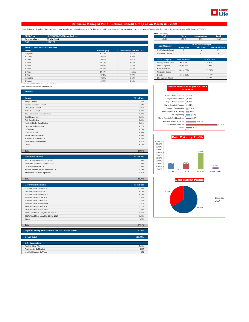

### **Defensive Managed Fund - Defined Benefit Group as on March 31, 2022**

Fund Objective : To enhance long term returns for a portfolio predominantly invested in fixed income securities by taking a moderate to medium exposure to equity and equity related securities. The equity exposure will be b

|                                       |                              |                 |                               | AUIVI (III LAKIIS)     |                          |                             |                      |
|---------------------------------------|------------------------------|-----------------|-------------------------------|------------------------|--------------------------|-----------------------------|----------------------|
| <b>SFIN Code</b>                      | ULGF01028/03/05DefensiveF101 |                 |                               | <b>Equity</b>          | <b>Debt</b>              | <b>MMI &amp; Others</b>     | <b>Total</b>         |
| <b>Inception Date</b>                 | 28 Mar 2005                  |                 |                               | 40.18                  | 125.15                   | 8.95                        | 174.29               |
| NAV                                   | 102.2772                     |                 |                               |                        |                          |                             |                      |
|                                       |                              |                 |                               | <b>Fund Manager</b>    |                          | <b>No. Of Funds Managed</b> |                      |
| <b>Fund V/s Benchmark Performance</b> |                              |                 |                               |                        | <b>Equity Fund</b>       | <b>Debt Fund</b>            | <b>Balanced Fund</b> |
| <b>Period</b>                         |                              | Returns $(\% )$ | <b>Benchmark Returns (%)#</b> | Mr Kailash Lalwani     | $\overline{2}$           | 13                          | 25                   |
| Inception                             |                              | 10.13%          | 8.72%                         | Mr Nishit Dholakia     | 3                        | $\sim$                      | 16                   |
| 10 Years                              |                              | 9.84%           | 9.36%                         |                        |                          |                             |                      |
| 7 Years                               |                              | 9.10%           | 8.62%                         | <b>Asset Category</b>  | <b>F&amp;U</b> Mandate   |                             | % of Actual          |
| 5 Years                               |                              | 9.07%           | 8.64%                         | Money Market Insts     | 0% to 5%                 |                             | 3.04%                |
| 4 Years                               |                              | 9.40%           | 9.22%                         | <b>Public Deposits</b> | 0% to 15%                |                             | 0.00%                |
| 3 Years                               |                              | 9.79%           | 9.63%                         | Govt. Securities       | 50% to 85%               |                             | 71.81%               |
| 2 Years                               |                              | 14.19%          | 14.38%                        | Corporate Bonds        |                          |                             |                      |
| 1 Year                                |                              | 8.41%           | 7.80%                         | Equity                 | 15% to 30%               |                             | 23.05%               |
| 6 Months                              |                              | 0.67%           | 0.62%                         | Net Current Assets     | $\overline{\phantom{a}}$ |                             | 2.10%                |
| 1 Month                               |                              | 0.96%           | 1.06%                         |                        |                          |                             |                      |

| 40.18               |                                                                |                             |        |  |
|---------------------|----------------------------------------------------------------|-----------------------------|--------|--|
|                     | 125.15                                                         | 8.95                        | 174.29 |  |
|                     |                                                                | <b>No. Of Funds Managed</b> |        |  |
| <b>Fund Manager</b> | <b>Debt Fund</b><br><b>Equity Fund</b><br><b>Balanced Fund</b> |                             |        |  |
| Mr Kailash Lalwani  |                                                                | 13                          | 25     |  |
| Mr Nishit Dholakia  |                                                                | ۰                           | 16     |  |

**AUM (` in Lakhs)**

| Money Market Insts        | 0% to 5%                 | 3.04%  |  |
|---------------------------|--------------------------|--------|--|
| <b>Public Deposits</b>    | 0% to 15%                | 0.00%  |  |
| Govt. Securities          | 50% to 85%               | 71.81% |  |
| Corporate Bonds           |                          |        |  |
| Equity                    | 15% to 30%               | 23.05% |  |
| <b>Net Current Assets</b> | $\overline{\phantom{a}}$ | 2.10%  |  |

### # 22.5% BSE -100 77.5% CRISIL Composite Bond Fund Index Note: Returns over 1 year have been annualized.

| <b>Portfolio</b>                  |           |
|-----------------------------------|-----------|
|                                   |           |
| <b>Equity</b>                     | % to Fund |
| <b>Infosys Limited</b>            | 2.46%     |
| Reliance Industries Limited       | 2.40%     |
| <b>HDFC Bank Limited</b>          | 2.05%     |
| <b>ICICI</b> Bank Limited         | 1.97%     |
| Tata Consultancy Services Limited | 1.07%     |
| Bajaj Finance Ltd                 | 1.04%     |
| Axis Bank Limited                 | 0.85%     |
| Kotak Mahindra Bank Limited       | 0.81%     |
| Larsen & Toubro Limited           | 0.77%     |
| <b>ITC</b> Limited                | 0.76%     |
| <b>Bharti Airtel Ltd</b>          | 0.69%     |
| <b>Vedant Fashions Limited</b>    | 0.60%     |
| Mahindra & Mahindra Ltd.          | 0.55%     |
| Hindustan Unilever Limited        | 0.51%     |
| Others                            | 6.52%     |
|                                   |           |
| Total                             | 23.05%    |

| <b>Debentures / Bonds</b>              | % to Fund |
|----------------------------------------|-----------|
| National Highway Authority Of India    | 5.90%     |
| Hindustan Petroleum Corporation Ltd    | 5.90%     |
| LIC Housing Finance Ltd                | 5.90%     |
| National Thermal Power Corporation Ltd | 4.59%     |
| International Finance Corporation      | 1.91%     |
|                                        |           |
| Total                                  | 24.20%    |

| <b>Government Securities</b>          | % to Fund |
|---------------------------------------|-----------|
| 7.72% GOI Mat 25-May-2025             | 15.06%    |
| 7.40% GOI Mat 09-Sep-2035             | 4.75%     |
| 6.79% GOI Mat 26-Dec-2029             | 4.20%     |
| 6.45% GOI Mat 07-Oct-2029             | 3.94%     |
| 7.26% GOI Mat 14-Jan-2029             | 3.55%     |
| 7.59% GOI Mat 20-Mar-2029             | 3.31%     |
| 8.60% GOI Mat 02-Jun-2028             | 3.15%     |
| 6.84% GOI Mat 19-Dec-2022             | 2.92%     |
| 7.90% Tamil Nadu Uday Mat 22-Mar-2027 | 1.36%     |
| 8.02% Tamil Nadu Uday Mat 22-Mar-2025 | 1.36%     |
| <b>Others</b>                         | 4.02%     |
|                                       |           |
| Total                                 | 47.61%    |

| Deposits, Money Mkt Securities and Net Current Assets. | 5.14%   |
|--------------------------------------------------------|---------|
|                                                        |         |
| <b>Grand Total</b>                                     | 100.00% |
|                                                        |         |
| <b>Debt Parameters</b>                                 |         |
| Portfolio Yield (%)                                    | 5.95%   |
| Avg Maturity (In Months)                               | 55.95   |
| Modified Duration (In Years)                           | 3.52    |

| <b>Sector Allocation as per NIC 2008</b><br>% to Fund |        |  |
|-------------------------------------------------------|--------|--|
| Mfg of Tobacco Products                               | 0.76%  |  |
| Mfg of Motor Vehicles                                 | 0.89%  |  |
| Mfg of Pharmaceuticals                                | 0.94%  |  |
| Mfg of Chemical Products                              | 1.31%  |  |
| <b>Computer Programming</b>                           | 3.66%  |  |
| Electricity, Gas & AC Supply                          | 4.81%  |  |
| Civil Engineering                                     | 6.68%  |  |
| Mfg of Coke &Refined Petroleum                        | 8.67%  |  |
| <b>Financial Service Activities</b>                   | 15.41% |  |
| <b>Government Securities</b>                          | 47.61% |  |
| Others                                                | 9.27%  |  |